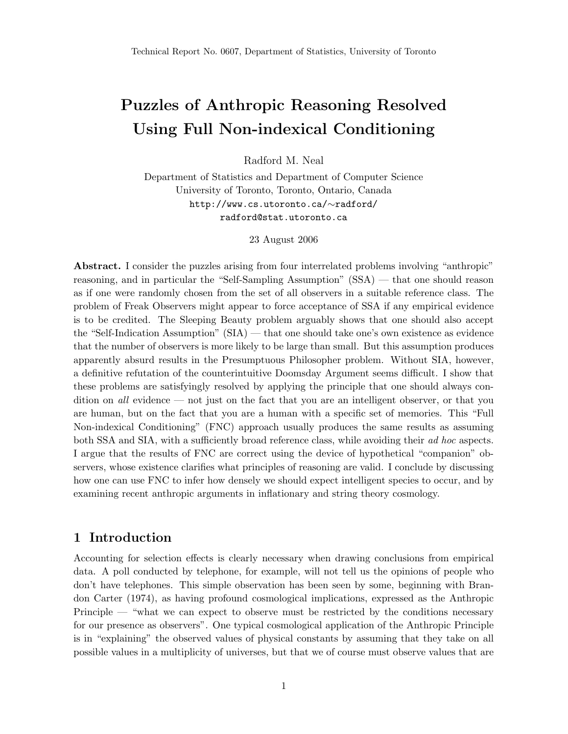# Puzzles of Anthropic Reasoning Resolved Using Full Non-indexical Conditioning

Radford M. Neal

Department of Statistics and Department of Computer Science University of Toronto, Toronto, Ontario, Canada http://www.cs.utoronto.ca/∼radford/ radford@stat.utoronto.ca

23 August 2006

Abstract. I consider the puzzles arising from four interrelated problems involving "anthropic" reasoning, and in particular the "Self-Sampling Assumption" (SSA) — that one should reason as if one were randomly chosen from the set of all observers in a suitable reference class. The problem of Freak Observers might appear to force acceptance of SSA if any empirical evidence is to be credited. The Sleeping Beauty problem arguably shows that one should also accept the "Self-Indication Assumption" (SIA) — that one should take one's own existence as evidence that the number of observers is more likely to be large than small. But this assumption produces apparently absurd results in the Presumptuous Philosopher problem. Without SIA, however, a definitive refutation of the counterintuitive Doomsday Argument seems difficult. I show that these problems are satisfyingly resolved by applying the principle that one should always condition on all evidence — not just on the fact that you are an intelligent observer, or that you are human, but on the fact that you are a human with a specific set of memories. This "Full Non-indexical Conditioning" (FNC) approach usually produces the same results as assuming both SSA and SIA, with a sufficiently broad reference class, while avoiding their ad hoc aspects. I argue that the results of FNC are correct using the device of hypothetical "companion" observers, whose existence clarifies what principles of reasoning are valid. I conclude by discussing how one can use FNC to infer how densely we should expect intelligent species to occur, and by examining recent anthropic arguments in inflationary and string theory cosmology.

# 1 Introduction

Accounting for selection effects is clearly necessary when drawing conclusions from empirical data. A poll conducted by telephone, for example, will not tell us the opinions of people who don't have telephones. This simple observation has been seen by some, beginning with Brandon Carter (1974), as having profound cosmological implications, expressed as the Anthropic Principle — "what we can expect to observe must be restricted by the conditions necessary for our presence as observers". One typical cosmological application of the Anthropic Principle is in "explaining" the observed values of physical constants by assuming that they take on all possible values in a multiplicity of universes, but that we of course must observe values that are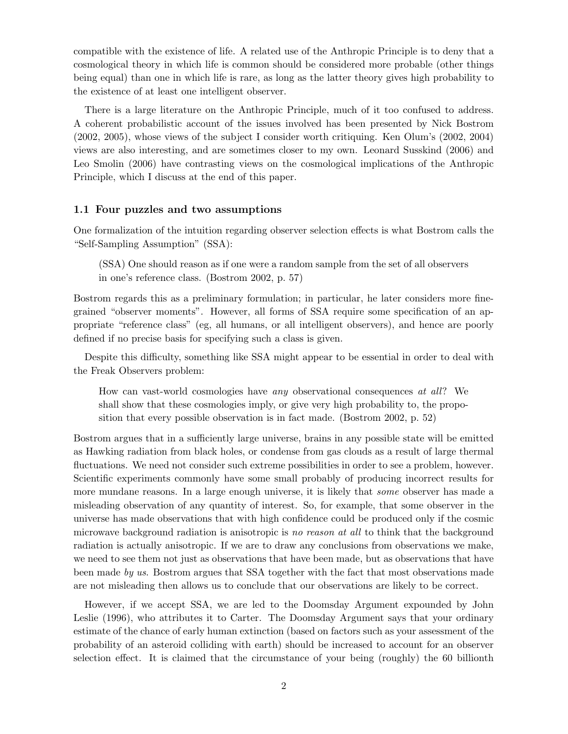compatible with the existence of life. A related use of the Anthropic Principle is to deny that a cosmological theory in which life is common should be considered more probable (other things being equal) than one in which life is rare, as long as the latter theory gives high probability to the existence of at least one intelligent observer.

There is a large literature on the Anthropic Principle, much of it too confused to address. A coherent probabilistic account of the issues involved has been presented by Nick Bostrom (2002, 2005), whose views of the subject I consider worth critiquing. Ken Olum's (2002, 2004) views are also interesting, and are sometimes closer to my own. Leonard Susskind (2006) and Leo Smolin (2006) have contrasting views on the cosmological implications of the Anthropic Principle, which I discuss at the end of this paper.

### 1.1 Four puzzles and two assumptions

One formalization of the intuition regarding observer selection effects is what Bostrom calls the "Self-Sampling Assumption" (SSA):

(SSA) One should reason as if one were a random sample from the set of all observers in one's reference class. (Bostrom 2002, p. 57)

Bostrom regards this as a preliminary formulation; in particular, he later considers more finegrained "observer moments". However, all forms of SSA require some specification of an appropriate "reference class" (eg, all humans, or all intelligent observers), and hence are poorly defined if no precise basis for specifying such a class is given.

Despite this difficulty, something like SSA might appear to be essential in order to deal with the Freak Observers problem:

How can vast-world cosmologies have any observational consequences at all? We shall show that these cosmologies imply, or give very high probability to, the proposition that every possible observation is in fact made. (Bostrom 2002, p. 52)

Bostrom argues that in a sufficiently large universe, brains in any possible state will be emitted as Hawking radiation from black holes, or condense from gas clouds as a result of large thermal fluctuations. We need not consider such extreme possibilities in order to see a problem, however. Scientific experiments commonly have some small probably of producing incorrect results for more mundane reasons. In a large enough universe, it is likely that *some* observer has made a misleading observation of any quantity of interest. So, for example, that some observer in the universe has made observations that with high confidence could be produced only if the cosmic microwave background radiation is anisotropic is no reason at all to think that the background radiation is actually anisotropic. If we are to draw any conclusions from observations we make, we need to see them not just as observations that have been made, but as observations that have been made by us. Bostrom argues that SSA together with the fact that most observations made are not misleading then allows us to conclude that our observations are likely to be correct.

However, if we accept SSA, we are led to the Doomsday Argument expounded by John Leslie (1996), who attributes it to Carter. The Doomsday Argument says that your ordinary estimate of the chance of early human extinction (based on factors such as your assessment of the probability of an asteroid colliding with earth) should be increased to account for an observer selection effect. It is claimed that the circumstance of your being (roughly) the 60 billionth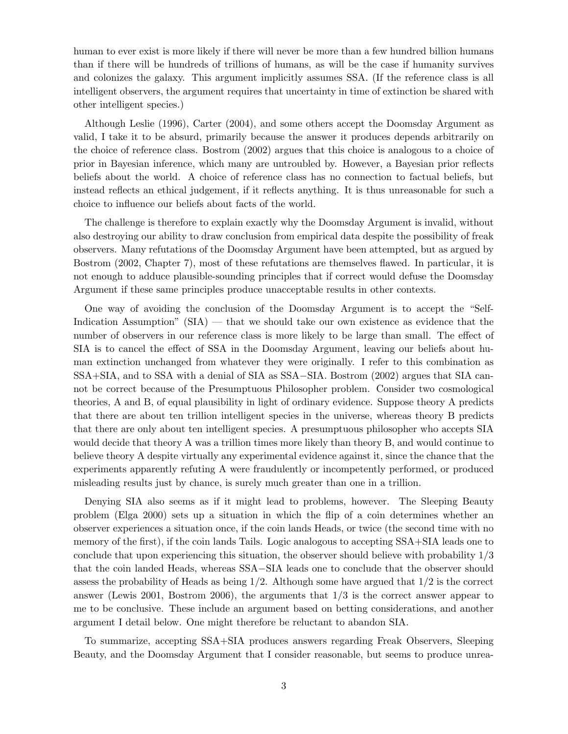human to ever exist is more likely if there will never be more than a few hundred billion humans than if there will be hundreds of trillions of humans, as will be the case if humanity survives and colonizes the galaxy. This argument implicitly assumes SSA. (If the reference class is all intelligent observers, the argument requires that uncertainty in time of extinction be shared with other intelligent species.)

Although Leslie (1996), Carter (2004), and some others accept the Doomsday Argument as valid, I take it to be absurd, primarily because the answer it produces depends arbitrarily on the choice of reference class. Bostrom (2002) argues that this choice is analogous to a choice of prior in Bayesian inference, which many are untroubled by. However, a Bayesian prior reflects beliefs about the world. A choice of reference class has no connection to factual beliefs, but instead reflects an ethical judgement, if it reflects anything. It is thus unreasonable for such a choice to influence our beliefs about facts of the world.

The challenge is therefore to explain exactly why the Doomsday Argument is invalid, without also destroying our ability to draw conclusion from empirical data despite the possibility of freak observers. Many refutations of the Doomsday Argument have been attempted, but as argued by Bostrom (2002, Chapter 7), most of these refutations are themselves flawed. In particular, it is not enough to adduce plausible-sounding principles that if correct would defuse the Doomsday Argument if these same principles produce unacceptable results in other contexts.

One way of avoiding the conclusion of the Doomsday Argument is to accept the "Self-Indication Assumption" (SIA) — that we should take our own existence as evidence that the number of observers in our reference class is more likely to be large than small. The effect of SIA is to cancel the effect of SSA in the Doomsday Argument, leaving our beliefs about human extinction unchanged from whatever they were originally. I refer to this combination as SSA+SIA, and to SSA with a denial of SIA as SSA−SIA. Bostrom (2002) argues that SIA cannot be correct because of the Presumptuous Philosopher problem. Consider two cosmological theories, A and B, of equal plausibility in light of ordinary evidence. Suppose theory A predicts that there are about ten trillion intelligent species in the universe, whereas theory B predicts that there are only about ten intelligent species. A presumptuous philosopher who accepts SIA would decide that theory A was a trillion times more likely than theory B, and would continue to believe theory A despite virtually any experimental evidence against it, since the chance that the experiments apparently refuting A were fraudulently or incompetently performed, or produced misleading results just by chance, is surely much greater than one in a trillion.

Denying SIA also seems as if it might lead to problems, however. The Sleeping Beauty problem (Elga 2000) sets up a situation in which the flip of a coin determines whether an observer experiences a situation once, if the coin lands Heads, or twice (the second time with no memory of the first), if the coin lands Tails. Logic analogous to accepting SSA+SIA leads one to conclude that upon experiencing this situation, the observer should believe with probability 1/3 that the coin landed Heads, whereas SSA−SIA leads one to conclude that the observer should assess the probability of Heads as being  $1/2$ . Although some have argued that  $1/2$  is the correct answer (Lewis 2001, Bostrom 2006), the arguments that 1/3 is the correct answer appear to me to be conclusive. These include an argument based on betting considerations, and another argument I detail below. One might therefore be reluctant to abandon SIA.

To summarize, accepting SSA+SIA produces answers regarding Freak Observers, Sleeping Beauty, and the Doomsday Argument that I consider reasonable, but seems to produce unrea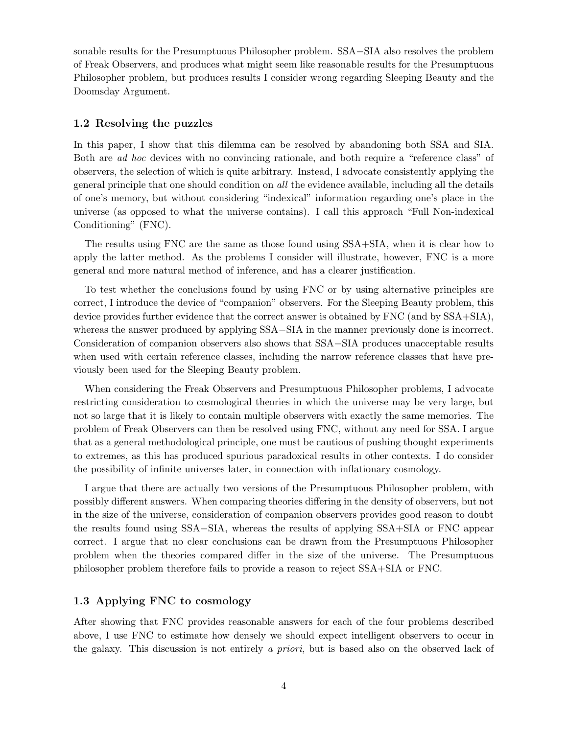sonable results for the Presumptuous Philosopher problem. SSA−SIA also resolves the problem of Freak Observers, and produces what might seem like reasonable results for the Presumptuous Philosopher problem, but produces results I consider wrong regarding Sleeping Beauty and the Doomsday Argument.

#### 1.2 Resolving the puzzles

In this paper, I show that this dilemma can be resolved by abandoning both SSA and SIA. Both are ad hoc devices with no convincing rationale, and both require a "reference class" of observers, the selection of which is quite arbitrary. Instead, I advocate consistently applying the general principle that one should condition on all the evidence available, including all the details of one's memory, but without considering "indexical" information regarding one's place in the universe (as opposed to what the universe contains). I call this approach "Full Non-indexical Conditioning" (FNC).

The results using FNC are the same as those found using SSA+SIA, when it is clear how to apply the latter method. As the problems I consider will illustrate, however, FNC is a more general and more natural method of inference, and has a clearer justification.

To test whether the conclusions found by using FNC or by using alternative principles are correct, I introduce the device of "companion" observers. For the Sleeping Beauty problem, this device provides further evidence that the correct answer is obtained by FNC (and by SSA+SIA), whereas the answer produced by applying SSA−SIA in the manner previously done is incorrect. Consideration of companion observers also shows that SSA−SIA produces unacceptable results when used with certain reference classes, including the narrow reference classes that have previously been used for the Sleeping Beauty problem.

When considering the Freak Observers and Presumptuous Philosopher problems, I advocate restricting consideration to cosmological theories in which the universe may be very large, but not so large that it is likely to contain multiple observers with exactly the same memories. The problem of Freak Observers can then be resolved using FNC, without any need for SSA. I argue that as a general methodological principle, one must be cautious of pushing thought experiments to extremes, as this has produced spurious paradoxical results in other contexts. I do consider the possibility of infinite universes later, in connection with inflationary cosmology.

I argue that there are actually two versions of the Presumptuous Philosopher problem, with possibly different answers. When comparing theories differing in the density of observers, but not in the size of the universe, consideration of companion observers provides good reason to doubt the results found using SSA−SIA, whereas the results of applying SSA+SIA or FNC appear correct. I argue that no clear conclusions can be drawn from the Presumptuous Philosopher problem when the theories compared differ in the size of the universe. The Presumptuous philosopher problem therefore fails to provide a reason to reject SSA+SIA or FNC.

### 1.3 Applying FNC to cosmology

After showing that FNC provides reasonable answers for each of the four problems described above, I use FNC to estimate how densely we should expect intelligent observers to occur in the galaxy. This discussion is not entirely a priori, but is based also on the observed lack of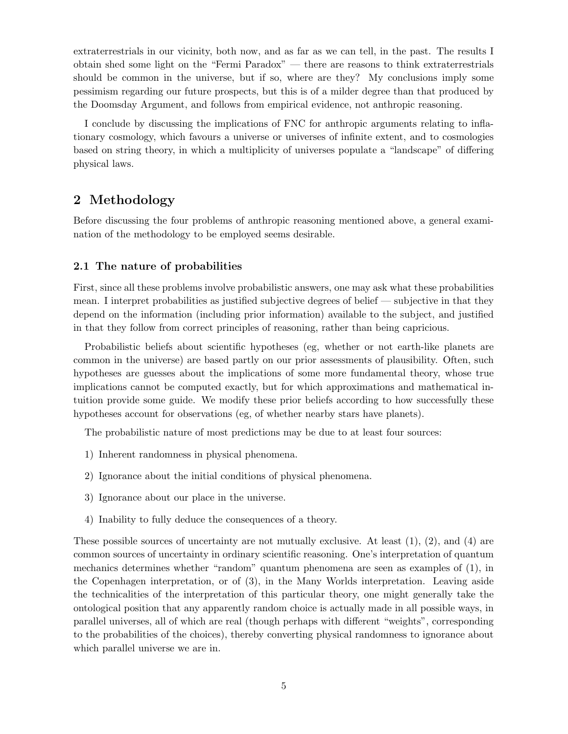extraterrestrials in our vicinity, both now, and as far as we can tell, in the past. The results I obtain shed some light on the "Fermi Paradox" — there are reasons to think extraterrestrials should be common in the universe, but if so, where are they? My conclusions imply some pessimism regarding our future prospects, but this is of a milder degree than that produced by the Doomsday Argument, and follows from empirical evidence, not anthropic reasoning.

I conclude by discussing the implications of FNC for anthropic arguments relating to inflationary cosmology, which favours a universe or universes of infinite extent, and to cosmologies based on string theory, in which a multiplicity of universes populate a "landscape" of differing physical laws.

# 2 Methodology

Before discussing the four problems of anthropic reasoning mentioned above, a general examination of the methodology to be employed seems desirable.

# 2.1 The nature of probabilities

First, since all these problems involve probabilistic answers, one may ask what these probabilities mean. I interpret probabilities as justified subjective degrees of belief — subjective in that they depend on the information (including prior information) available to the subject, and justified in that they follow from correct principles of reasoning, rather than being capricious.

Probabilistic beliefs about scientific hypotheses (eg, whether or not earth-like planets are common in the universe) are based partly on our prior assessments of plausibility. Often, such hypotheses are guesses about the implications of some more fundamental theory, whose true implications cannot be computed exactly, but for which approximations and mathematical intuition provide some guide. We modify these prior beliefs according to how successfully these hypotheses account for observations (eg, of whether nearby stars have planets).

The probabilistic nature of most predictions may be due to at least four sources:

- 1) Inherent randomness in physical phenomena.
- 2) Ignorance about the initial conditions of physical phenomena.
- 3) Ignorance about our place in the universe.
- 4) Inability to fully deduce the consequences of a theory.

These possible sources of uncertainty are not mutually exclusive. At least (1), (2), and (4) are common sources of uncertainty in ordinary scientific reasoning. One's interpretation of quantum mechanics determines whether "random" quantum phenomena are seen as examples of (1), in the Copenhagen interpretation, or of (3), in the Many Worlds interpretation. Leaving aside the technicalities of the interpretation of this particular theory, one might generally take the ontological position that any apparently random choice is actually made in all possible ways, in parallel universes, all of which are real (though perhaps with different "weights", corresponding to the probabilities of the choices), thereby converting physical randomness to ignorance about which parallel universe we are in.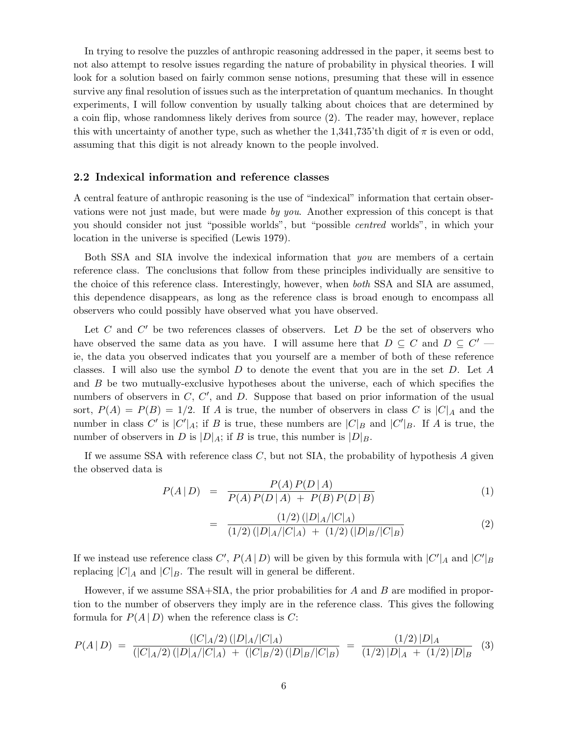In trying to resolve the puzzles of anthropic reasoning addressed in the paper, it seems best to not also attempt to resolve issues regarding the nature of probability in physical theories. I will look for a solution based on fairly common sense notions, presuming that these will in essence survive any final resolution of issues such as the interpretation of quantum mechanics. In thought experiments, I will follow convention by usually talking about choices that are determined by a coin flip, whose randomness likely derives from source (2). The reader may, however, replace this with uncertainty of another type, such as whether the  $1,341,735$ 'th digit of  $\pi$  is even or odd, assuming that this digit is not already known to the people involved.

#### 2.2 Indexical information and reference classes

A central feature of anthropic reasoning is the use of "indexical" information that certain observations were not just made, but were made by you. Another expression of this concept is that you should consider not just "possible worlds", but "possible centred worlds", in which your location in the universe is specified (Lewis 1979).

Both SSA and SIA involve the indexical information that you are members of a certain reference class. The conclusions that follow from these principles individually are sensitive to the choice of this reference class. Interestingly, however, when both SSA and SIA are assumed, this dependence disappears, as long as the reference class is broad enough to encompass all observers who could possibly have observed what you have observed.

Let  $C$  and  $C'$  be two references classes of observers. Let  $D$  be the set of observers who have observed the same data as you have. I will assume here that  $D \subseteq C$  and  $D \subseteq C'$  ie, the data you observed indicates that you yourself are a member of both of these reference classes. I will also use the symbol  $D$  to denote the event that you are in the set  $D$ . Let  $A$ and B be two mutually-exclusive hypotheses about the universe, each of which specifies the numbers of observers in  $C, C',$  and  $D$ . Suppose that based on prior information of the usual sort,  $P(A) = P(B) = 1/2$ . If A is true, the number of observers in class C is  $|C|_A$  and the number in class C' is  $|C'|_A$ ; if B is true, these numbers are  $|C|_B$  and  $|C'|_B$ . If A is true, the number of observers in D is  $|D|_A$ ; if B is true, this number is  $|D|_B$ .

If we assume SSA with reference class  $C$ , but not SIA, the probability of hypothesis  $A$  given the observed data is

$$
P(A | D) = \frac{P(A) P(D | A)}{P(A) P(D | A) + P(B) P(D | B)}
$$
(1)

$$
= \frac{(1/2) (|D|_A/|C|_A)}{(1/2) (|D|_A/|C|_A) + (1/2) (|D|_B/|C|_B)}
$$
(2)

If we instead use reference class  $C'$ ,  $P(A | D)$  will be given by this formula with  $|C'|_A$  and  $|C'|_B$ replacing  $|C|_A$  and  $|C|_B$ . The result will in general be different.

However, if we assume  $SSA+STA$ , the prior probabilities for A and B are modified in proportion to the number of observers they imply are in the reference class. This gives the following formula for  $P(A | D)$  when the reference class is C:

$$
P(A \mid D) = \frac{(|C|_A/2) (|D|_A/|C|_A)}{(|C|_A/2) (|D|_A/|C|_A) + (|C|_B/2) (|D|_B/|C|_B)} = \frac{(1/2) |D|_A}{(1/2) |D|_A + (1/2) |D|_B} \tag{3}
$$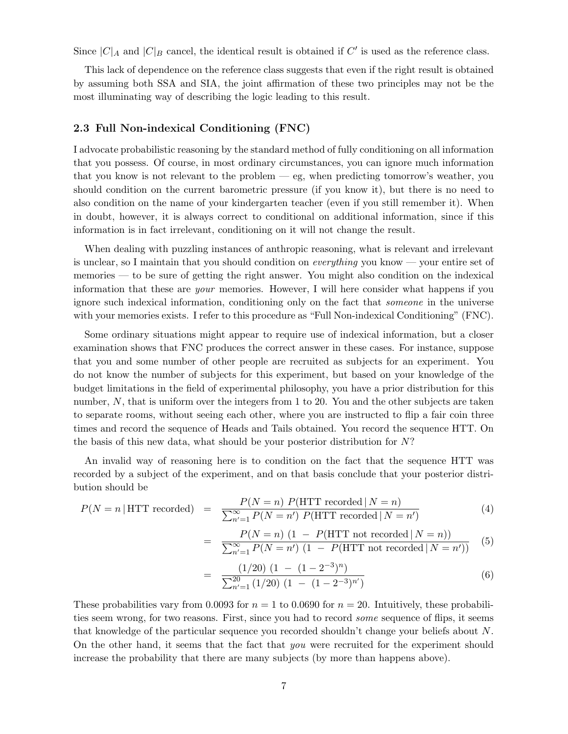Since  $|C|_A$  and  $|C|_B$  cancel, the identical result is obtained if  $C'$  is used as the reference class.

This lack of dependence on the reference class suggests that even if the right result is obtained by assuming both SSA and SIA, the joint affirmation of these two principles may not be the most illuminating way of describing the logic leading to this result.

### 2.3 Full Non-indexical Conditioning (FNC)

I advocate probabilistic reasoning by the standard method of fully conditioning on all information that you possess. Of course, in most ordinary circumstances, you can ignore much information that you know is not relevant to the problem — eg, when predicting tomorrow's weather, you should condition on the current barometric pressure (if you know it), but there is no need to also condition on the name of your kindergarten teacher (even if you still remember it). When in doubt, however, it is always correct to conditional on additional information, since if this information is in fact irrelevant, conditioning on it will not change the result.

When dealing with puzzling instances of anthropic reasoning, what is relevant and irrelevant is unclear, so I maintain that you should condition on everything you know — your entire set of memories — to be sure of getting the right answer. You might also condition on the indexical information that these are your memories. However, I will here consider what happens if you ignore such indexical information, conditioning only on the fact that someone in the universe with your memories exists. I refer to this procedure as "Full Non-indexical Conditioning" (FNC).

Some ordinary situations might appear to require use of indexical information, but a closer examination shows that FNC produces the correct answer in these cases. For instance, suppose that you and some number of other people are recruited as subjects for an experiment. You do not know the number of subjects for this experiment, but based on your knowledge of the budget limitations in the field of experimental philosophy, you have a prior distribution for this number, N, that is uniform over the integers from 1 to 20. You and the other subjects are taken to separate rooms, without seeing each other, where you are instructed to flip a fair coin three times and record the sequence of Heads and Tails obtained. You record the sequence HTT. On the basis of this new data, what should be your posterior distribution for N?

An invalid way of reasoning here is to condition on the fact that the sequence HTT was recorded by a subject of the experiment, and on that basis conclude that your posterior distribution should be

$$
P(N = n | \text{HTT recorded}) = \frac{P(N = n) P(\text{HTT recorded} | N = n)}{\sum_{n'=1}^{\infty} P(N = n') P(\text{HTT recorded} | N = n')} \tag{4}
$$

=

$$
= \frac{P(N=n) (1 - P(\text{HTT not recorded} | N = n))}{\sum_{n'=1}^{\infty} P(N = n') (1 - P(\text{HTT not recorded} | N = n'))} (5)
$$

$$
= \frac{(1/20) (1 - (1 - 2^{-3})^n)}{\sum_{n'=1}^{20} (1/20) (1 - (1 - 2^{-3})^n)}
$$
(6)

These probabilities vary from 0.0093 for  $n = 1$  to 0.0690 for  $n = 20$ . Intuitively, these probabilities seem wrong, for two reasons. First, since you had to record some sequence of flips, it seems that knowledge of the particular sequence you recorded shouldn't change your beliefs about N. On the other hand, it seems that the fact that you were recruited for the experiment should increase the probability that there are many subjects (by more than happens above).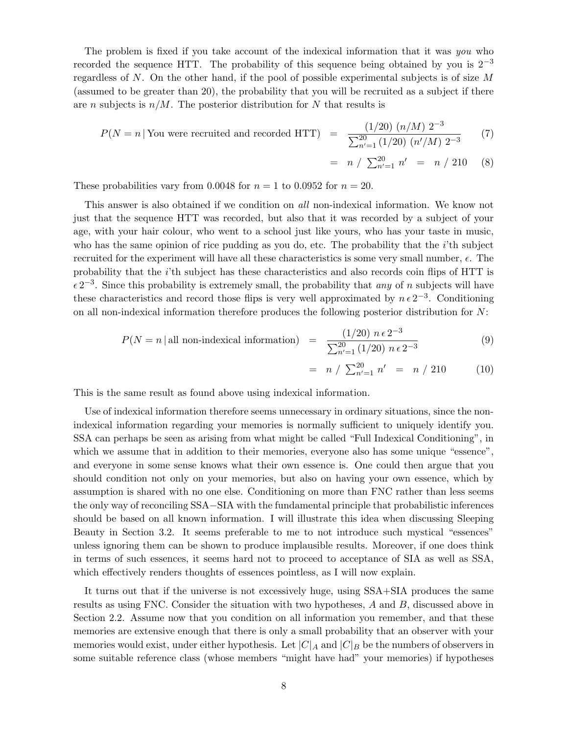The problem is fixed if you take account of the indexical information that it was you who recorded the sequence HTT. The probability of this sequence being obtained by you is  $2^{-3}$ regardless of N. On the other hand, if the pool of possible experimental subjects is of size  $M$ (assumed to be greater than 20), the probability that you will be recruited as a subject if there are *n* subjects is  $n/M$ . The posterior distribution for N that results is

$$
P(N = n | \text{You were recruited and recorded HTT}) = \frac{(1/20) (n/M) 2^{-3}}{\sum_{n'=1}^{20} (1/20) (n'/M) 2^{-3}}
$$
(7)

$$
= n / \sum_{n'=1}^{20} n' = n / 210 \quad (8)
$$

These probabilities vary from 0.0048 for  $n = 1$  to 0.0952 for  $n = 20$ .

This answer is also obtained if we condition on all non-indexical information. We know not just that the sequence HTT was recorded, but also that it was recorded by a subject of your age, with your hair colour, who went to a school just like yours, who has your taste in music, who has the same opinion of rice pudding as you do, etc. The probability that the  $i$ 'th subject recruited for the experiment will have all these characteristics is some very small number,  $\epsilon$ . The probability that the i'th subject has these characteristics and also records coin flips of HTT is  $\epsilon 2^{-3}$ . Since this probability is extremely small, the probability that any of n subjects will have these characteristics and record those flips is very well approximated by  $n \epsilon 2^{-3}$ . Conditioning on all non-indexical information therefore produces the following posterior distribution for N:

$$
P(N = n | \text{all non-indexical information}) = \frac{(1/20) n \epsilon 2^{-3}}{\sum_{n'=1}^{20} (1/20) n \epsilon 2^{-3}}
$$
(9)

$$
= n / \sum_{n'=1}^{20} n' = n / 210
$$
 (10)

This is the same result as found above using indexical information.

Use of indexical information therefore seems unnecessary in ordinary situations, since the nonindexical information regarding your memories is normally sufficient to uniquely identify you. SSA can perhaps be seen as arising from what might be called "Full Indexical Conditioning", in which we assume that in addition to their memories, everyone also has some unique "essence", and everyone in some sense knows what their own essence is. One could then argue that you should condition not only on your memories, but also on having your own essence, which by assumption is shared with no one else. Conditioning on more than FNC rather than less seems the only way of reconciling SSA−SIA with the fundamental principle that probabilistic inferences should be based on all known information. I will illustrate this idea when discussing Sleeping Beauty in Section 3.2. It seems preferable to me to not introduce such mystical "essences" unless ignoring them can be shown to produce implausible results. Moreover, if one does think in terms of such essences, it seems hard not to proceed to acceptance of SIA as well as SSA, which effectively renders thoughts of essences pointless, as I will now explain.

It turns out that if the universe is not excessively huge, using SSA+SIA produces the same results as using FNC. Consider the situation with two hypotheses, A and B, discussed above in Section 2.2. Assume now that you condition on all information you remember, and that these memories are extensive enough that there is only a small probability that an observer with your memories would exist, under either hypothesis. Let  $|C|_A$  and  $|C|_B$  be the numbers of observers in some suitable reference class (whose members "might have had" your memories) if hypotheses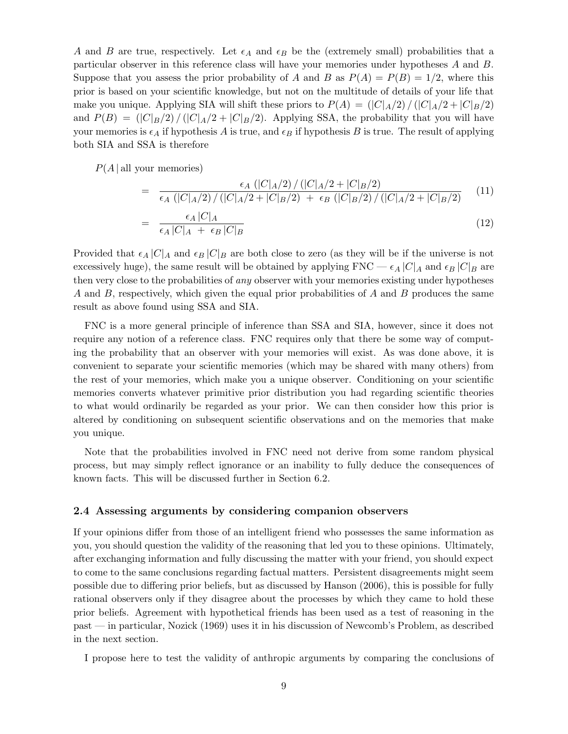A and B are true, respectively. Let  $\epsilon_A$  and  $\epsilon_B$  be the (extremely small) probabilities that a particular observer in this reference class will have your memories under hypotheses A and B. Suppose that you assess the prior probability of A and B as  $P(A) = P(B) = 1/2$ , where this prior is based on your scientific knowledge, but not on the multitude of details of your life that make you unique. Applying SIA will shift these priors to  $P(A) = (|C|_A/2) / (|C|_A/2 + |C|_B/2)$ and  $P(B) = (|C|_B/2) / (|C|_A/2 + |C|_B/2)$ . Applying SSA, the probability that you will have your memories is  $\epsilon_A$  if hypothesis A is true, and  $\epsilon_B$  if hypothesis B is true. The result of applying both SIA and SSA is therefore

 $P(A | \text{all your memories})$ 

$$
= \frac{\epsilon_A \left( |C|_A/2 \right) / \left( |C|_A/2 + |C|_B/2 \right)}{\epsilon_A \left( |C|_A/2 \right) / \left( |C|_A/2 + |C|_B/2 \right) + \epsilon_B \left( |C|_B/2 \right) / \left( |C|_A/2 + |C|_B/2 \right)} \tag{11}
$$

$$
= \frac{\epsilon_A |C|_A}{\epsilon_A |C|_A + \epsilon_B |C|_B} \tag{12}
$$

Provided that  $\epsilon_A |C|_A$  and  $\epsilon_B |C|_B$  are both close to zero (as they will be if the universe is not excessively huge), the same result will be obtained by applying  $FNC - \epsilon_A |C|_A$  and  $\epsilon_B |C|_B$  are then very close to the probabilities of *any* observer with your memories existing under hypotheses A and B, respectively, which given the equal prior probabilities of A and B produces the same result as above found using SSA and SIA.

FNC is a more general principle of inference than SSA and SIA, however, since it does not require any notion of a reference class. FNC requires only that there be some way of computing the probability that an observer with your memories will exist. As was done above, it is convenient to separate your scientific memories (which may be shared with many others) from the rest of your memories, which make you a unique observer. Conditioning on your scientific memories converts whatever primitive prior distribution you had regarding scientific theories to what would ordinarily be regarded as your prior. We can then consider how this prior is altered by conditioning on subsequent scientific observations and on the memories that make you unique.

Note that the probabilities involved in FNC need not derive from some random physical process, but may simply reflect ignorance or an inability to fully deduce the consequences of known facts. This will be discussed further in Section 6.2.

#### 2.4 Assessing arguments by considering companion observers

If your opinions differ from those of an intelligent friend who possesses the same information as you, you should question the validity of the reasoning that led you to these opinions. Ultimately, after exchanging information and fully discussing the matter with your friend, you should expect to come to the same conclusions regarding factual matters. Persistent disagreements might seem possible due to differing prior beliefs, but as discussed by Hanson (2006), this is possible for fully rational observers only if they disagree about the processes by which they came to hold these prior beliefs. Agreement with hypothetical friends has been used as a test of reasoning in the past — in particular, Nozick (1969) uses it in his discussion of Newcomb's Problem, as described in the next section.

I propose here to test the validity of anthropic arguments by comparing the conclusions of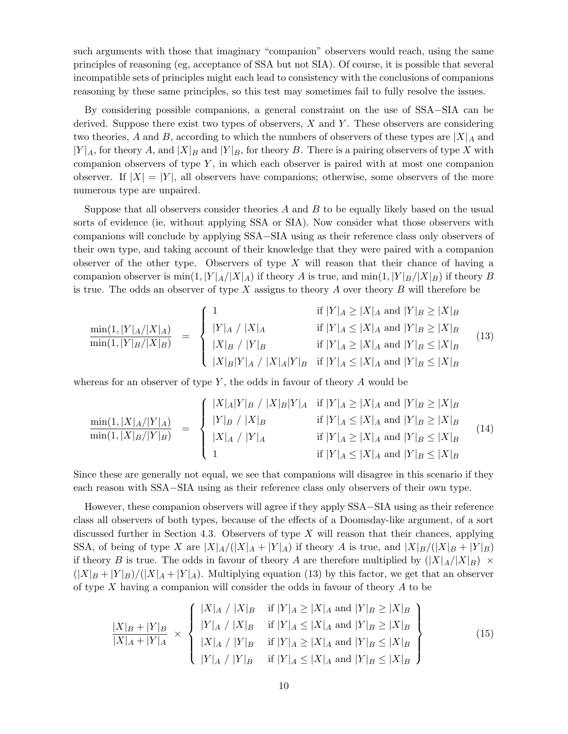such arguments with those that imaginary "companion" observers would reach, using the same principles of reasoning (eg, acceptance of SSA but not SIA). Of course, it is possible that several incompatible sets of principles might each lead to consistency with the conclusions of companions reasoning by these same principles, so this test may sometimes fail to fully resolve the issues.

By considering possible companions, a general constraint on the use of SSA−SIA can be derived. Suppose there exist two types of observers,  $X$  and  $Y$ . These observers are considering two theories, A and B, according to which the numbers of observers of these types are  $|X|_A$  and  $|Y|_A$ , for theory A, and  $|X|_B$  and  $|Y|_B$ , for theory B. There is a pairing observers of type X with companion observers of type  $Y$ , in which each observer is paired with at most one companion observer. If  $|X| = |Y|$ , all observers have companions; otherwise, some observers of the more numerous type are unpaired.

Suppose that all observers consider theories  $A$  and  $B$  to be equally likely based on the usual sorts of evidence (ie, without applying SSA or SIA). Now consider what those observers with companions will conclude by applying SSA−SIA using as their reference class only observers of their own type, and taking account of their knowledge that they were paired with a companion observer of the other type. Observers of type  $X$  will reason that their chance of having a companion observer is  $\min(1, |Y|_A/|X|_A)$  if theory A is true, and  $\min(1, |Y|_B/|X|_B)$  if theory B is true. The odds an observer of type X assigns to theory A over theory  $B$  will therefore be

$$
\frac{\min(1,|Y|_A/|X|_A)}{\min(1,|Y|_B/|X|_B)} = \begin{cases}\n1 & \text{if } |Y|_A \ge |X|_A \text{ and } |Y|_B \ge |X|_B \\
|Y|_A / |X|_A & \text{if } |Y|_A \le |X|_A \text{ and } |Y|_B \ge |X|_B \\
|X|_B / |Y|_B & \text{if } |Y|_A \ge |X|_A \text{ and } |Y|_B \le |X|_B \\
|X|_B |Y|_A / |X|_A |Y|_B & \text{if } |Y|_A \le |X|_A \text{ and } |Y|_B \le |X|_B\n\end{cases}
$$
\n(13)

whereas for an observer of type  $Y$ , the odds in favour of theory  $A$  would be

$$
\frac{\min(1, |X|_A/|Y|_A)}{\min(1, |X|_B/|Y|_B)} = \begin{cases} |X|_A|Y|_B / |X|_B|Y|_A & \text{if } |Y|_A \ge |X|_A \text{ and } |Y|_B \ge |X|_B \\ |Y|_B / |X|_B & \text{if } |Y|_A \le |X|_A \text{ and } |Y|_B \ge |X|_B \\ |X|_A / |Y|_A & \text{if } |Y|_A \ge |X|_A \text{ and } |Y|_B \le |X|_B \\ 1 & \text{if } |Y|_A \le |X|_A \text{ and } |Y|_B \le |X|_B \end{cases} (14)
$$

Since these are generally not equal, we see that companions will disagree in this scenario if they each reason with SSA−SIA using as their reference class only observers of their own type.

However, these companion observers will agree if they apply SSA−SIA using as their reference class all observers of both types, because of the effects of a Doomsday-like argument, of a sort discussed further in Section 4.3. Observers of type  $X$  will reason that their chances, applying SSA, of being of type X are  $|X|_A/(|X|_A + |Y|_A)$  if theory A is true, and  $|X|_B/(|X|_B + |Y|_B)$ if theory B is true. The odds in favour of theory A are therefore multiplied by  $(|X|_A/|X|_B) \times$  $(|X|_B + |Y|_B)/(|X|_A + |Y|_A)$ . Multiplying equation (13) by this factor, we get that an observer of type X having a companion will consider the odds in favour of theory A to be

$$
\frac{|X|_B + |Y|_B}{|X|_A + |Y|_A} \times \left\{ \begin{array}{ll} |X|_A / |X|_B & \text{if } |Y|_A \ge |X|_A \text{ and } |Y|_B \ge |X|_B \\ |Y|_A / |X|_B & \text{if } |Y|_A \le |X|_A \text{ and } |Y|_B \ge |X|_B \\ |X|_A / |Y|_B & \text{if } |Y|_A \ge |X|_A \text{ and } |Y|_B \le |X|_B \\ |Y|_A / |Y|_B & \text{if } |Y|_A \le |X|_A \text{ and } |Y|_B \le |X|_B \end{array} \right\} \tag{15}
$$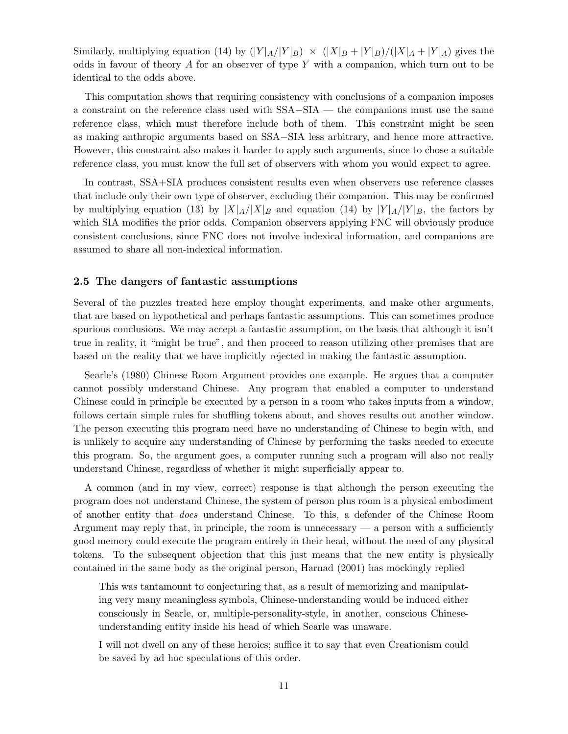Similarly, multiplying equation (14) by  $(|Y|_A/|Y|_B) \times (|X|_B + |Y|_B)/(|X|_A + |Y|_A)$  gives the odds in favour of theory  $A$  for an observer of type  $Y$  with a companion, which turn out to be identical to the odds above.

This computation shows that requiring consistency with conclusions of a companion imposes a constraint on the reference class used with SSA−SIA — the companions must use the same reference class, which must therefore include both of them. This constraint might be seen as making anthropic arguments based on SSA−SIA less arbitrary, and hence more attractive. However, this constraint also makes it harder to apply such arguments, since to chose a suitable reference class, you must know the full set of observers with whom you would expect to agree.

In contrast, SSA+SIA produces consistent results even when observers use reference classes that include only their own type of observer, excluding their companion. This may be confirmed by multiplying equation (13) by  $|X|_A/|X|_B$  and equation (14) by  $|Y|_A/|Y|_B$ , the factors by which SIA modifies the prior odds. Companion observers applying FNC will obviously produce consistent conclusions, since FNC does not involve indexical information, and companions are assumed to share all non-indexical information.

#### 2.5 The dangers of fantastic assumptions

Several of the puzzles treated here employ thought experiments, and make other arguments, that are based on hypothetical and perhaps fantastic assumptions. This can sometimes produce spurious conclusions. We may accept a fantastic assumption, on the basis that although it isn't true in reality, it "might be true", and then proceed to reason utilizing other premises that are based on the reality that we have implicitly rejected in making the fantastic assumption.

Searle's (1980) Chinese Room Argument provides one example. He argues that a computer cannot possibly understand Chinese. Any program that enabled a computer to understand Chinese could in principle be executed by a person in a room who takes inputs from a window, follows certain simple rules for shuffling tokens about, and shoves results out another window. The person executing this program need have no understanding of Chinese to begin with, and is unlikely to acquire any understanding of Chinese by performing the tasks needed to execute this program. So, the argument goes, a computer running such a program will also not really understand Chinese, regardless of whether it might superficially appear to.

A common (and in my view, correct) response is that although the person executing the program does not understand Chinese, the system of person plus room is a physical embodiment of another entity that does understand Chinese. To this, a defender of the Chinese Room Argument may reply that, in principle, the room is unnecessary — a person with a sufficiently good memory could execute the program entirely in their head, without the need of any physical tokens. To the subsequent objection that this just means that the new entity is physically contained in the same body as the original person, Harnad (2001) has mockingly replied

This was tantamount to conjecturing that, as a result of memorizing and manipulating very many meaningless symbols, Chinese-understanding would be induced either consciously in Searle, or, multiple-personality-style, in another, conscious Chineseunderstanding entity inside his head of which Searle was unaware.

I will not dwell on any of these heroics; suffice it to say that even Creationism could be saved by ad hoc speculations of this order.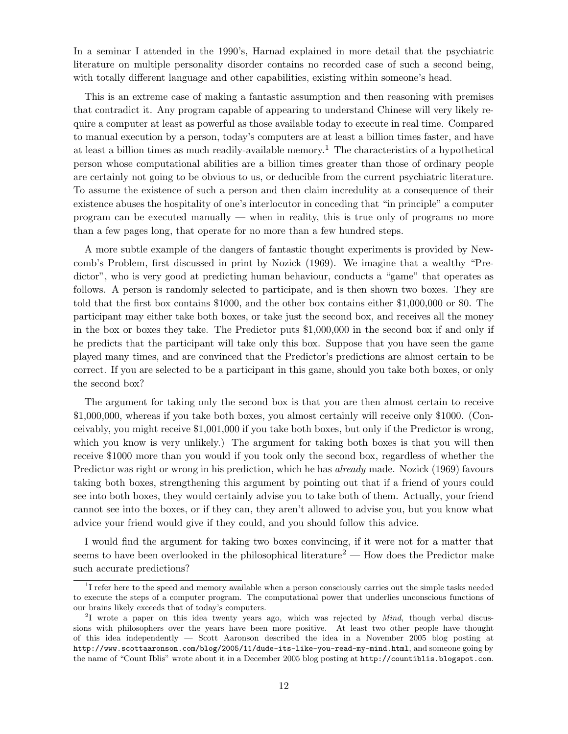In a seminar I attended in the 1990's, Harnad explained in more detail that the psychiatric literature on multiple personality disorder contains no recorded case of such a second being, with totally different language and other capabilities, existing within someone's head.

This is an extreme case of making a fantastic assumption and then reasoning with premises that contradict it. Any program capable of appearing to understand Chinese will very likely require a computer at least as powerful as those available today to execute in real time. Compared to manual execution by a person, today's computers are at least a billion times faster, and have at least a billion times as much readily-available memory. <sup>1</sup> The characteristics of a hypothetical person whose computational abilities are a billion times greater than those of ordinary people are certainly not going to be obvious to us, or deducible from the current psychiatric literature. To assume the existence of such a person and then claim incredulity at a consequence of their existence abuses the hospitality of one's interlocutor in conceding that "in principle" a computer program can be executed manually — when in reality, this is true only of programs no more than a few pages long, that operate for no more than a few hundred steps.

A more subtle example of the dangers of fantastic thought experiments is provided by Newcomb's Problem, first discussed in print by Nozick (1969). We imagine that a wealthy "Predictor", who is very good at predicting human behaviour, conducts a "game" that operates as follows. A person is randomly selected to participate, and is then shown two boxes. They are told that the first box contains \$1000, and the other box contains either \$1,000,000 or \$0. The participant may either take both boxes, or take just the second box, and receives all the money in the box or boxes they take. The Predictor puts \$1,000,000 in the second box if and only if he predicts that the participant will take only this box. Suppose that you have seen the game played many times, and are convinced that the Predictor's predictions are almost certain to be correct. If you are selected to be a participant in this game, should you take both boxes, or only the second box?

The argument for taking only the second box is that you are then almost certain to receive \$1,000,000, whereas if you take both boxes, you almost certainly will receive only \$1000. (Conceivably, you might receive \$1,001,000 if you take both boxes, but only if the Predictor is wrong, which you know is very unlikely.) The argument for taking both boxes is that you will then receive \$1000 more than you would if you took only the second box, regardless of whether the Predictor was right or wrong in his prediction, which he has *already* made. Nozick (1969) favours taking both boxes, strengthening this argument by pointing out that if a friend of yours could see into both boxes, they would certainly advise you to take both of them. Actually, your friend cannot see into the boxes, or if they can, they aren't allowed to advise you, but you know what advice your friend would give if they could, and you should follow this advice.

I would find the argument for taking two boxes convincing, if it were not for a matter that seems to have been overlooked in the philosophical literature<sup>2</sup> — How does the Predictor make such accurate predictions?

<sup>&</sup>lt;sup>1</sup>I refer here to the speed and memory available when a person consciously carries out the simple tasks needed to execute the steps of a computer program. The computational power that underlies unconscious functions of our brains likely exceeds that of today's computers.

<sup>&</sup>lt;sup>2</sup>I wrote a paper on this idea twenty years ago, which was rejected by *Mind*, though verbal discussions with philosophers over the years have been more positive. At least two other people have thought of this idea independently — Scott Aaronson described the idea in a November 2005 blog posting at http://www.scottaaronson.com/blog/2005/11/dude-its-like-you-read-my-mind.html, and someone going by the name of "Count Iblis" wrote about it in a December 2005 blog posting at http://countiblis.blogspot.com.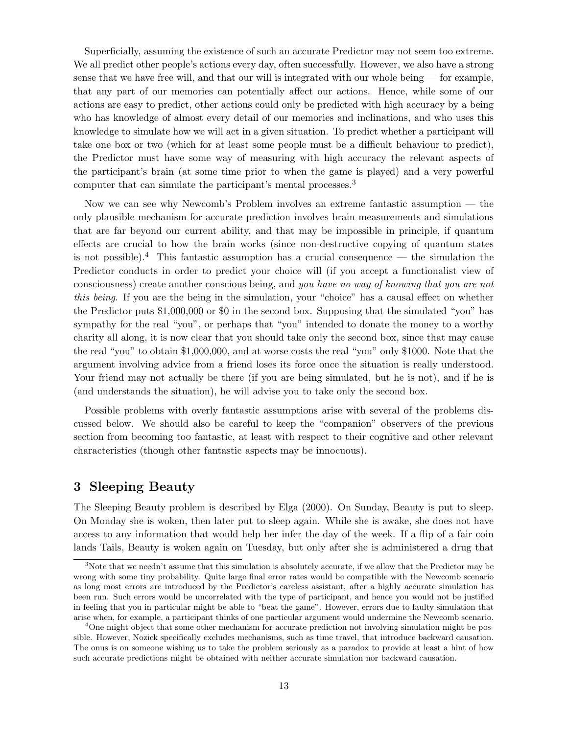Superficially, assuming the existence of such an accurate Predictor may not seem too extreme. We all predict other people's actions every day, often successfully. However, we also have a strong sense that we have free will, and that our will is integrated with our whole being — for example, that any part of our memories can potentially affect our actions. Hence, while some of our actions are easy to predict, other actions could only be predicted with high accuracy by a being who has knowledge of almost every detail of our memories and inclinations, and who uses this knowledge to simulate how we will act in a given situation. To predict whether a participant will take one box or two (which for at least some people must be a difficult behaviour to predict), the Predictor must have some way of measuring with high accuracy the relevant aspects of the participant's brain (at some time prior to when the game is played) and a very powerful computer that can simulate the participant's mental processes.<sup>3</sup>

Now we can see why Newcomb's Problem involves an extreme fantastic assumption — the only plausible mechanism for accurate prediction involves brain measurements and simulations that are far beyond our current ability, and that may be impossible in principle, if quantum effects are crucial to how the brain works (since non-destructive copying of quantum states is not possible).<sup>4</sup> This fantastic assumption has a crucial consequence — the simulation the Predictor conducts in order to predict your choice will (if you accept a functionalist view of consciousness) create another conscious being, and you have no way of knowing that you are not this being. If you are the being in the simulation, your "choice" has a causal effect on whether the Predictor puts \$1,000,000 or \$0 in the second box. Supposing that the simulated "you" has sympathy for the real "you", or perhaps that "you" intended to donate the money to a worthy charity all along, it is now clear that you should take only the second box, since that may cause the real "you" to obtain \$1,000,000, and at worse costs the real "you" only \$1000. Note that the argument involving advice from a friend loses its force once the situation is really understood. Your friend may not actually be there (if you are being simulated, but he is not), and if he is (and understands the situation), he will advise you to take only the second box.

Possible problems with overly fantastic assumptions arise with several of the problems discussed below. We should also be careful to keep the "companion" observers of the previous section from becoming too fantastic, at least with respect to their cognitive and other relevant characteristics (though other fantastic aspects may be innocuous).

# 3 Sleeping Beauty

The Sleeping Beauty problem is described by Elga (2000). On Sunday, Beauty is put to sleep. On Monday she is woken, then later put to sleep again. While she is awake, she does not have access to any information that would help her infer the day of the week. If a flip of a fair coin lands Tails, Beauty is woken again on Tuesday, but only after she is administered a drug that

<sup>&</sup>lt;sup>3</sup>Note that we needn't assume that this simulation is absolutely accurate, if we allow that the Predictor may be wrong with some tiny probability. Quite large final error rates would be compatible with the Newcomb scenario as long most errors are introduced by the Predictor's careless assistant, after a highly accurate simulation has been run. Such errors would be uncorrelated with the type of participant, and hence you would not be justified in feeling that you in particular might be able to "beat the game". However, errors due to faulty simulation that arise when, for example, a participant thinks of one particular argument would undermine the Newcomb scenario.

<sup>&</sup>lt;sup>4</sup>One might object that some other mechanism for accurate prediction not involving simulation might be possible. However, Nozick specifically excludes mechanisms, such as time travel, that introduce backward causation. The onus is on someone wishing us to take the problem seriously as a paradox to provide at least a hint of how such accurate predictions might be obtained with neither accurate simulation nor backward causation.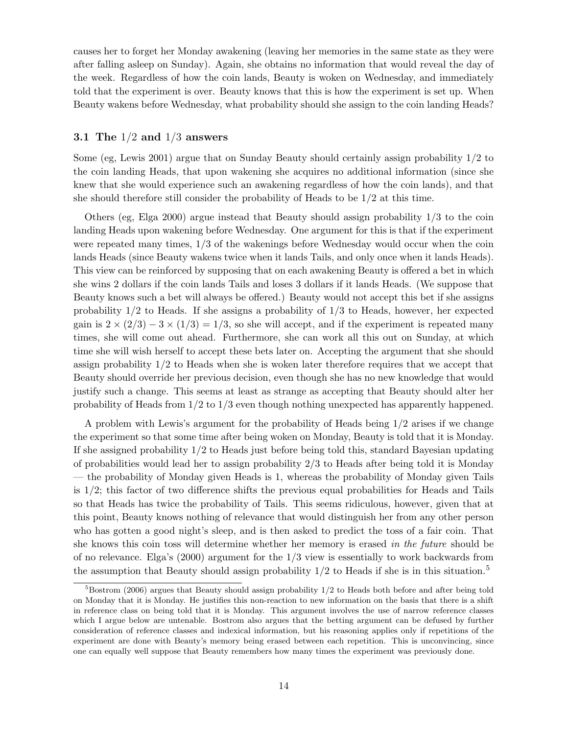causes her to forget her Monday awakening (leaving her memories in the same state as they were after falling asleep on Sunday). Again, she obtains no information that would reveal the day of the week. Regardless of how the coin lands, Beauty is woken on Wednesday, and immediately told that the experiment is over. Beauty knows that this is how the experiment is set up. When Beauty wakens before Wednesday, what probability should she assign to the coin landing Heads?

### 3.1 The  $1/2$  and  $1/3$  answers

Some (eg, Lewis 2001) argue that on Sunday Beauty should certainly assign probability 1/2 to the coin landing Heads, that upon wakening she acquires no additional information (since she knew that she would experience such an awakening regardless of how the coin lands), and that she should therefore still consider the probability of Heads to be 1/2 at this time.

Others (eg, Elga 2000) argue instead that Beauty should assign probability 1/3 to the coin landing Heads upon wakening before Wednesday. One argument for this is that if the experiment were repeated many times, 1/3 of the wakenings before Wednesday would occur when the coin lands Heads (since Beauty wakens twice when it lands Tails, and only once when it lands Heads). This view can be reinforced by supposing that on each awakening Beauty is offered a bet in which she wins 2 dollars if the coin lands Tails and loses 3 dollars if it lands Heads. (We suppose that Beauty knows such a bet will always be offered.) Beauty would not accept this bet if she assigns probability  $1/2$  to Heads. If she assigns a probability of  $1/3$  to Heads, however, her expected gain is  $2 \times (2/3) - 3 \times (1/3) = 1/3$ , so she will accept, and if the experiment is repeated many times, she will come out ahead. Furthermore, she can work all this out on Sunday, at which time she will wish herself to accept these bets later on. Accepting the argument that she should assign probability 1/2 to Heads when she is woken later therefore requires that we accept that Beauty should override her previous decision, even though she has no new knowledge that would justify such a change. This seems at least as strange as accepting that Beauty should alter her probability of Heads from 1/2 to 1/3 even though nothing unexpected has apparently happened.

A problem with Lewis's argument for the probability of Heads being 1/2 arises if we change the experiment so that some time after being woken on Monday, Beauty is told that it is Monday. If she assigned probability 1/2 to Heads just before being told this, standard Bayesian updating of probabilities would lead her to assign probability 2/3 to Heads after being told it is Monday — the probability of Monday given Heads is 1, whereas the probability of Monday given Tails is 1/2; this factor of two difference shifts the previous equal probabilities for Heads and Tails so that Heads has twice the probability of Tails. This seems ridiculous, however, given that at this point, Beauty knows nothing of relevance that would distinguish her from any other person who has gotten a good night's sleep, and is then asked to predict the toss of a fair coin. That she knows this coin toss will determine whether her memory is erased in the future should be of no relevance. Elga's (2000) argument for the 1/3 view is essentially to work backwards from the assumption that Beauty should assign probability  $1/2$  to Heads if she is in this situation.<sup>5</sup>

 $5B$ ostrom (2006) argues that Beauty should assign probability  $1/2$  to Heads both before and after being told on Monday that it is Monday. He justifies this non-reaction to new information on the basis that there is a shift in reference class on being told that it is Monday. This argument involves the use of narrow reference classes which I argue below are untenable. Bostrom also argues that the betting argument can be defused by further consideration of reference classes and indexical information, but his reasoning applies only if repetitions of the experiment are done with Beauty's memory being erased between each repetition. This is unconvincing, since one can equally well suppose that Beauty remembers how many times the experiment was previously done.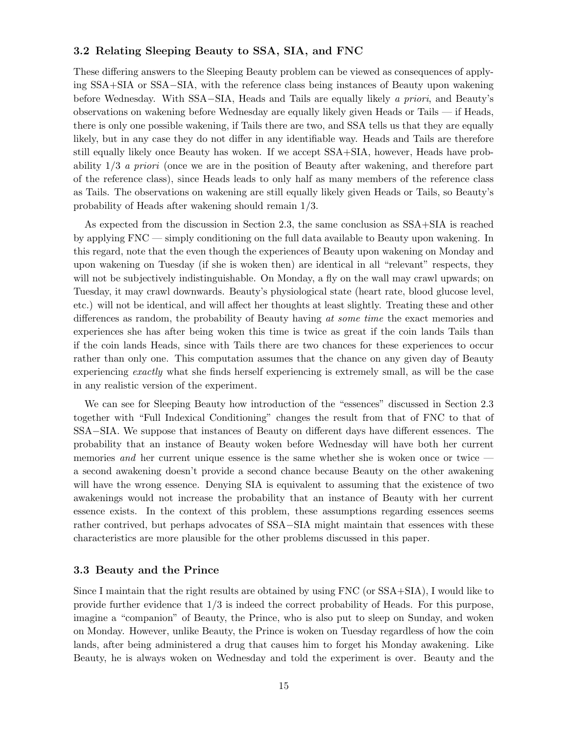### 3.2 Relating Sleeping Beauty to SSA, SIA, and FNC

These differing answers to the Sleeping Beauty problem can be viewed as consequences of applying SSA+SIA or SSA−SIA, with the reference class being instances of Beauty upon wakening before Wednesday. With SSA−SIA, Heads and Tails are equally likely a priori, and Beauty's observations on wakening before Wednesday are equally likely given Heads or Tails — if Heads, there is only one possible wakening, if Tails there are two, and SSA tells us that they are equally likely, but in any case they do not differ in any identifiable way. Heads and Tails are therefore still equally likely once Beauty has woken. If we accept SSA+SIA, however, Heads have probability 1/3 a priori (once we are in the position of Beauty after wakening, and therefore part of the reference class), since Heads leads to only half as many members of the reference class as Tails. The observations on wakening are still equally likely given Heads or Tails, so Beauty's probability of Heads after wakening should remain 1/3.

As expected from the discussion in Section 2.3, the same conclusion as SSA+SIA is reached by applying FNC — simply conditioning on the full data available to Beauty upon wakening. In this regard, note that the even though the experiences of Beauty upon wakening on Monday and upon wakening on Tuesday (if she is woken then) are identical in all "relevant" respects, they will not be subjectively indistinguishable. On Monday, a fly on the wall may crawl upwards; on Tuesday, it may crawl downwards. Beauty's physiological state (heart rate, blood glucose level, etc.) will not be identical, and will affect her thoughts at least slightly. Treating these and other differences as random, the probability of Beauty having at some time the exact memories and experiences she has after being woken this time is twice as great if the coin lands Tails than if the coin lands Heads, since with Tails there are two chances for these experiences to occur rather than only one. This computation assumes that the chance on any given day of Beauty experiencing exactly what she finds herself experiencing is extremely small, as will be the case in any realistic version of the experiment.

We can see for Sleeping Beauty how introduction of the "essences" discussed in Section 2.3 together with "Full Indexical Conditioning" changes the result from that of FNC to that of SSA−SIA. We suppose that instances of Beauty on different days have different essences. The probability that an instance of Beauty woken before Wednesday will have both her current memories and her current unique essence is the same whether she is woken once or twice a second awakening doesn't provide a second chance because Beauty on the other awakening will have the wrong essence. Denying SIA is equivalent to assuming that the existence of two awakenings would not increase the probability that an instance of Beauty with her current essence exists. In the context of this problem, these assumptions regarding essences seems rather contrived, but perhaps advocates of SSA−SIA might maintain that essences with these characteristics are more plausible for the other problems discussed in this paper.

#### 3.3 Beauty and the Prince

Since I maintain that the right results are obtained by using FNC (or SSA+SIA), I would like to provide further evidence that 1/3 is indeed the correct probability of Heads. For this purpose, imagine a "companion" of Beauty, the Prince, who is also put to sleep on Sunday, and woken on Monday. However, unlike Beauty, the Prince is woken on Tuesday regardless of how the coin lands, after being administered a drug that causes him to forget his Monday awakening. Like Beauty, he is always woken on Wednesday and told the experiment is over. Beauty and the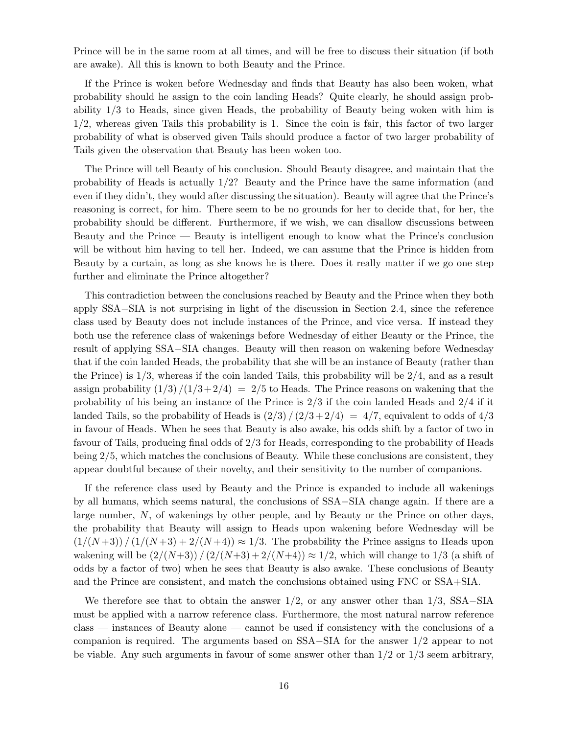Prince will be in the same room at all times, and will be free to discuss their situation (if both are awake). All this is known to both Beauty and the Prince.

If the Prince is woken before Wednesday and finds that Beauty has also been woken, what probability should he assign to the coin landing Heads? Quite clearly, he should assign probability 1/3 to Heads, since given Heads, the probability of Beauty being woken with him is 1/2, whereas given Tails this probability is 1. Since the coin is fair, this factor of two larger probability of what is observed given Tails should produce a factor of two larger probability of Tails given the observation that Beauty has been woken too.

The Prince will tell Beauty of his conclusion. Should Beauty disagree, and maintain that the probability of Heads is actually 1/2? Beauty and the Prince have the same information (and even if they didn't, they would after discussing the situation). Beauty will agree that the Prince's reasoning is correct, for him. There seem to be no grounds for her to decide that, for her, the probability should be different. Furthermore, if we wish, we can disallow discussions between Beauty and the Prince — Beauty is intelligent enough to know what the Prince's conclusion will be without him having to tell her. Indeed, we can assume that the Prince is hidden from Beauty by a curtain, as long as she knows he is there. Does it really matter if we go one step further and eliminate the Prince altogether?

This contradiction between the conclusions reached by Beauty and the Prince when they both apply SSA−SIA is not surprising in light of the discussion in Section 2.4, since the reference class used by Beauty does not include instances of the Prince, and vice versa. If instead they both use the reference class of wakenings before Wednesday of either Beauty or the Prince, the result of applying SSA−SIA changes. Beauty will then reason on wakening before Wednesday that if the coin landed Heads, the probability that she will be an instance of Beauty (rather than the Prince) is  $1/3$ , whereas if the coin landed Tails, this probability will be  $2/4$ , and as a result assign probability  $\left(\frac{1}{3}\right)$  /( $\left(\frac{1}{3}+2/4\right)$  = 2/5 to Heads. The Prince reasons on wakening that the probability of his being an instance of the Prince is 2/3 if the coin landed Heads and 2/4 if it landed Tails, so the probability of Heads is  $\left(\frac{2}{3}\right) / \left(\frac{2}{3} + \frac{2}{4}\right) = \frac{4}{7}$ , equivalent to odds of  $\frac{4}{3}$ in favour of Heads. When he sees that Beauty is also awake, his odds shift by a factor of two in favour of Tails, producing final odds of 2/3 for Heads, corresponding to the probability of Heads being 2/5, which matches the conclusions of Beauty. While these conclusions are consistent, they appear doubtful because of their novelty, and their sensitivity to the number of companions.

If the reference class used by Beauty and the Prince is expanded to include all wakenings by all humans, which seems natural, the conclusions of SSA−SIA change again. If there are a large number, N, of wakenings by other people, and by Beauty or the Prince on other days, the probability that Beauty will assign to Heads upon wakening before Wednesday will be  $\left(\frac{1}{N+3}\right)$  /  $\left(\frac{1}{N+3}+2/(N+4)\right) \approx 1/3$ . The probability the Prince assigns to Heads upon wakening will be  $\left(\frac{2}{N+3}\right)/\left(\frac{2}{N+3}+\frac{2}{N+4}\right) \approx 1/2$ , which will change to  $1/3$  (a shift of odds by a factor of two) when he sees that Beauty is also awake. These conclusions of Beauty and the Prince are consistent, and match the conclusions obtained using FNC or SSA+SIA.

We therefore see that to obtain the answer  $1/2$ , or any answer other than  $1/3$ , SSA–SIA must be applied with a narrow reference class. Furthermore, the most natural narrow reference class — instances of Beauty alone — cannot be used if consistency with the conclusions of a companion is required. The arguments based on SSA−SIA for the answer 1/2 appear to not be viable. Any such arguments in favour of some answer other than  $1/2$  or  $1/3$  seem arbitrary,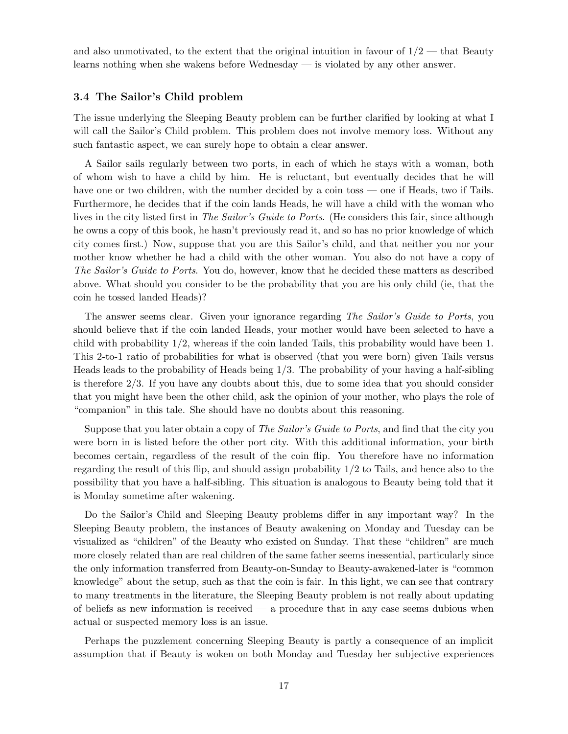and also unmotivated, to the extent that the original intuition in favour of  $1/2$  — that Beauty learns nothing when she wakens before Wednesday — is violated by any other answer.

### 3.4 The Sailor's Child problem

The issue underlying the Sleeping Beauty problem can be further clarified by looking at what I will call the Sailor's Child problem. This problem does not involve memory loss. Without any such fantastic aspect, we can surely hope to obtain a clear answer.

A Sailor sails regularly between two ports, in each of which he stays with a woman, both of whom wish to have a child by him. He is reluctant, but eventually decides that he will have one or two children, with the number decided by a coin toss — one if Heads, two if Tails. Furthermore, he decides that if the coin lands Heads, he will have a child with the woman who lives in the city listed first in *The Sailor's Guide to Ports*. (He considers this fair, since although he owns a copy of this book, he hasn't previously read it, and so has no prior knowledge of which city comes first.) Now, suppose that you are this Sailor's child, and that neither you nor your mother know whether he had a child with the other woman. You also do not have a copy of The Sailor's Guide to Ports. You do, however, know that he decided these matters as described above. What should you consider to be the probability that you are his only child (ie, that the coin he tossed landed Heads)?

The answer seems clear. Given your ignorance regarding The Sailor's Guide to Ports, you should believe that if the coin landed Heads, your mother would have been selected to have a child with probability  $1/2$ , whereas if the coin landed Tails, this probability would have been 1. This 2-to-1 ratio of probabilities for what is observed (that you were born) given Tails versus Heads leads to the probability of Heads being 1/3. The probability of your having a half-sibling is therefore 2/3. If you have any doubts about this, due to some idea that you should consider that you might have been the other child, ask the opinion of your mother, who plays the role of "companion" in this tale. She should have no doubts about this reasoning.

Suppose that you later obtain a copy of *The Sailor's Guide to Ports*, and find that the city you were born in is listed before the other port city. With this additional information, your birth becomes certain, regardless of the result of the coin flip. You therefore have no information regarding the result of this flip, and should assign probability 1/2 to Tails, and hence also to the possibility that you have a half-sibling. This situation is analogous to Beauty being told that it is Monday sometime after wakening.

Do the Sailor's Child and Sleeping Beauty problems differ in any important way? In the Sleeping Beauty problem, the instances of Beauty awakening on Monday and Tuesday can be visualized as "children" of the Beauty who existed on Sunday. That these "children" are much more closely related than are real children of the same father seems inessential, particularly since the only information transferred from Beauty-on-Sunday to Beauty-awakened-later is "common knowledge" about the setup, such as that the coin is fair. In this light, we can see that contrary to many treatments in the literature, the Sleeping Beauty problem is not really about updating of beliefs as new information is received  $-$  a procedure that in any case seems dubious when actual or suspected memory loss is an issue.

Perhaps the puzzlement concerning Sleeping Beauty is partly a consequence of an implicit assumption that if Beauty is woken on both Monday and Tuesday her subjective experiences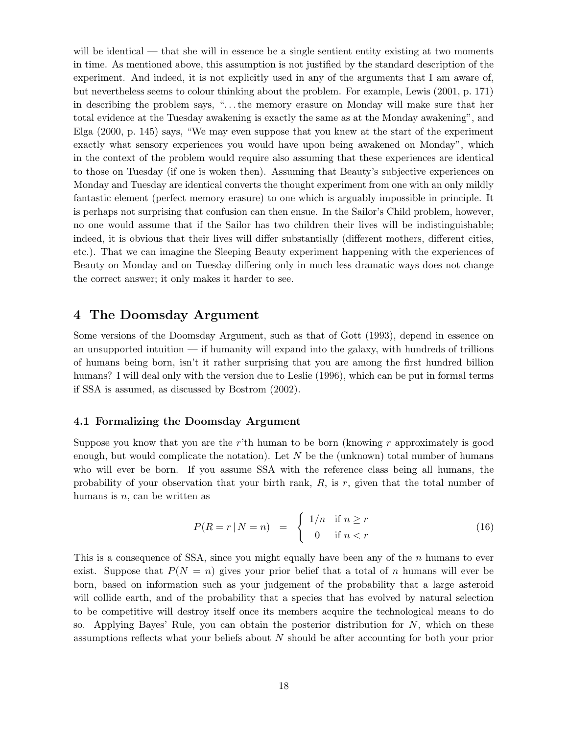will be identical — that she will in essence be a single sentient entity existing at two moments in time. As mentioned above, this assumption is not justified by the standard description of the experiment. And indeed, it is not explicitly used in any of the arguments that I am aware of, but nevertheless seems to colour thinking about the problem. For example, Lewis (2001, p. 171) in describing the problem says, ". . .the memory erasure on Monday will make sure that her total evidence at the Tuesday awakening is exactly the same as at the Monday awakening", and Elga (2000, p. 145) says, "We may even suppose that you knew at the start of the experiment exactly what sensory experiences you would have upon being awakened on Monday", which in the context of the problem would require also assuming that these experiences are identical to those on Tuesday (if one is woken then). Assuming that Beauty's subjective experiences on Monday and Tuesday are identical converts the thought experiment from one with an only mildly fantastic element (perfect memory erasure) to one which is arguably impossible in principle. It is perhaps not surprising that confusion can then ensue. In the Sailor's Child problem, however, no one would assume that if the Sailor has two children their lives will be indistinguishable; indeed, it is obvious that their lives will differ substantially (different mothers, different cities, etc.). That we can imagine the Sleeping Beauty experiment happening with the experiences of Beauty on Monday and on Tuesday differing only in much less dramatic ways does not change the correct answer; it only makes it harder to see.

# 4 The Doomsday Argument

Some versions of the Doomsday Argument, such as that of Gott (1993), depend in essence on an unsupported intuition — if humanity will expand into the galaxy, with hundreds of trillions of humans being born, isn't it rather surprising that you are among the first hundred billion humans? I will deal only with the version due to Leslie (1996), which can be put in formal terms if SSA is assumed, as discussed by Bostrom (2002).

## 4.1 Formalizing the Doomsday Argument

Suppose you know that you are the r'th human to be born (knowing r approximately is good enough, but would complicate the notation). Let  $N$  be the (unknown) total number of humans who will ever be born. If you assume SSA with the reference class being all humans, the probability of your observation that your birth rank,  $R$ , is  $r$ , given that the total number of humans is  $n$ , can be written as

$$
P(R = r | N = n) = \begin{cases} 1/n & \text{if } n \ge r \\ 0 & \text{if } n < r \end{cases} \tag{16}
$$

This is a consequence of SSA, since you might equally have been any of the n humans to ever exist. Suppose that  $P(N = n)$  gives your prior belief that a total of n humans will ever be born, based on information such as your judgement of the probability that a large asteroid will collide earth, and of the probability that a species that has evolved by natural selection to be competitive will destroy itself once its members acquire the technological means to do so. Applying Bayes' Rule, you can obtain the posterior distribution for  $N$ , which on these assumptions reflects what your beliefs about N should be after accounting for both your prior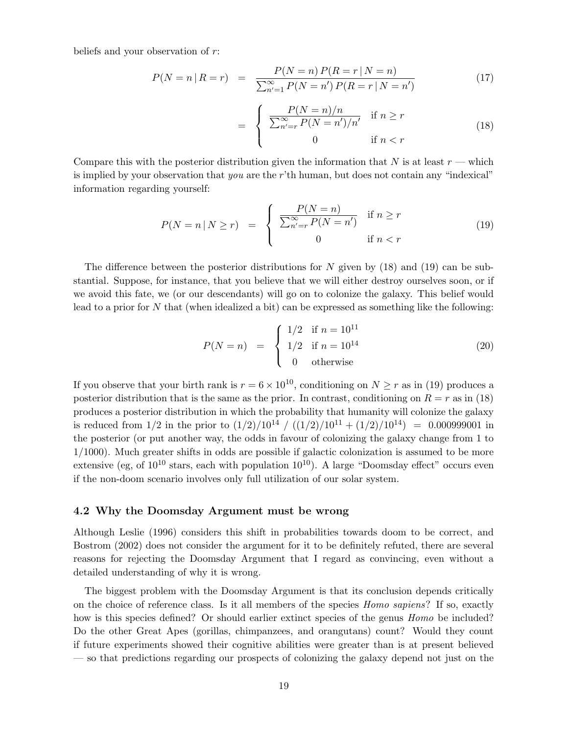beliefs and your observation of r:

$$
P(N = n | R = r) = \frac{P(N = n) P(R = r | N = n)}{\sum_{n'=1}^{\infty} P(N = n') P(R = r | N = n')} \tag{17}
$$

$$
= \begin{cases} \frac{P(N=n)/n}{\sum_{n'=r}^{\infty} P(N=n')/n'} & \text{if } n \ge r \\ 0 & \text{if } n < r \end{cases}
$$
(18)

Compare this with the posterior distribution given the information that  $N$  is at least  $r$  — which is implied by your observation that you are the r'th human, but does not contain any "indexical" information regarding yourself:

$$
P(N = n | N \ge r) = \begin{cases} \frac{P(N = n)}{\sum_{n'=r}^{\infty} P(N = n')} & \text{if } n \ge r \\ 0 & \text{if } n < r \end{cases}
$$
(19)

The difference between the posterior distributions for N given by  $(18)$  and  $(19)$  can be substantial. Suppose, for instance, that you believe that we will either destroy ourselves soon, or if we avoid this fate, we (or our descendants) will go on to colonize the galaxy. This belief would lead to a prior for N that (when idealized a bit) can be expressed as something like the following:

$$
P(N = n) = \begin{cases} 1/2 & \text{if } n = 10^{11} \\ 1/2 & \text{if } n = 10^{14} \\ 0 & \text{otherwise} \end{cases}
$$
 (20)

If you observe that your birth rank is  $r = 6 \times 10^{10}$ , conditioning on  $N \ge r$  as in (19) produces a posterior distribution that is the same as the prior. In contrast, conditioning on  $R = r$  as in (18) produces a posterior distribution in which the probability that humanity will colonize the galaxy is reduced from  $1/2$  in the prior to  $(1/2)/10^{14} / ((1/2)/10^{11} + (1/2)/10^{14}) = 0.000999001$  in the posterior (or put another way, the odds in favour of colonizing the galaxy change from 1 to 1/1000). Much greater shifts in odds are possible if galactic colonization is assumed to be more extensive (eg, of  $10^{10}$  stars, each with population  $10^{10}$ ). A large "Doomsday effect" occurs even if the non-doom scenario involves only full utilization of our solar system.

#### 4.2 Why the Doomsday Argument must be wrong

Although Leslie (1996) considers this shift in probabilities towards doom to be correct, and Bostrom (2002) does not consider the argument for it to be definitely refuted, there are several reasons for rejecting the Doomsday Argument that I regard as convincing, even without a detailed understanding of why it is wrong.

The biggest problem with the Doomsday Argument is that its conclusion depends critically on the choice of reference class. Is it all members of the species Homo sapiens? If so, exactly how is this species defined? Or should earlier extinct species of the genus *Homo* be included? Do the other Great Apes (gorillas, chimpanzees, and orangutans) count? Would they count if future experiments showed their cognitive abilities were greater than is at present believed — so that predictions regarding our prospects of colonizing the galaxy depend not just on the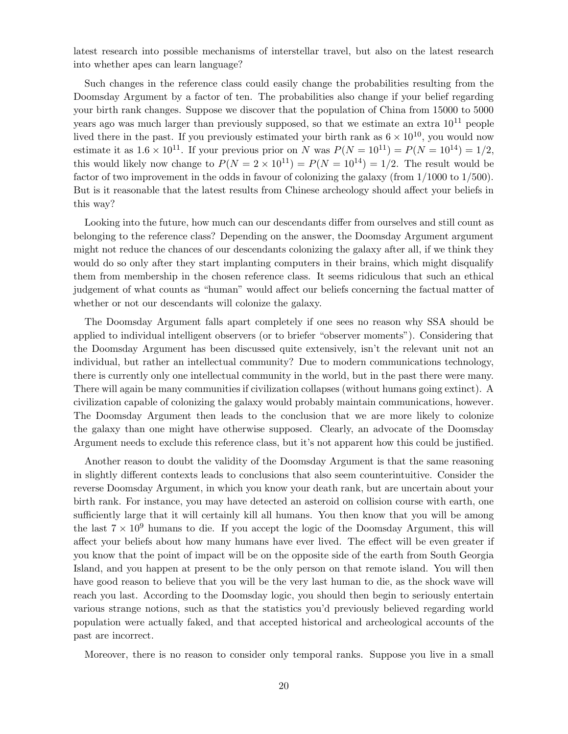latest research into possible mechanisms of interstellar travel, but also on the latest research into whether apes can learn language?

Such changes in the reference class could easily change the probabilities resulting from the Doomsday Argument by a factor of ten. The probabilities also change if your belief regarding your birth rank changes. Suppose we discover that the population of China from 15000 to 5000 years ago was much larger than previously supposed, so that we estimate an extra  $10^{11}$  people lived there in the past. If you previously estimated your birth rank as  $6 \times 10^{10}$ , you would now estimate it as  $1.6 \times 10^{11}$ . If your previous prior on N was  $P(N = 10^{11}) = P(N = 10^{14}) = 1/2$ , this would likely now change to  $P(N = 2 \times 10^{11}) = P(N = 10^{14}) = 1/2$ . The result would be factor of two improvement in the odds in favour of colonizing the galaxy (from 1/1000 to 1/500). But is it reasonable that the latest results from Chinese archeology should affect your beliefs in this way?

Looking into the future, how much can our descendants differ from ourselves and still count as belonging to the reference class? Depending on the answer, the Doomsday Argument argument might not reduce the chances of our descendants colonizing the galaxy after all, if we think they would do so only after they start implanting computers in their brains, which might disqualify them from membership in the chosen reference class. It seems ridiculous that such an ethical judgement of what counts as "human" would affect our beliefs concerning the factual matter of whether or not our descendants will colonize the galaxy.

The Doomsday Argument falls apart completely if one sees no reason why SSA should be applied to individual intelligent observers (or to briefer "observer moments"). Considering that the Doomsday Argument has been discussed quite extensively, isn't the relevant unit not an individual, but rather an intellectual community? Due to modern communications technology, there is currently only one intellectual community in the world, but in the past there were many. There will again be many communities if civilization collapses (without humans going extinct). A civilization capable of colonizing the galaxy would probably maintain communications, however. The Doomsday Argument then leads to the conclusion that we are more likely to colonize the galaxy than one might have otherwise supposed. Clearly, an advocate of the Doomsday Argument needs to exclude this reference class, but it's not apparent how this could be justified.

Another reason to doubt the validity of the Doomsday Argument is that the same reasoning in slightly different contexts leads to conclusions that also seem counterintuitive. Consider the reverse Doomsday Argument, in which you know your death rank, but are uncertain about your birth rank. For instance, you may have detected an asteroid on collision course with earth, one sufficiently large that it will certainly kill all humans. You then know that you will be among the last  $7 \times 10^9$  humans to die. If you accept the logic of the Doomsday Argument, this will affect your beliefs about how many humans have ever lived. The effect will be even greater if you know that the point of impact will be on the opposite side of the earth from South Georgia Island, and you happen at present to be the only person on that remote island. You will then have good reason to believe that you will be the very last human to die, as the shock wave will reach you last. According to the Doomsday logic, you should then begin to seriously entertain various strange notions, such as that the statistics you'd previously believed regarding world population were actually faked, and that accepted historical and archeological accounts of the past are incorrect.

Moreover, there is no reason to consider only temporal ranks. Suppose you live in a small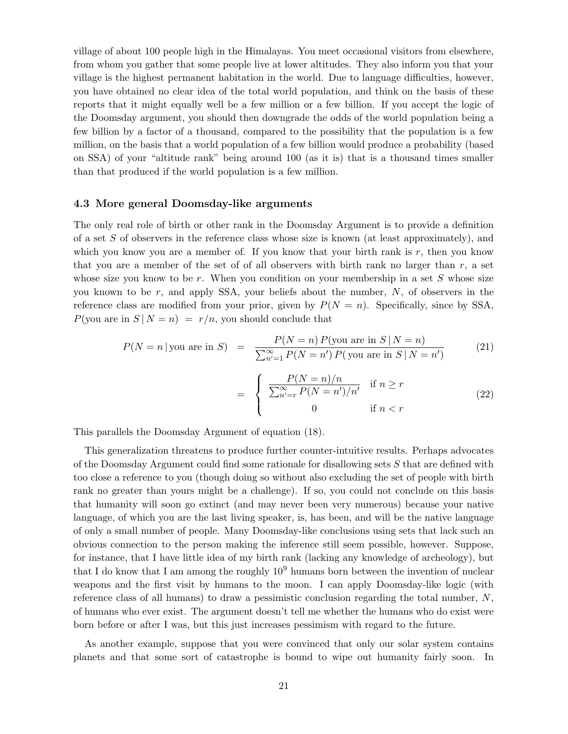village of about 100 people high in the Himalayas. You meet occasional visitors from elsewhere, from whom you gather that some people live at lower altitudes. They also inform you that your village is the highest permanent habitation in the world. Due to language difficulties, however, you have obtained no clear idea of the total world population, and think on the basis of these reports that it might equally well be a few million or a few billion. If you accept the logic of the Doomsday argument, you should then downgrade the odds of the world population being a few billion by a factor of a thousand, compared to the possibility that the population is a few million, on the basis that a world population of a few billion would produce a probability (based on SSA) of your "altitude rank" being around 100 (as it is) that is a thousand times smaller than that produced if the world population is a few million.

#### 4.3 More general Doomsday-like arguments

The only real role of birth or other rank in the Doomsday Argument is to provide a definition of a set  $S$  of observers in the reference class whose size is known (at least approximately), and which you know you are a member of. If you know that your birth rank is  $r$ , then you know that you are a member of the set of of all observers with birth rank no larger than  $r$ , a set whose size you know to be r. When you condition on your membership in a set  $S$  whose size you known to be  $r$ , and apply SSA, your beliefs about the number,  $N$ , of observers in the reference class are modified from your prior, given by  $P(N = n)$ . Specifically, since by SSA,  $P(\text{you are in } S | N = n) = r/n$ , you should conclude that

$$
P(N = n \mid \text{you are in } S) = \frac{P(N = n) P(\text{you are in } S \mid N = n)}{\sum_{n'=1}^{\infty} P(N = n') P(\text{you are in } S \mid N = n')} \tag{21}
$$

$$
= \begin{cases} \frac{P(N=n)/n}{\sum_{n'=r}^{\infty} P(N=n')/n'} & \text{if } n \ge r \\ 0 & \text{if } n < r \end{cases}
$$
 (22)

This parallels the Doomsday Argument of equation (18).

This generalization threatens to produce further counter-intuitive results. Perhaps advocates of the Doomsday Argument could find some rationale for disallowing sets S that are defined with too close a reference to you (though doing so without also excluding the set of people with birth rank no greater than yours might be a challenge). If so, you could not conclude on this basis that humanity will soon go extinct (and may never been very numerous) because your native language, of which you are the last living speaker, is, has been, and will be the native language of only a small number of people. Many Doomsday-like conclusions using sets that lack such an obvious connection to the person making the inference still seem possible, however. Suppose, for instance, that I have little idea of my birth rank (lacking any knowledge of archeology), but that I do know that I am among the roughly  $10<sup>9</sup>$  humans born between the invention of nuclear weapons and the first visit by humans to the moon. I can apply Doomsday-like logic (with reference class of all humans) to draw a pessimistic conclusion regarding the total number,  $N$ , of humans who ever exist. The argument doesn't tell me whether the humans who do exist were born before or after I was, but this just increases pessimism with regard to the future.

As another example, suppose that you were convinced that only our solar system contains planets and that some sort of catastrophe is bound to wipe out humanity fairly soon. In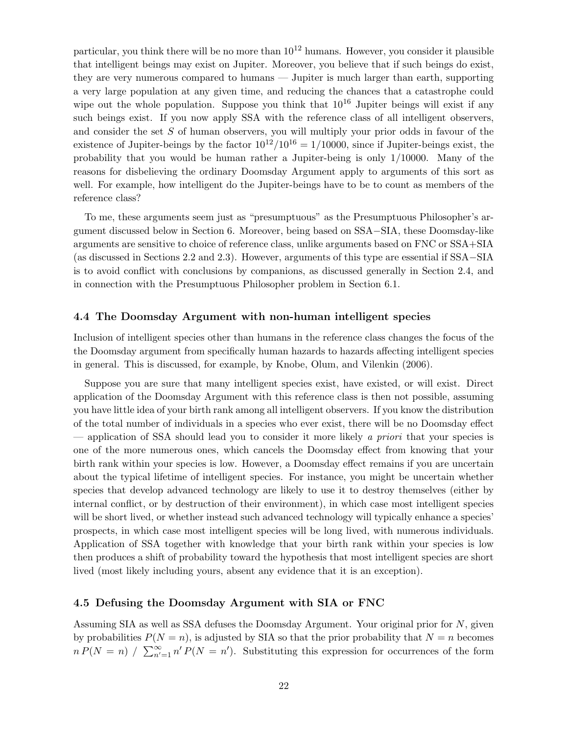particular, you think there will be no more than  $10^{12}$  humans. However, you consider it plausible that intelligent beings may exist on Jupiter. Moreover, you believe that if such beings do exist, they are very numerous compared to humans — Jupiter is much larger than earth, supporting a very large population at any given time, and reducing the chances that a catastrophe could wipe out the whole population. Suppose you think that  $10^{16}$  Jupiter beings will exist if any such beings exist. If you now apply SSA with the reference class of all intelligent observers, and consider the set S of human observers, you will multiply your prior odds in favour of the existence of Jupiter-beings by the factor  $10^{12}/10^{16} = 1/10000$ , since if Jupiter-beings exist, the probability that you would be human rather a Jupiter-being is only 1/10000. Many of the reasons for disbelieving the ordinary Doomsday Argument apply to arguments of this sort as well. For example, how intelligent do the Jupiter-beings have to be to count as members of the reference class?

To me, these arguments seem just as "presumptuous" as the Presumptuous Philosopher's argument discussed below in Section 6. Moreover, being based on SSA−SIA, these Doomsday-like arguments are sensitive to choice of reference class, unlike arguments based on FNC or SSA+SIA (as discussed in Sections 2.2 and 2.3). However, arguments of this type are essential if SSA−SIA is to avoid conflict with conclusions by companions, as discussed generally in Section 2.4, and in connection with the Presumptuous Philosopher problem in Section 6.1.

### 4.4 The Doomsday Argument with non-human intelligent species

Inclusion of intelligent species other than humans in the reference class changes the focus of the the Doomsday argument from specifically human hazards to hazards affecting intelligent species in general. This is discussed, for example, by Knobe, Olum, and Vilenkin (2006).

Suppose you are sure that many intelligent species exist, have existed, or will exist. Direct application of the Doomsday Argument with this reference class is then not possible, assuming you have little idea of your birth rank among all intelligent observers. If you know the distribution of the total number of individuals in a species who ever exist, there will be no Doomsday effect — application of SSA should lead you to consider it more likely a priori that your species is one of the more numerous ones, which cancels the Doomsday effect from knowing that your birth rank within your species is low. However, a Doomsday effect remains if you are uncertain about the typical lifetime of intelligent species. For instance, you might be uncertain whether species that develop advanced technology are likely to use it to destroy themselves (either by internal conflict, or by destruction of their environment), in which case most intelligent species will be short lived, or whether instead such advanced technology will typically enhance a species' prospects, in which case most intelligent species will be long lived, with numerous individuals. Application of SSA together with knowledge that your birth rank within your species is low then produces a shift of probability toward the hypothesis that most intelligent species are short lived (most likely including yours, absent any evidence that it is an exception).

#### 4.5 Defusing the Doomsday Argument with SIA or FNC

Assuming SIA as well as SSA defuses the Doomsday Argument. Your original prior for N, given by probabilities  $P(N = n)$ , is adjusted by SIA so that the prior probability that  $N = n$  becomes  $n P(N = n) / \sum_{n'=1}^{\infty} n' P(N = n')$ . Substituting this expression for occurrences of the form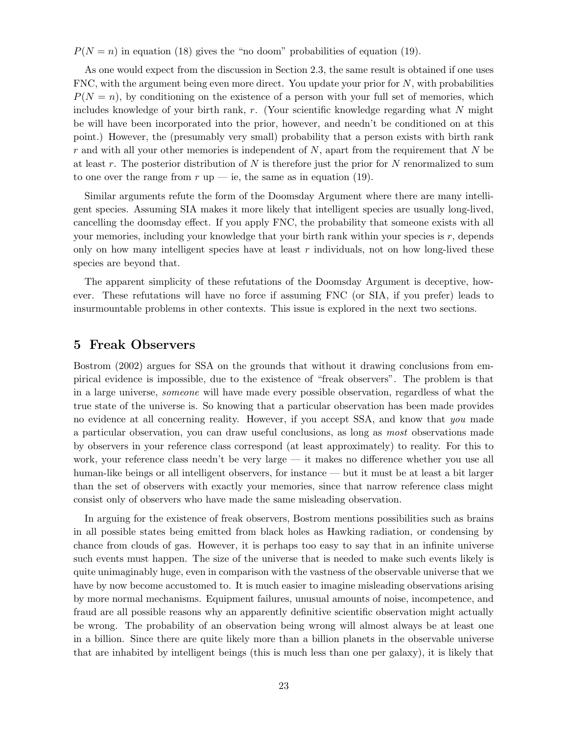$P(N = n)$  in equation (18) gives the "no doom" probabilities of equation (19).

As one would expect from the discussion in Section 2.3, the same result is obtained if one uses FNC, with the argument being even more direct. You update your prior for  $N$ , with probabilities  $P(N = n)$ , by conditioning on the existence of a person with your full set of memories, which includes knowledge of your birth rank,  $r$ . (Your scientific knowledge regarding what  $N$  might be will have been incorporated into the prior, however, and needn't be conditioned on at this point.) However, the (presumably very small) probability that a person exists with birth rank  $r$  and with all your other memories is independent of  $N$ , apart from the requirement that  $N$  be at least r. The posterior distribution of  $N$  is therefore just the prior for  $N$  renormalized to sum to one over the range from  $r \text{ up } - \text{ i}$ e, the same as in equation (19).

Similar arguments refute the form of the Doomsday Argument where there are many intelligent species. Assuming SIA makes it more likely that intelligent species are usually long-lived, cancelling the doomsday effect. If you apply FNC, the probability that someone exists with all your memories, including your knowledge that your birth rank within your species is  $r$ , depends only on how many intelligent species have at least  $r$  individuals, not on how long-lived these species are beyond that.

The apparent simplicity of these refutations of the Doomsday Argument is deceptive, however. These refutations will have no force if assuming FNC (or SIA, if you prefer) leads to insurmountable problems in other contexts. This issue is explored in the next two sections.

# 5 Freak Observers

Bostrom (2002) argues for SSA on the grounds that without it drawing conclusions from empirical evidence is impossible, due to the existence of "freak observers". The problem is that in a large universe, someone will have made every possible observation, regardless of what the true state of the universe is. So knowing that a particular observation has been made provides no evidence at all concerning reality. However, if you accept SSA, and know that you made a particular observation, you can draw useful conclusions, as long as most observations made by observers in your reference class correspond (at least approximately) to reality. For this to work, your reference class needn't be very large — it makes no difference whether you use all human-like beings or all intelligent observers, for instance — but it must be at least a bit larger than the set of observers with exactly your memories, since that narrow reference class might consist only of observers who have made the same misleading observation.

In arguing for the existence of freak observers, Bostrom mentions possibilities such as brains in all possible states being emitted from black holes as Hawking radiation, or condensing by chance from clouds of gas. However, it is perhaps too easy to say that in an infinite universe such events must happen. The size of the universe that is needed to make such events likely is quite unimaginably huge, even in comparison with the vastness of the observable universe that we have by now become accustomed to. It is much easier to imagine misleading observations arising by more normal mechanisms. Equipment failures, unusual amounts of noise, incompetence, and fraud are all possible reasons why an apparently definitive scientific observation might actually be wrong. The probability of an observation being wrong will almost always be at least one in a billion. Since there are quite likely more than a billion planets in the observable universe that are inhabited by intelligent beings (this is much less than one per galaxy), it is likely that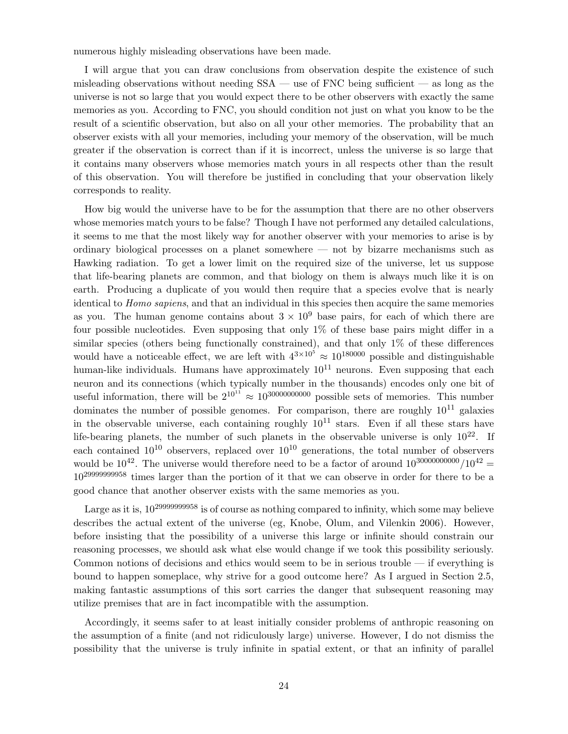numerous highly misleading observations have been made.

I will argue that you can draw conclusions from observation despite the existence of such misleading observations without needing SSA — use of FNC being sufficient — as long as the universe is not so large that you would expect there to be other observers with exactly the same memories as you. According to FNC, you should condition not just on what you know to be the result of a scientific observation, but also on all your other memories. The probability that an observer exists with all your memories, including your memory of the observation, will be much greater if the observation is correct than if it is incorrect, unless the universe is so large that it contains many observers whose memories match yours in all respects other than the result of this observation. You will therefore be justified in concluding that your observation likely corresponds to reality.

How big would the universe have to be for the assumption that there are no other observers whose memories match yours to be false? Though I have not performed any detailed calculations, it seems to me that the most likely way for another observer with your memories to arise is by ordinary biological processes on a planet somewhere — not by bizarre mechanisms such as Hawking radiation. To get a lower limit on the required size of the universe, let us suppose that life-bearing planets are common, and that biology on them is always much like it is on earth. Producing a duplicate of you would then require that a species evolve that is nearly identical to *Homo sapiens*, and that an individual in this species then acquire the same memories as you. The human genome contains about  $3 \times 10^9$  base pairs, for each of which there are four possible nucleotides. Even supposing that only 1% of these base pairs might differ in a similar species (others being functionally constrained), and that only  $1\%$  of these differences would have a noticeable effect, we are left with  $4^{3\times10^5} \approx 10^{180000}$  possible and distinguishable human-like individuals. Humans have approximately  $10^{11}$  neurons. Even supposing that each neuron and its connections (which typically number in the thousands) encodes only one bit of useful information, there will be  $2^{10^{11}} \approx 10^{3000000000}$  possible sets of memories. This number dominates the number of possible genomes. For comparison, there are roughly  $10^{11}$  galaxies in the observable universe, each containing roughly  $10^{11}$  stars. Even if all these stars have life-bearing planets, the number of such planets in the observable universe is only  $10^{22}$ . If each contained  $10^{10}$  observers, replaced over  $10^{10}$  generations, the total number of observers would be  $10^{42}$ . The universe would therefore need to be a factor of around  $10^{3000000000} / 10^{42}$ 10<sup>29999999958</sup> times larger than the portion of it that we can observe in order for there to be a good chance that another observer exists with the same memories as you.

Large as it is, 10<sup>29999999958</sup> is of course as nothing compared to infinity, which some may believe describes the actual extent of the universe (eg, Knobe, Olum, and Vilenkin 2006). However, before insisting that the possibility of a universe this large or infinite should constrain our reasoning processes, we should ask what else would change if we took this possibility seriously. Common notions of decisions and ethics would seem to be in serious trouble — if everything is bound to happen someplace, why strive for a good outcome here? As I argued in Section 2.5, making fantastic assumptions of this sort carries the danger that subsequent reasoning may utilize premises that are in fact incompatible with the assumption.

Accordingly, it seems safer to at least initially consider problems of anthropic reasoning on the assumption of a finite (and not ridiculously large) universe. However, I do not dismiss the possibility that the universe is truly infinite in spatial extent, or that an infinity of parallel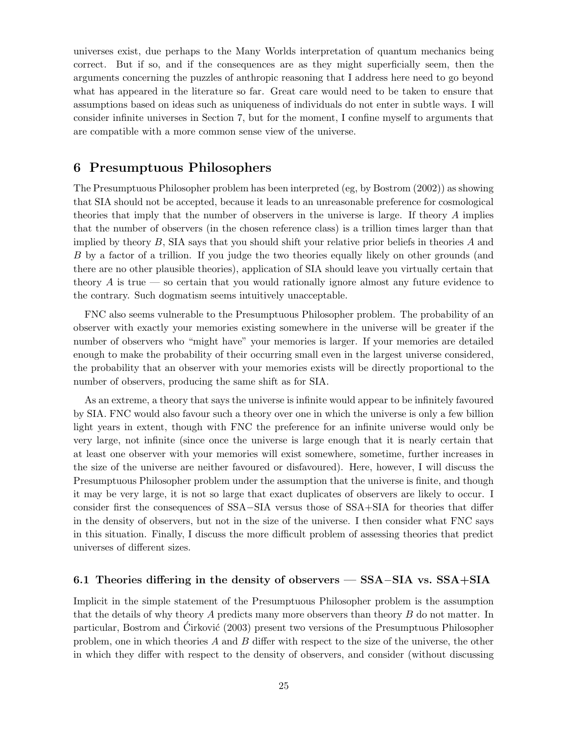universes exist, due perhaps to the Many Worlds interpretation of quantum mechanics being correct. But if so, and if the consequences are as they might superficially seem, then the arguments concerning the puzzles of anthropic reasoning that I address here need to go beyond what has appeared in the literature so far. Great care would need to be taken to ensure that assumptions based on ideas such as uniqueness of individuals do not enter in subtle ways. I will consider infinite universes in Section 7, but for the moment, I confine myself to arguments that are compatible with a more common sense view of the universe.

# 6 Presumptuous Philosophers

The Presumptuous Philosopher problem has been interpreted (eg, by Bostrom (2002)) as showing that SIA should not be accepted, because it leads to an unreasonable preference for cosmological theories that imply that the number of observers in the universe is large. If theory A implies that the number of observers (in the chosen reference class) is a trillion times larger than that implied by theory  $B$ , SIA says that you should shift your relative prior beliefs in theories  $A$  and B by a factor of a trillion. If you judge the two theories equally likely on other grounds (and there are no other plausible theories), application of SIA should leave you virtually certain that theory  $\vec{A}$  is true — so certain that you would rationally ignore almost any future evidence to the contrary. Such dogmatism seems intuitively unacceptable.

FNC also seems vulnerable to the Presumptuous Philosopher problem. The probability of an observer with exactly your memories existing somewhere in the universe will be greater if the number of observers who "might have" your memories is larger. If your memories are detailed enough to make the probability of their occurring small even in the largest universe considered, the probability that an observer with your memories exists will be directly proportional to the number of observers, producing the same shift as for SIA.

As an extreme, a theory that says the universe is infinite would appear to be infinitely favoured by SIA. FNC would also favour such a theory over one in which the universe is only a few billion light years in extent, though with FNC the preference for an infinite universe would only be very large, not infinite (since once the universe is large enough that it is nearly certain that at least one observer with your memories will exist somewhere, sometime, further increases in the size of the universe are neither favoured or disfavoured). Here, however, I will discuss the Presumptuous Philosopher problem under the assumption that the universe is finite, and though it may be very large, it is not so large that exact duplicates of observers are likely to occur. I consider first the consequences of SSA−SIA versus those of SSA+SIA for theories that differ in the density of observers, but not in the size of the universe. I then consider what FNC says in this situation. Finally, I discuss the more difficult problem of assessing theories that predict universes of different sizes.

### 6.1 Theories differing in the density of observers — SSA−SIA vs. SSA+SIA

Implicit in the simple statement of the Presumptuous Philosopher problem is the assumption that the details of why theory A predicts many more observers than theory B do not matter. In particular, Bostrom and Cirković (2003) present two versions of the Presumptuous Philosopher problem, one in which theories A and B differ with respect to the size of the universe, the other in which they differ with respect to the density of observers, and consider (without discussing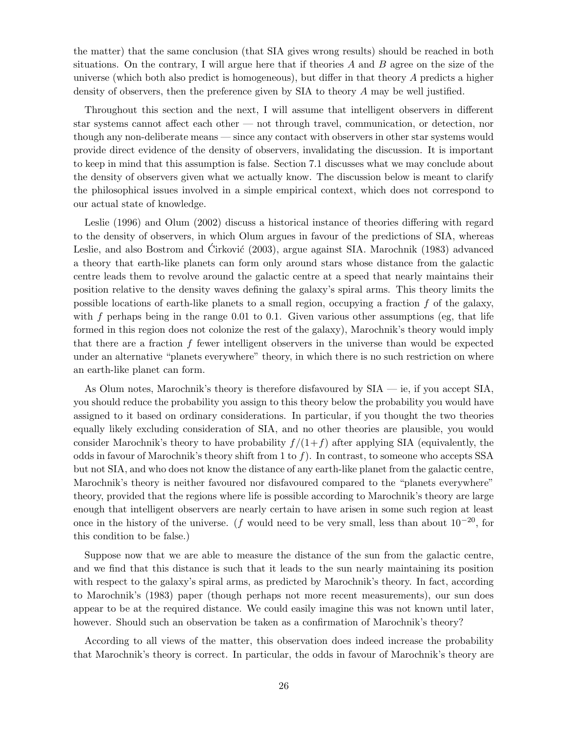the matter) that the same conclusion (that SIA gives wrong results) should be reached in both situations. On the contrary, I will argue here that if theories  $A$  and  $B$  agree on the size of the universe (which both also predict is homogeneous), but differ in that theory A predicts a higher density of observers, then the preference given by SIA to theory A may be well justified.

Throughout this section and the next, I will assume that intelligent observers in different star systems cannot affect each other — not through travel, communication, or detection, nor though any non-deliberate means — since any contact with observers in other star systems would provide direct evidence of the density of observers, invalidating the discussion. It is important to keep in mind that this assumption is false. Section 7.1 discusses what we may conclude about the density of observers given what we actually know. The discussion below is meant to clarify the philosophical issues involved in a simple empirical context, which does not correspond to our actual state of knowledge.

Leslie (1996) and Olum (2002) discuss a historical instance of theories differing with regard to the density of observers, in which Olum argues in favour of the predictions of SIA, whereas Leslie, and also Bostrom and Cirković (2003), argue against SIA. Marochnik (1983) advanced a theory that earth-like planets can form only around stars whose distance from the galactic centre leads them to revolve around the galactic centre at a speed that nearly maintains their position relative to the density waves defining the galaxy's spiral arms. This theory limits the possible locations of earth-like planets to a small region, occupying a fraction f of the galaxy, with  $f$  perhaps being in the range 0.01 to 0.1. Given various other assumptions (eg, that life formed in this region does not colonize the rest of the galaxy), Marochnik's theory would imply that there are a fraction  $f$  fewer intelligent observers in the universe than would be expected under an alternative "planets everywhere" theory, in which there is no such restriction on where an earth-like planet can form.

As Olum notes, Marochnik's theory is therefore disfavoured by SIA — ie, if you accept SIA, you should reduce the probability you assign to this theory below the probability you would have assigned to it based on ordinary considerations. In particular, if you thought the two theories equally likely excluding consideration of SIA, and no other theories are plausible, you would consider Marochnik's theory to have probability  $f/(1+f)$  after applying SIA (equivalently, the odds in favour of Marochnik's theory shift from 1 to  $f$ ). In contrast, to someone who accepts SSA but not SIA, and who does not know the distance of any earth-like planet from the galactic centre, Marochnik's theory is neither favoured nor disfavoured compared to the "planets everywhere" theory, provided that the regions where life is possible according to Marochnik's theory are large enough that intelligent observers are nearly certain to have arisen in some such region at least once in the history of the universe. (f would need to be very small, less than about  $10^{-20}$ , for this condition to be false.)

Suppose now that we are able to measure the distance of the sun from the galactic centre, and we find that this distance is such that it leads to the sun nearly maintaining its position with respect to the galaxy's spiral arms, as predicted by Marochnik's theory. In fact, according to Marochnik's (1983) paper (though perhaps not more recent measurements), our sun does appear to be at the required distance. We could easily imagine this was not known until later, however. Should such an observation be taken as a confirmation of Marochnik's theory?

According to all views of the matter, this observation does indeed increase the probability that Marochnik's theory is correct. In particular, the odds in favour of Marochnik's theory are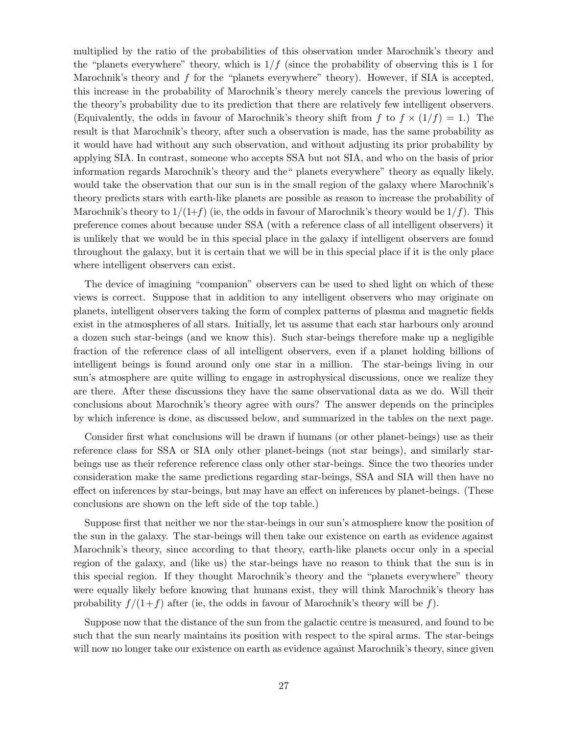multiplied by the ratio of the probabilities of this observation under Marochnik's theory and the "planets everywhere" theory, which is  $1/f$  (since the probability of observing this is 1 for Marochnik's theory and f for the "planets everywhere" theory). However, if SIA is accepted, this increase in the probability of Marochnik's theory merely cancels the previous lowering of the theory's probability due to its prediction that there are relatively few intelligent observers. (Equivalently, the odds in favour of Marochnik's theory shift from f to  $f \times (1/f) = 1$ .) The result is that Marochnik's theory, after such a observation is made, has the same probability as it would have had without any such observation, and without adjusting its prior probability by applying SIA. In contrast, someone who accepts SSA but not SIA, and who on the basis of prior information regards Marochnik's theory and the" planets everywhere" theory as equally likely, would take the observation that our sun is in the small region of the galaxy where Marochnik's theory predicts stars with earth-like planets are possible as reason to increase the probability of Marochnik's theory to  $1/(1+f)$  (ie, the odds in favour of Marochnik's theory would be  $1/f$ ). This preference comes about because under SSA (with a reference class of all intelligent observers) it is unlikely that we would be in this special place in the galaxy if intelligent observers are found throughout the galaxy, but it is certain that we will be in this special place if it is the only place where intelligent observers can exist.

The device of imagining "companion" observers can be used to shed light on which of these views is correct. Suppose that in addition to any intelligent observers who may originate on planets, intelligent observers taking the form of complex patterns of plasma and magnetic fields exist in the atmospheres of all stars. Initially, let us assume that each star harbours only around a dozen such star-beings (and we know this). Such star-beings therefore make up a negligible fraction of the reference class of all intelligent observers, even if a planet holding billions of intelligent beings is found around only one star in a million. The star-beings living in our sun's atmosphere are quite willing to engage in astrophysical discussions, once we realize they are there. After these discussions they have the same observational data as we do. Will their conclusions about Marochnik's theory agree with ours? The answer depends on the principles by which inference is done, as discussed below, and summarized in the tables on the next page.

Consider first what conclusions will be drawn if humans (or other planet-beings) use as their reference class for SSA or SIA only other planet-beings (not star beings), and similarly starbeings use as their reference reference class only other star-beings. Since the two theories under consideration make the same predictions regarding star-beings, SSA and SIA will then have no effect on inferences by star-beings, but may have an effect on inferences by planet-beings. (These conclusions are shown on the left side of the top table.)

Suppose first that neither we nor the star-beings in our sun's atmosphere know the position of the sun in the galaxy. The star-beings will then take our existence on earth as evidence against Marochnik's theory, since according to that theory, earth-like planets occur only in a special region of the galaxy, and (like us) the star-beings have no reason to think that the sun is in this special region. If they thought Marochnik's theory and the "planets everywhere" theory were equally likely before knowing that humans exist, they will think Marochnik's theory has probability  $f/(1+f)$  after (ie, the odds in favour of Marochnik's theory will be f).

Suppose now that the distance of the sun from the galactic centre is measured, and found to be such that the sun nearly maintains its position with respect to the spiral arms. The star-beings will now no longer take our existence on earth as evidence against Marochnik's theory, since given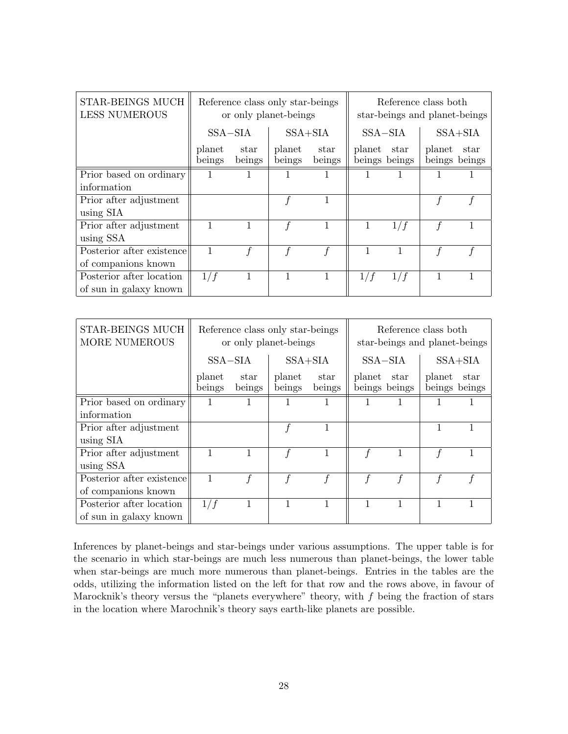| <b>STAR-BEINGS MUCH</b><br><b>LESS NUMEROUS</b> | Reference class only star-beings<br>or only planet-beings |                |                  |                | Reference class both<br>star-beings and planet-beings |                       |                         |      |
|-------------------------------------------------|-----------------------------------------------------------|----------------|------------------|----------------|-------------------------------------------------------|-----------------------|-------------------------|------|
|                                                 | $SSA-SIA$                                                 |                | $SSA + SIA$      |                | $SSA-SIA$                                             |                       | $SSA + SIA$             |      |
|                                                 | planet<br>beings                                          | star<br>beings | planet<br>beings | star<br>beings | planet                                                | star<br>beings beings | planet<br>beings beings | star |
| Prior based on ordinary                         |                                                           |                |                  |                |                                                       |                       |                         |      |
| information                                     |                                                           |                |                  |                |                                                       |                       |                         |      |
| Prior after adjustment                          |                                                           |                |                  |                |                                                       |                       |                         |      |
| using SIA                                       |                                                           |                |                  |                |                                                       |                       |                         |      |
| Prior after adjustment                          |                                                           |                |                  |                |                                                       | 1/f                   |                         |      |
| using SSA                                       |                                                           |                |                  |                |                                                       |                       |                         |      |
| Posterior after existence                       | 1                                                         |                |                  |                |                                                       |                       |                         |      |
| of companions known                             |                                                           |                |                  |                |                                                       |                       |                         |      |
| Posterior after location                        | 1/f                                                       |                |                  |                | 1/f                                                   | 1/f                   |                         |      |
| of sun in galaxy known                          |                                                           |                |                  |                |                                                       |                       |                         |      |

| <b>STAR-BEINGS MUCH</b><br><b>MORE NUMEROUS</b> | Reference class only star-beings<br>or only planet-beings |                |                  |                | Reference class both<br>star-beings and planet-beings |               |             |                       |
|-------------------------------------------------|-----------------------------------------------------------|----------------|------------------|----------------|-------------------------------------------------------|---------------|-------------|-----------------------|
|                                                 | $SSA-SIA$                                                 |                | $SSA + SIA$      |                | $SSA-SIA$                                             |               | $SSA + SIA$ |                       |
|                                                 | planet<br>beings                                          | star<br>beings | planet<br>beings | star<br>beings | planet star                                           | beings beings | planet      | star<br>beings beings |
| Prior based on ordinary                         |                                                           |                |                  |                |                                                       |               |             |                       |
| information                                     |                                                           |                |                  |                |                                                       |               |             |                       |
| Prior after adjustment                          |                                                           |                |                  |                |                                                       |               |             |                       |
| using SIA                                       |                                                           |                |                  |                |                                                       |               |             |                       |
| Prior after adjustment                          |                                                           |                |                  |                |                                                       | 1             |             |                       |
| using SSA                                       |                                                           |                |                  |                |                                                       |               |             |                       |
| Posterior after existence                       |                                                           |                |                  |                |                                                       |               |             |                       |
| of companions known                             |                                                           |                |                  |                |                                                       |               |             |                       |
| Posterior after location                        | 1/f                                                       |                |                  |                |                                                       |               |             |                       |
| of sun in galaxy known                          |                                                           |                |                  |                |                                                       |               |             |                       |

Inferences by planet-beings and star-beings under various assumptions. The upper table is for the scenario in which star-beings are much less numerous than planet-beings, the lower table when star-beings are much more numerous than planet-beings. Entries in the tables are the odds, utilizing the information listed on the left for that row and the rows above, in favour of Marocknik's theory versus the "planets everywhere" theory, with  $f$  being the fraction of stars in the location where Marochnik's theory says earth-like planets are possible.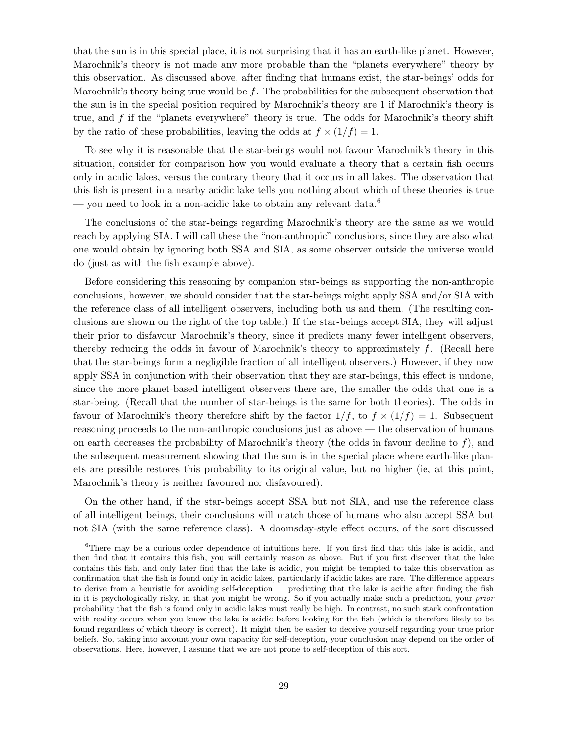that the sun is in this special place, it is not surprising that it has an earth-like planet. However, Marochnik's theory is not made any more probable than the "planets everywhere" theory by this observation. As discussed above, after finding that humans exist, the star-beings' odds for Marochnik's theory being true would be  $f$ . The probabilities for the subsequent observation that the sun is in the special position required by Marochnik's theory are 1 if Marochnik's theory is true, and  $f$  if the "planets everywhere" theory is true. The odds for Marochnik's theory shift by the ratio of these probabilities, leaving the odds at  $f \times (1/f) = 1$ .

To see why it is reasonable that the star-beings would not favour Marochnik's theory in this situation, consider for comparison how you would evaluate a theory that a certain fish occurs only in acidic lakes, versus the contrary theory that it occurs in all lakes. The observation that this fish is present in a nearby acidic lake tells you nothing about which of these theories is true — you need to look in a non-acidic lake to obtain any relevant data.<sup>6</sup>

The conclusions of the star-beings regarding Marochnik's theory are the same as we would reach by applying SIA. I will call these the "non-anthropic" conclusions, since they are also what one would obtain by ignoring both SSA and SIA, as some observer outside the universe would do (just as with the fish example above).

Before considering this reasoning by companion star-beings as supporting the non-anthropic conclusions, however, we should consider that the star-beings might apply SSA and/or SIA with the reference class of all intelligent observers, including both us and them. (The resulting conclusions are shown on the right of the top table.) If the star-beings accept SIA, they will adjust their prior to disfavour Marochnik's theory, since it predicts many fewer intelligent observers, thereby reducing the odds in favour of Marochnik's theory to approximately f. (Recall here that the star-beings form a negligible fraction of all intelligent observers.) However, if they now apply SSA in conjunction with their observation that they are star-beings, this effect is undone, since the more planet-based intelligent observers there are, the smaller the odds that one is a star-being. (Recall that the number of star-beings is the same for both theories). The odds in favour of Marochnik's theory therefore shift by the factor  $1/f$ , to  $f \times (1/f) = 1$ . Subsequent reasoning proceeds to the non-anthropic conclusions just as above — the observation of humans on earth decreases the probability of Marochnik's theory (the odds in favour decline to  $f$ ), and the subsequent measurement showing that the sun is in the special place where earth-like planets are possible restores this probability to its original value, but no higher (ie, at this point, Marochnik's theory is neither favoured nor disfavoured).

On the other hand, if the star-beings accept SSA but not SIA, and use the reference class of all intelligent beings, their conclusions will match those of humans who also accept SSA but not SIA (with the same reference class). A doomsday-style effect occurs, of the sort discussed

<sup>6</sup>There may be a curious order dependence of intuitions here. If you first find that this lake is acidic, and then find that it contains this fish, you will certainly reason as above. But if you first discover that the lake contains this fish, and only later find that the lake is acidic, you might be tempted to take this observation as confirmation that the fish is found only in acidic lakes, particularly if acidic lakes are rare. The difference appears to derive from a heuristic for avoiding self-deception — predicting that the lake is acidic after finding the fish in it is psychologically risky, in that you might be wrong. So if you actually make such a prediction, your prior probability that the fish is found only in acidic lakes must really be high. In contrast, no such stark confrontation with reality occurs when you know the lake is acidic before looking for the fish (which is therefore likely to be found regardless of which theory is correct). It might then be easier to deceive yourself regarding your true prior beliefs. So, taking into account your own capacity for self-deception, your conclusion may depend on the order of observations. Here, however, I assume that we are not prone to self-deception of this sort.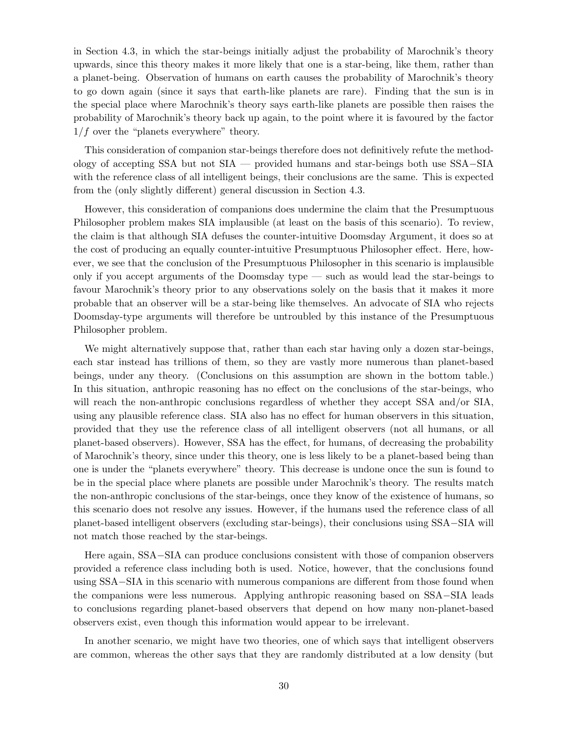in Section 4.3, in which the star-beings initially adjust the probability of Marochnik's theory upwards, since this theory makes it more likely that one is a star-being, like them, rather than a planet-being. Observation of humans on earth causes the probability of Marochnik's theory to go down again (since it says that earth-like planets are rare). Finding that the sun is in the special place where Marochnik's theory says earth-like planets are possible then raises the probability of Marochnik's theory back up again, to the point where it is favoured by the factor  $1/f$  over the "planets everywhere" theory.

This consideration of companion star-beings therefore does not definitively refute the methodology of accepting SSA but not SIA — provided humans and star-beings both use SSA−SIA with the reference class of all intelligent beings, their conclusions are the same. This is expected from the (only slightly different) general discussion in Section 4.3.

However, this consideration of companions does undermine the claim that the Presumptuous Philosopher problem makes SIA implausible (at least on the basis of this scenario). To review, the claim is that although SIA defuses the counter-intuitive Doomsday Argument, it does so at the cost of producing an equally counter-intuitive Presumptuous Philosopher effect. Here, however, we see that the conclusion of the Presumptuous Philosopher in this scenario is implausible only if you accept arguments of the Doomsday type — such as would lead the star-beings to favour Marochnik's theory prior to any observations solely on the basis that it makes it more probable that an observer will be a star-being like themselves. An advocate of SIA who rejects Doomsday-type arguments will therefore be untroubled by this instance of the Presumptuous Philosopher problem.

We might alternatively suppose that, rather than each star having only a dozen star-beings, each star instead has trillions of them, so they are vastly more numerous than planet-based beings, under any theory. (Conclusions on this assumption are shown in the bottom table.) In this situation, anthropic reasoning has no effect on the conclusions of the star-beings, who will reach the non-anthropic conclusions regardless of whether they accept SSA and/or SIA, using any plausible reference class. SIA also has no effect for human observers in this situation, provided that they use the reference class of all intelligent observers (not all humans, or all planet-based observers). However, SSA has the effect, for humans, of decreasing the probability of Marochnik's theory, since under this theory, one is less likely to be a planet-based being than one is under the "planets everywhere" theory. This decrease is undone once the sun is found to be in the special place where planets are possible under Marochnik's theory. The results match the non-anthropic conclusions of the star-beings, once they know of the existence of humans, so this scenario does not resolve any issues. However, if the humans used the reference class of all planet-based intelligent observers (excluding star-beings), their conclusions using SSA−SIA will not match those reached by the star-beings.

Here again, SSA−SIA can produce conclusions consistent with those of companion observers provided a reference class including both is used. Notice, however, that the conclusions found using SSA−SIA in this scenario with numerous companions are different from those found when the companions were less numerous. Applying anthropic reasoning based on SSA−SIA leads to conclusions regarding planet-based observers that depend on how many non-planet-based observers exist, even though this information would appear to be irrelevant.

In another scenario, we might have two theories, one of which says that intelligent observers are common, whereas the other says that they are randomly distributed at a low density (but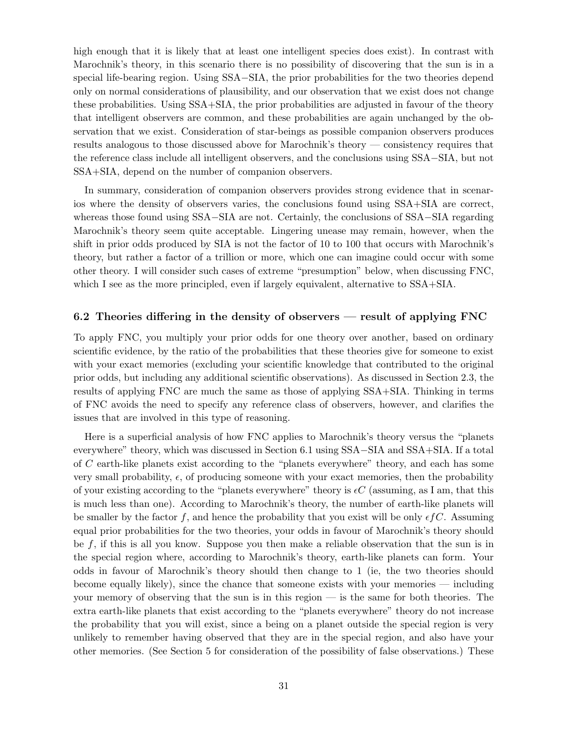high enough that it is likely that at least one intelligent species does exist). In contrast with Marochnik's theory, in this scenario there is no possibility of discovering that the sun is in a special life-bearing region. Using SSA−SIA, the prior probabilities for the two theories depend only on normal considerations of plausibility, and our observation that we exist does not change these probabilities. Using SSA+SIA, the prior probabilities are adjusted in favour of the theory that intelligent observers are common, and these probabilities are again unchanged by the observation that we exist. Consideration of star-beings as possible companion observers produces results analogous to those discussed above for Marochnik's theory — consistency requires that the reference class include all intelligent observers, and the conclusions using SSA−SIA, but not SSA+SIA, depend on the number of companion observers.

In summary, consideration of companion observers provides strong evidence that in scenarios where the density of observers varies, the conclusions found using SSA+SIA are correct, whereas those found using SSA−SIA are not. Certainly, the conclusions of SSA−SIA regarding Marochnik's theory seem quite acceptable. Lingering unease may remain, however, when the shift in prior odds produced by SIA is not the factor of 10 to 100 that occurs with Marochnik's theory, but rather a factor of a trillion or more, which one can imagine could occur with some other theory. I will consider such cases of extreme "presumption" below, when discussing FNC, which I see as the more principled, even if largely equivalent, alternative to SSA+SIA.

# 6.2 Theories differing in the density of observers — result of applying FNC

To apply FNC, you multiply your prior odds for one theory over another, based on ordinary scientific evidence, by the ratio of the probabilities that these theories give for someone to exist with your exact memories (excluding your scientific knowledge that contributed to the original prior odds, but including any additional scientific observations). As discussed in Section 2.3, the results of applying FNC are much the same as those of applying SSA+SIA. Thinking in terms of FNC avoids the need to specify any reference class of observers, however, and clarifies the issues that are involved in this type of reasoning.

Here is a superficial analysis of how FNC applies to Marochnik's theory versus the "planets everywhere" theory, which was discussed in Section 6.1 using SSA−SIA and SSA+SIA. If a total of C earth-like planets exist according to the "planets everywhere" theory, and each has some very small probability,  $\epsilon$ , of producing someone with your exact memories, then the probability of your existing according to the "planets everywhere" theory is  $\epsilon C$  (assuming, as I am, that this is much less than one). According to Marochnik's theory, the number of earth-like planets will be smaller by the factor f, and hence the probability that you exist will be only  $\epsilon fC$ . Assuming equal prior probabilities for the two theories, your odds in favour of Marochnik's theory should be f, if this is all you know. Suppose you then make a reliable observation that the sun is in the special region where, according to Marochnik's theory, earth-like planets can form. Your odds in favour of Marochnik's theory should then change to 1 (ie, the two theories should become equally likely), since the chance that someone exists with your memories — including your memory of observing that the sun is in this region — is the same for both theories. The extra earth-like planets that exist according to the "planets everywhere" theory do not increase the probability that you will exist, since a being on a planet outside the special region is very unlikely to remember having observed that they are in the special region, and also have your other memories. (See Section 5 for consideration of the possibility of false observations.) These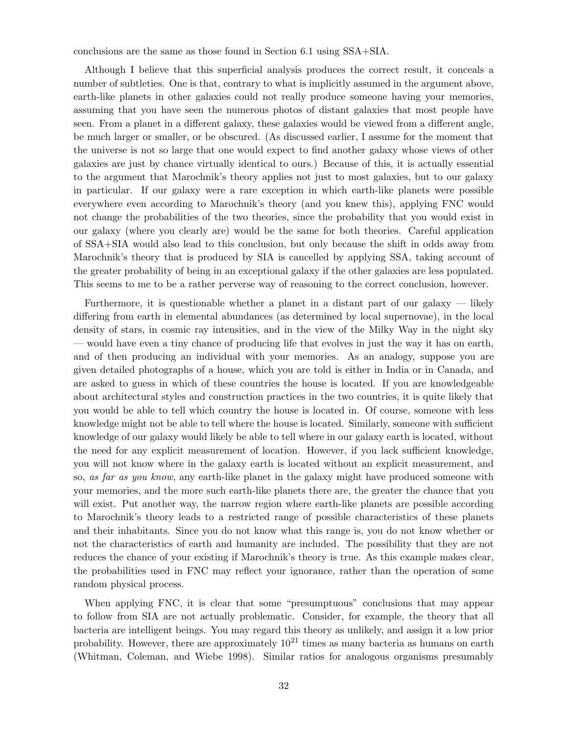conclusions are the same as those found in Section 6.1 using SSA+SIA.

Although I believe that this superficial analysis produces the correct result, it conceals a number of subtleties. One is that, contrary to what is implicitly assumed in the argument above, earth-like planets in other galaxies could not really produce someone having your memories, assuming that you have seen the numerous photos of distant galaxies that most people have seen. From a planet in a different galaxy, these galaxies would be viewed from a different angle, be much larger or smaller, or be obscured. (As discussed earlier, I assume for the moment that the universe is not so large that one would expect to find another galaxy whose views of other galaxies are just by chance virtually identical to ours.) Because of this, it is actually essential to the argument that Marochnik's theory applies not just to most galaxies, but to our galaxy in particular. If our galaxy were a rare exception in which earth-like planets were possible everywhere even according to Marochnik's theory (and you knew this), applying FNC would not change the probabilities of the two theories, since the probability that you would exist in our galaxy (where you clearly are) would be the same for both theories. Careful application of SSA+SIA would also lead to this conclusion, but only because the shift in odds away from Marochnik's theory that is produced by SIA is cancelled by applying SSA, taking account of the greater probability of being in an exceptional galaxy if the other galaxies are less populated. This seems to me to be a rather perverse way of reasoning to the correct conclusion, however.

Furthermore, it is questionable whether a planet in a distant part of our galaxy — likely differing from earth in elemental abundances (as determined by local supernovae), in the local density of stars, in cosmic ray intensities, and in the view of the Milky Way in the night sky — would have even a tiny chance of producing life that evolves in just the way it has on earth, and of then producing an individual with your memories. As an analogy, suppose you are given detailed photographs of a house, which you are told is either in India or in Canada, and are asked to guess in which of these countries the house is located. If you are knowledgeable about architectural styles and construction practices in the two countries, it is quite likely that you would be able to tell which country the house is located in. Of course, someone with less knowledge might not be able to tell where the house is located. Similarly, someone with sufficient knowledge of our galaxy would likely be able to tell where in our galaxy earth is located, without the need for any explicit measurement of location. However, if you lack sufficient knowledge, you will not know where in the galaxy earth is located without an explicit measurement, and so, as far as you know, any earth-like planet in the galaxy might have produced someone with your memories, and the more such earth-like planets there are, the greater the chance that you will exist. Put another way, the narrow region where earth-like planets are possible according to Marochnik's theory leads to a restricted range of possible characteristics of these planets and their inhabitants. Since you do not know what this range is, you do not know whether or not the characteristics of earth and humanity are included. The possibility that they are not reduces the chance of your existing if Marochnik's theory is true. As this example makes clear, the probabilities used in FNC may reflect your ignorance, rather than the operation of some random physical process.

When applying FNC, it is clear that some "presumptuous" conclusions that may appear to follow from SIA are not actually problematic. Consider, for example, the theory that all bacteria are intelligent beings. You may regard this theory as unlikely, and assign it a low prior probability. However, there are approximately  $10^{21}$  times as many bacteria as humans on earth (Whitman, Coleman, and Wiebe 1998). Similar ratios for analogous organisms presumably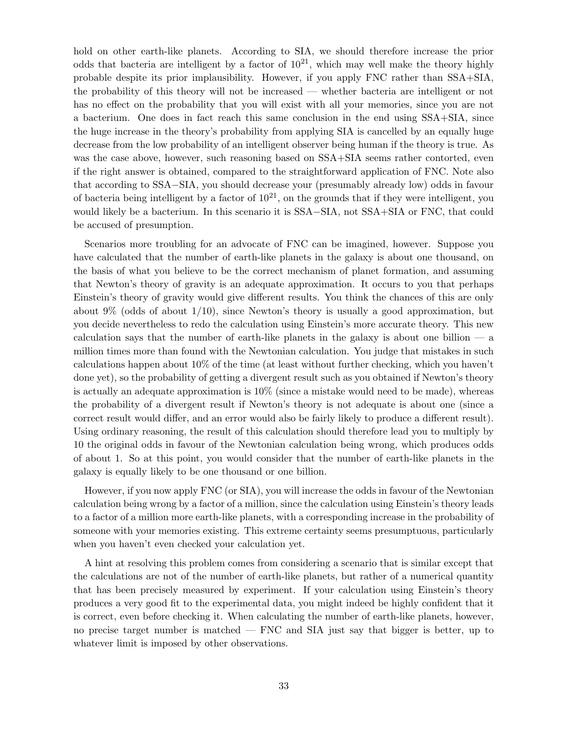hold on other earth-like planets. According to SIA, we should therefore increase the prior odds that bacteria are intelligent by a factor of  $10^{21}$ , which may well make the theory highly probable despite its prior implausibility. However, if you apply FNC rather than SSA+SIA, the probability of this theory will not be increased — whether bacteria are intelligent or not has no effect on the probability that you will exist with all your memories, since you are not a bacterium. One does in fact reach this same conclusion in the end using SSA+SIA, since the huge increase in the theory's probability from applying SIA is cancelled by an equally huge decrease from the low probability of an intelligent observer being human if the theory is true. As was the case above, however, such reasoning based on SSA+SIA seems rather contorted, even if the right answer is obtained, compared to the straightforward application of FNC. Note also that according to SSA−SIA, you should decrease your (presumably already low) odds in favour of bacteria being intelligent by a factor of  $10^{21}$ , on the grounds that if they were intelligent, you would likely be a bacterium. In this scenario it is SSA–SIA, not SSA+SIA or FNC, that could be accused of presumption.

Scenarios more troubling for an advocate of FNC can be imagined, however. Suppose you have calculated that the number of earth-like planets in the galaxy is about one thousand, on the basis of what you believe to be the correct mechanism of planet formation, and assuming that Newton's theory of gravity is an adequate approximation. It occurs to you that perhaps Einstein's theory of gravity would give different results. You think the chances of this are only about  $9\%$  (odds of about  $1/10$ ), since Newton's theory is usually a good approximation, but you decide nevertheless to redo the calculation using Einstein's more accurate theory. This new calculation says that the number of earth-like planets in the galaxy is about one billion  $\overline{a}$ million times more than found with the Newtonian calculation. You judge that mistakes in such calculations happen about 10% of the time (at least without further checking, which you haven't done yet), so the probability of getting a divergent result such as you obtained if Newton's theory is actually an adequate approximation is 10% (since a mistake would need to be made), whereas the probability of a divergent result if Newton's theory is not adequate is about one (since a correct result would differ, and an error would also be fairly likely to produce a different result). Using ordinary reasoning, the result of this calculation should therefore lead you to multiply by 10 the original odds in favour of the Newtonian calculation being wrong, which produces odds of about 1. So at this point, you would consider that the number of earth-like planets in the galaxy is equally likely to be one thousand or one billion.

However, if you now apply FNC (or SIA), you will increase the odds in favour of the Newtonian calculation being wrong by a factor of a million, since the calculation using Einstein's theory leads to a factor of a million more earth-like planets, with a corresponding increase in the probability of someone with your memories existing. This extreme certainty seems presumptuous, particularly when you haven't even checked your calculation yet.

A hint at resolving this problem comes from considering a scenario that is similar except that the calculations are not of the number of earth-like planets, but rather of a numerical quantity that has been precisely measured by experiment. If your calculation using Einstein's theory produces a very good fit to the experimental data, you might indeed be highly confident that it is correct, even before checking it. When calculating the number of earth-like planets, however, no precise target number is matched — FNC and SIA just say that bigger is better, up to whatever limit is imposed by other observations.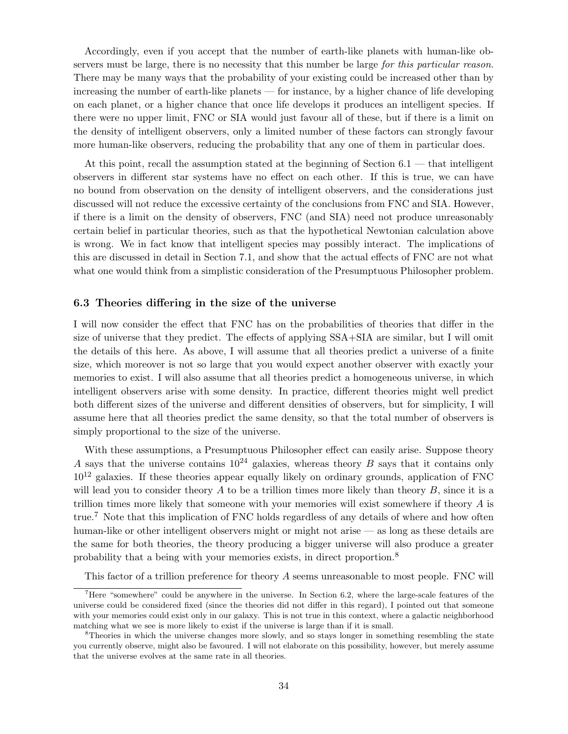Accordingly, even if you accept that the number of earth-like planets with human-like observers must be large, there is no necessity that this number be large for this particular reason. There may be many ways that the probability of your existing could be increased other than by increasing the number of earth-like planets — for instance, by a higher chance of life developing on each planet, or a higher chance that once life develops it produces an intelligent species. If there were no upper limit, FNC or SIA would just favour all of these, but if there is a limit on the density of intelligent observers, only a limited number of these factors can strongly favour more human-like observers, reducing the probability that any one of them in particular does.

At this point, recall the assumption stated at the beginning of Section 6.1 — that intelligent observers in different star systems have no effect on each other. If this is true, we can have no bound from observation on the density of intelligent observers, and the considerations just discussed will not reduce the excessive certainty of the conclusions from FNC and SIA. However, if there is a limit on the density of observers, FNC (and SIA) need not produce unreasonably certain belief in particular theories, such as that the hypothetical Newtonian calculation above is wrong. We in fact know that intelligent species may possibly interact. The implications of this are discussed in detail in Section 7.1, and show that the actual effects of FNC are not what what one would think from a simplistic consideration of the Presumptuous Philosopher problem.

### 6.3 Theories differing in the size of the universe

I will now consider the effect that FNC has on the probabilities of theories that differ in the size of universe that they predict. The effects of applying SSA+SIA are similar, but I will omit the details of this here. As above, I will assume that all theories predict a universe of a finite size, which moreover is not so large that you would expect another observer with exactly your memories to exist. I will also assume that all theories predict a homogeneous universe, in which intelligent observers arise with some density. In practice, different theories might well predict both different sizes of the universe and different densities of observers, but for simplicity, I will assume here that all theories predict the same density, so that the total number of observers is simply proportional to the size of the universe.

With these assumptions, a Presumptuous Philosopher effect can easily arise. Suppose theory A says that the universe contains  $10^{24}$  galaxies, whereas theory B says that it contains only  $10^{12}$  galaxies. If these theories appear equally likely on ordinary grounds, application of FNC will lead you to consider theory  $A$  to be a trillion times more likely than theory  $B$ , since it is a trillion times more likely that someone with your memories will exist somewhere if theory  $A$  is true.<sup>7</sup> Note that this implication of FNC holds regardless of any details of where and how often human-like or other intelligent observers might or might not arise — as long as these details are the same for both theories, the theory producing a bigger universe will also produce a greater probability that a being with your memories exists, in direct proportion.<sup>8</sup>

This factor of a trillion preference for theory A seems unreasonable to most people. FNC will

<sup>&</sup>lt;sup>7</sup>Here "somewhere" could be anywhere in the universe. In Section 6.2, where the large-scale features of the universe could be considered fixed (since the theories did not differ in this regard), I pointed out that someone with your memories could exist only in our galaxy. This is not true in this context, where a galactic neighborhood matching what we see is more likely to exist if the universe is large than if it is small.

<sup>&</sup>lt;sup>8</sup>Theories in which the universe changes more slowly, and so stays longer in something resembling the state you currently observe, might also be favoured. I will not elaborate on this possibility, however, but merely assume that the universe evolves at the same rate in all theories.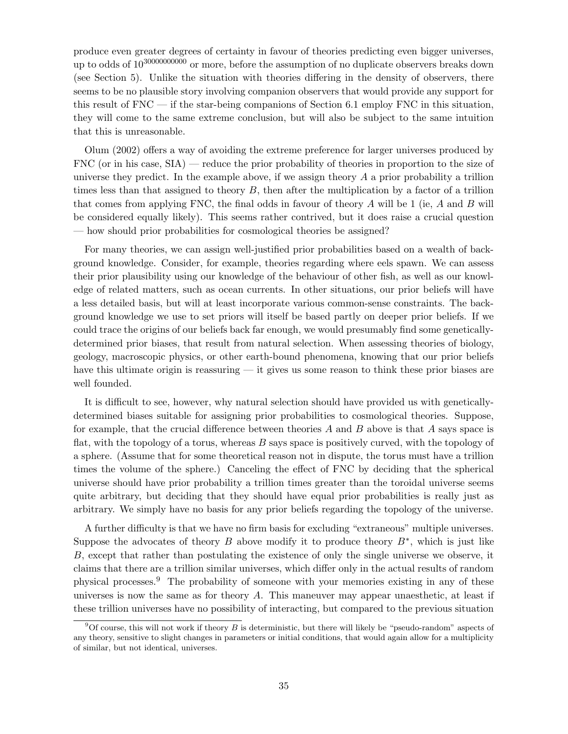produce even greater degrees of certainty in favour of theories predicting even bigger universes, up to odds of  $10^{3000000000}$  or more, before the assumption of no duplicate observers breaks down (see Section 5). Unlike the situation with theories differing in the density of observers, there seems to be no plausible story involving companion observers that would provide any support for this result of FNC — if the star-being companions of Section 6.1 employ FNC in this situation, they will come to the same extreme conclusion, but will also be subject to the same intuition that this is unreasonable.

Olum (2002) offers a way of avoiding the extreme preference for larger universes produced by FNC (or in his case,  $\text{SIA}$ ) — reduce the prior probability of theories in proportion to the size of universe they predict. In the example above, if we assign theory  $A$  a prior probability a trillion times less than that assigned to theory  $B$ , then after the multiplication by a factor of a trillion that comes from applying FNC, the final odds in favour of theory  $A$  will be 1 (ie,  $A$  and  $B$  will be considered equally likely). This seems rather contrived, but it does raise a crucial question — how should prior probabilities for cosmological theories be assigned?

For many theories, we can assign well-justified prior probabilities based on a wealth of background knowledge. Consider, for example, theories regarding where eels spawn. We can assess their prior plausibility using our knowledge of the behaviour of other fish, as well as our knowledge of related matters, such as ocean currents. In other situations, our prior beliefs will have a less detailed basis, but will at least incorporate various common-sense constraints. The background knowledge we use to set priors will itself be based partly on deeper prior beliefs. If we could trace the origins of our beliefs back far enough, we would presumably find some geneticallydetermined prior biases, that result from natural selection. When assessing theories of biology, geology, macroscopic physics, or other earth-bound phenomena, knowing that our prior beliefs have this ultimate origin is reassuring — it gives us some reason to think these prior biases are well founded.

It is difficult to see, however, why natural selection should have provided us with geneticallydetermined biases suitable for assigning prior probabilities to cosmological theories. Suppose, for example, that the crucial difference between theories  $A$  and  $B$  above is that  $A$  says space is flat, with the topology of a torus, whereas B says space is positively curved, with the topology of a sphere. (Assume that for some theoretical reason not in dispute, the torus must have a trillion times the volume of the sphere.) Canceling the effect of FNC by deciding that the spherical universe should have prior probability a trillion times greater than the toroidal universe seems quite arbitrary, but deciding that they should have equal prior probabilities is really just as arbitrary. We simply have no basis for any prior beliefs regarding the topology of the universe.

A further difficulty is that we have no firm basis for excluding "extraneous" multiple universes. Suppose the advocates of theory B above modify it to produce theory  $B^*$ , which is just like B, except that rather than postulating the existence of only the single universe we observe, it claims that there are a trillion similar universes, which differ only in the actual results of random physical processes.<sup>9</sup> The probability of someone with your memories existing in any of these universes is now the same as for theory  $A$ . This maneuver may appear unaesthetic, at least if these trillion universes have no possibility of interacting, but compared to the previous situation

 $9^9$ Of course, this will not work if theory B is deterministic, but there will likely be "pseudo-random" aspects of any theory, sensitive to slight changes in parameters or initial conditions, that would again allow for a multiplicity of similar, but not identical, universes.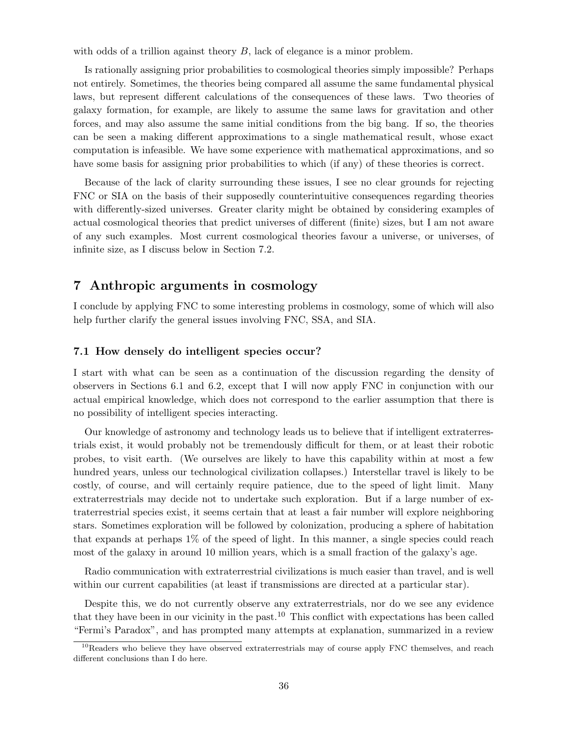with odds of a trillion against theory  $B$ , lack of elegance is a minor problem.

Is rationally assigning prior probabilities to cosmological theories simply impossible? Perhaps not entirely. Sometimes, the theories being compared all assume the same fundamental physical laws, but represent different calculations of the consequences of these laws. Two theories of galaxy formation, for example, are likely to assume the same laws for gravitation and other forces, and may also assume the same initial conditions from the big bang. If so, the theories can be seen a making different approximations to a single mathematical result, whose exact computation is infeasible. We have some experience with mathematical approximations, and so have some basis for assigning prior probabilities to which (if any) of these theories is correct.

Because of the lack of clarity surrounding these issues, I see no clear grounds for rejecting FNC or SIA on the basis of their supposedly counterintuitive consequences regarding theories with differently-sized universes. Greater clarity might be obtained by considering examples of actual cosmological theories that predict universes of different (finite) sizes, but I am not aware of any such examples. Most current cosmological theories favour a universe, or universes, of infinite size, as I discuss below in Section 7.2.

# 7 Anthropic arguments in cosmology

I conclude by applying FNC to some interesting problems in cosmology, some of which will also help further clarify the general issues involving FNC, SSA, and SIA.

#### 7.1 How densely do intelligent species occur?

I start with what can be seen as a continuation of the discussion regarding the density of observers in Sections 6.1 and 6.2, except that I will now apply FNC in conjunction with our actual empirical knowledge, which does not correspond to the earlier assumption that there is no possibility of intelligent species interacting.

Our knowledge of astronomy and technology leads us to believe that if intelligent extraterrestrials exist, it would probably not be tremendously difficult for them, or at least their robotic probes, to visit earth. (We ourselves are likely to have this capability within at most a few hundred years, unless our technological civilization collapses.) Interstellar travel is likely to be costly, of course, and will certainly require patience, due to the speed of light limit. Many extraterrestrials may decide not to undertake such exploration. But if a large number of extraterrestrial species exist, it seems certain that at least a fair number will explore neighboring stars. Sometimes exploration will be followed by colonization, producing a sphere of habitation that expands at perhaps 1% of the speed of light. In this manner, a single species could reach most of the galaxy in around 10 million years, which is a small fraction of the galaxy's age.

Radio communication with extraterrestrial civilizations is much easier than travel, and is well within our current capabilities (at least if transmissions are directed at a particular star).

Despite this, we do not currently observe any extraterrestrials, nor do we see any evidence that they have been in our vicinity in the past.<sup>10</sup> This conflict with expectations has been called "Fermi's Paradox", and has prompted many attempts at explanation, summarized in a review

<sup>&</sup>lt;sup>10</sup>Readers who believe they have observed extraterrestrials may of course apply FNC themselves, and reach different conclusions than I do here.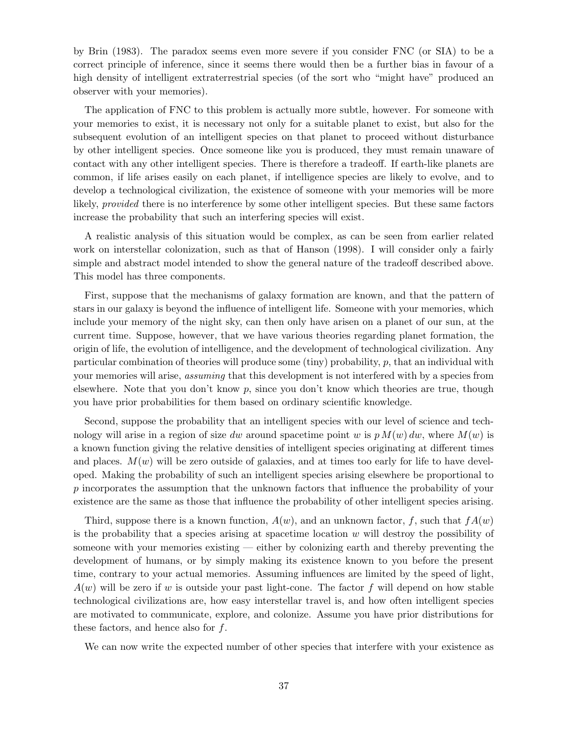by Brin (1983). The paradox seems even more severe if you consider FNC (or SIA) to be a correct principle of inference, since it seems there would then be a further bias in favour of a high density of intelligent extraterrestrial species (of the sort who "might have" produced an observer with your memories).

The application of FNC to this problem is actually more subtle, however. For someone with your memories to exist, it is necessary not only for a suitable planet to exist, but also for the subsequent evolution of an intelligent species on that planet to proceed without disturbance by other intelligent species. Once someone like you is produced, they must remain unaware of contact with any other intelligent species. There is therefore a tradeoff. If earth-like planets are common, if life arises easily on each planet, if intelligence species are likely to evolve, and to develop a technological civilization, the existence of someone with your memories will be more likely, provided there is no interference by some other intelligent species. But these same factors increase the probability that such an interfering species will exist.

A realistic analysis of this situation would be complex, as can be seen from earlier related work on interstellar colonization, such as that of Hanson (1998). I will consider only a fairly simple and abstract model intended to show the general nature of the tradeoff described above. This model has three components.

First, suppose that the mechanisms of galaxy formation are known, and that the pattern of stars in our galaxy is beyond the influence of intelligent life. Someone with your memories, which include your memory of the night sky, can then only have arisen on a planet of our sun, at the current time. Suppose, however, that we have various theories regarding planet formation, the origin of life, the evolution of intelligence, and the development of technological civilization. Any particular combination of theories will produce some (tiny) probability, p, that an individual with your memories will arise, *assuming* that this development is not interfered with by a species from elsewhere. Note that you don't know  $p$ , since you don't know which theories are true, though you have prior probabilities for them based on ordinary scientific knowledge.

Second, suppose the probability that an intelligent species with our level of science and technology will arise in a region of size dw around spacetime point w is  $p M(w) dw$ , where  $M(w)$  is a known function giving the relative densities of intelligent species originating at different times and places.  $M(w)$  will be zero outside of galaxies, and at times too early for life to have developed. Making the probability of such an intelligent species arising elsewhere be proportional to p incorporates the assumption that the unknown factors that influence the probability of your existence are the same as those that influence the probability of other intelligent species arising.

Third, suppose there is a known function,  $A(w)$ , and an unknown factor, f, such that  $f(A(w))$ is the probability that a species arising at spacetime location  $w$  will destroy the possibility of someone with your memories existing — either by colonizing earth and thereby preventing the development of humans, or by simply making its existence known to you before the present time, contrary to your actual memories. Assuming influences are limited by the speed of light,  $A(w)$  will be zero if w is outside your past light-cone. The factor f will depend on how stable technological civilizations are, how easy interstellar travel is, and how often intelligent species are motivated to communicate, explore, and colonize. Assume you have prior distributions for these factors, and hence also for  $f$ .

We can now write the expected number of other species that interfere with your existence as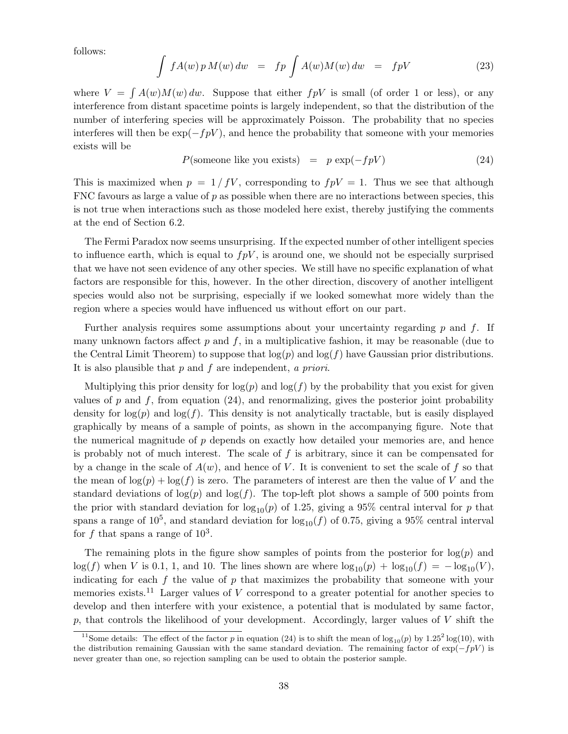follows:

$$
\int fA(w) p M(w) dw = fp \int A(w) M(w) dw = fpV \tag{23}
$$

where  $V = \int A(w)M(w) dw$ . Suppose that either  $f pV$  is small (of order 1 or less), or any interference from distant spacetime points is largely independent, so that the distribution of the number of interfering species will be approximately Poisson. The probability that no species interferes will then be  $\exp(-f pV)$ , and hence the probability that someone with your memories exists will be

$$
P(\text{some one like you exists}) = p \exp(-fpV) \tag{24}
$$

This is maximized when  $p = 1/fV$ , corresponding to  $fpV = 1$ . Thus we see that although FNC favours as large a value of p as possible when there are no interactions between species, this is not true when interactions such as those modeled here exist, thereby justifying the comments at the end of Section 6.2.

The Fermi Paradox now seems unsurprising. If the expected number of other intelligent species to influence earth, which is equal to  $fpV$ , is around one, we should not be especially surprised that we have not seen evidence of any other species. We still have no specific explanation of what factors are responsible for this, however. In the other direction, discovery of another intelligent species would also not be surprising, especially if we looked somewhat more widely than the region where a species would have influenced us without effort on our part.

Further analysis requires some assumptions about your uncertainty regarding  $p$  and  $f$ . If many unknown factors affect  $p$  and  $f$ , in a multiplicative fashion, it may be reasonable (due to the Central Limit Theorem) to suppose that  $log(p)$  and  $log(f)$  have Gaussian prior distributions. It is also plausible that  $p$  and  $f$  are independent, a priori.

Multiplying this prior density for  $log(p)$  and  $log(f)$  by the probability that you exist for given values of p and f, from equation  $(24)$ , and renormalizing, gives the posterior joint probability density for  $log(p)$  and  $log(f)$ . This density is not analytically tractable, but is easily displayed graphically by means of a sample of points, as shown in the accompanying figure. Note that the numerical magnitude of p depends on exactly how detailed your memories are, and hence is probably not of much interest. The scale of  $f$  is arbitrary, since it can be compensated for by a change in the scale of  $A(w)$ , and hence of V. It is convenient to set the scale of f so that the mean of  $\log(p) + \log(f)$  is zero. The parameters of interest are then the value of V and the standard deviations of  $\log(p)$  and  $\log(f)$ . The top-left plot shows a sample of 500 points from the prior with standard deviation for  $log_{10}(p)$  of 1.25, giving a 95% central interval for p that spans a range of 10<sup>5</sup>, and standard deviation for  $\log_{10}(f)$  of 0.75, giving a 95% central interval for f that spans a range of  $10^3$ .

The remaining plots in the figure show samples of points from the posterior for  $log(p)$  and  $\log(f)$  when V is 0.1, 1, and 10. The lines shown are where  $\log_{10}(p) + \log_{10}(f) = -\log_{10}(V)$ , indicating for each  $f$  the value of  $p$  that maximizes the probability that someone with your memories exists.<sup>11</sup> Larger values of V correspond to a greater potential for another species to develop and then interfere with your existence, a potential that is modulated by same factor, p, that controls the likelihood of your development. Accordingly, larger values of  $V$  shift the

<sup>&</sup>lt;sup>11</sup>Some details: The effect of the factor p in equation (24) is to shift the mean of  $\log_{10}(p)$  by  $1.25^2 \log(10)$ , with the distribution remaining Gaussian with the same standard deviation. The remaining factor of  $\exp(-f pV)$  is never greater than one, so rejection sampling can be used to obtain the posterior sample.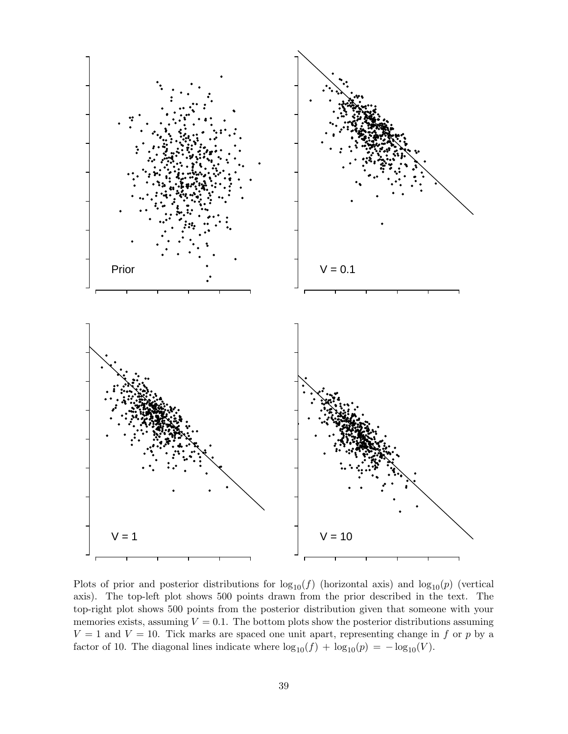

Plots of prior and posterior distributions for  $log_{10}(f)$  (horizontal axis) and  $log_{10}(p)$  (vertical axis). The top-left plot shows 500 points drawn from the prior described in the text. The top-right plot shows 500 points from the posterior distribution given that someone with your memories exists, assuming  $V = 0.1$ . The bottom plots show the posterior distributions assuming  $V = 1$  and  $V = 10$ . Tick marks are spaced one unit apart, representing change in f or p by a factor of 10. The diagonal lines indicate where  $\log_{10}(f) + \log_{10}(p) = -\log_{10}(V)$ .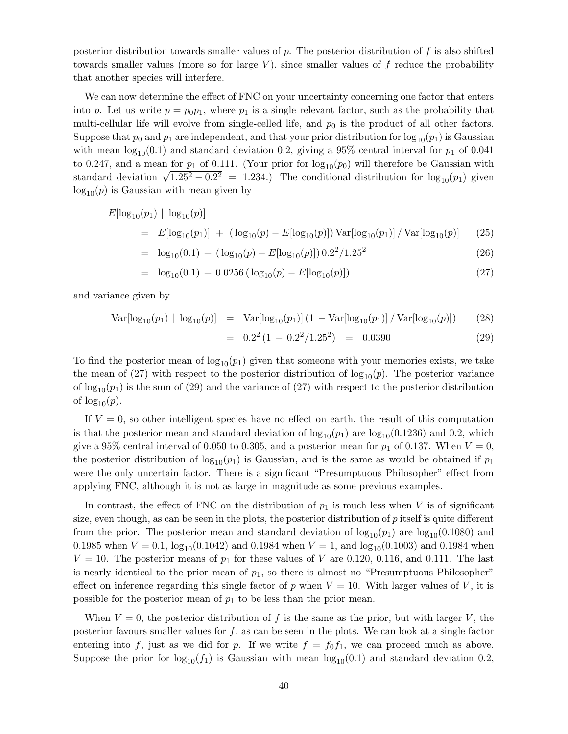posterior distribution towards smaller values of  $p$ . The posterior distribution of  $f$  is also shifted towards smaller values (more so for large  $V$ ), since smaller values of f reduce the probability that another species will interfere.

We can now determine the effect of FNC on your uncertainty concerning one factor that enters into p. Let us write  $p = p_0 p_1$ , where  $p_1$  is a single relevant factor, such as the probability that multi-cellular life will evolve from single-celled life, and  $p_0$  is the product of all other factors. Suppose that  $p_0$  and  $p_1$  are independent, and that your prior distribution for  $\log_{10}(p_1)$  is Gaussian with mean  $log_{10}(0.1)$  and standard deviation 0.2, giving a 95% central interval for  $p_1$  of 0.041 to 0.247, and a mean for  $p_1$  of 0.111. (Your prior for  $\log_{10}(p_0)$  will therefore be Gaussian with standard deviation  $\sqrt{1.25^2 - 0.2^2}$  = 1.234.) The conditional distribution for log<sub>10</sub>( $p_1$ ) given  $log_{10}(p)$  is Gaussian with mean given by

$$
E[\log_{10}(p_1) | \log_{10}(p)]
$$
  
=  $E[\log_{10}(p_1)] + (\log_{10}(p) - E[\log_{10}(p)]) \text{Var}[\log_{10}(p_1)] / \text{Var}[\log_{10}(p)]$  (25)

$$
= \log_{10}(0.1) + (\log_{10}(p) - E[\log_{10}(p)]) 0.2^2 / 1.25^2 \tag{26}
$$

$$
= \log_{10}(0.1) + 0.0256 (\log_{10}(p) - E[\log_{10}(p)]) \tag{27}
$$

and variance given by

$$
Var[log_{10}(p_1) | log_{10}(p)] = Var[log_{10}(p_1)] (1 - Var[log_{10}(p_1)] / Var[log_{10}(p)])
$$
 (28)

$$
= 0.22 (1 - 0.22/1.252) = 0.0390
$$
 (29)

To find the posterior mean of  $\log_{10}(p_1)$  given that someone with your memories exists, we take the mean of (27) with respect to the posterior distribution of  $\log_{10}(p)$ . The posterior variance of  $\log_{10}(p_1)$  is the sum of (29) and the variance of (27) with respect to the posterior distribution of  $\log_{10}(p)$ .

If  $V = 0$ , so other intelligent species have no effect on earth, the result of this computation is that the posterior mean and standard deviation of  $\log_{10}(p_1)$  are  $\log_{10}(0.1236)$  and 0.2, which give a 95% central interval of 0.050 to 0.305, and a posterior mean for  $p_1$  of 0.137. When  $V = 0$ , the posterior distribution of  $log_{10}(p_1)$  is Gaussian, and is the same as would be obtained if  $p_1$ were the only uncertain factor. There is a significant "Presumptuous Philosopher" effect from applying FNC, although it is not as large in magnitude as some previous examples.

In contrast, the effect of FNC on the distribution of  $p_1$  is much less when V is of significant size, even though, as can be seen in the plots, the posterior distribution of  $p$  itself is quite different from the prior. The posterior mean and standard deviation of  $\log_{10}(p_1)$  are  $\log_{10}(0.1080)$  and 0.1985 when  $V = 0.1$ ,  $\log_{10}(0.1042)$  and 0.1984 when  $V = 1$ , and  $\log_{10}(0.1003)$  and 0.1984 when  $V = 10$ . The posterior means of  $p_1$  for these values of V are 0.120, 0.116, and 0.111. The last is nearly identical to the prior mean of  $p_1$ , so there is almost no "Presumptuous Philosopher" effect on inference regarding this single factor of p when  $V = 10$ . With larger values of V, it is possible for the posterior mean of  $p_1$  to be less than the prior mean.

When  $V = 0$ , the posterior distribution of f is the same as the prior, but with larger V, the posterior favours smaller values for  $f$ , as can be seen in the plots. We can look at a single factor entering into f, just as we did for p. If we write  $f = f_0 f_1$ , we can proceed much as above. Suppose the prior for  $log_{10}(f_1)$  is Gaussian with mean  $log_{10}(0.1)$  and standard deviation 0.2,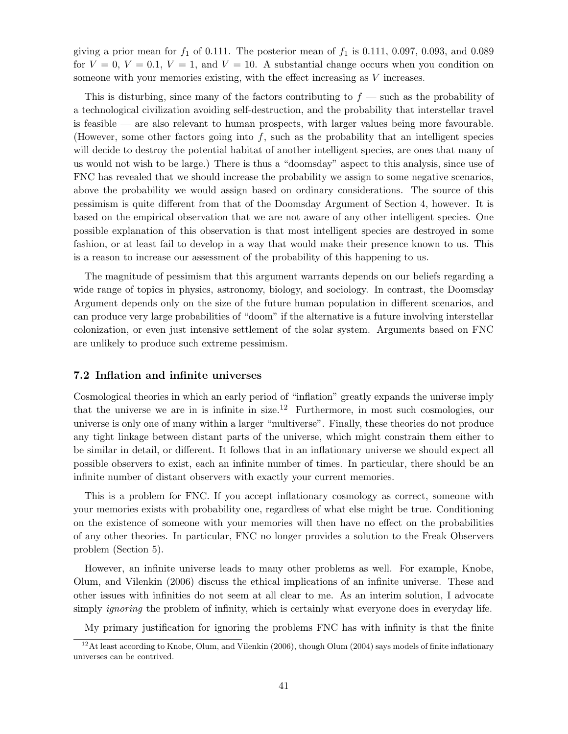giving a prior mean for  $f_1$  of 0.111. The posterior mean of  $f_1$  is 0.111, 0.097, 0.093, and 0.089 for  $V = 0$ ,  $V = 0.1$ ,  $V = 1$ , and  $V = 10$ . A substantial change occurs when you condition on someone with your memories existing, with the effect increasing as V increases.

This is disturbing, since many of the factors contributing to  $f$  — such as the probability of a technological civilization avoiding self-destruction, and the probability that interstellar travel is feasible — are also relevant to human prospects, with larger values being more favourable. (However, some other factors going into  $f$ , such as the probability that an intelligent species will decide to destroy the potential habitat of another intelligent species, are ones that many of us would not wish to be large.) There is thus a "doomsday" aspect to this analysis, since use of FNC has revealed that we should increase the probability we assign to some negative scenarios, above the probability we would assign based on ordinary considerations. The source of this pessimism is quite different from that of the Doomsday Argument of Section 4, however. It is based on the empirical observation that we are not aware of any other intelligent species. One possible explanation of this observation is that most intelligent species are destroyed in some fashion, or at least fail to develop in a way that would make their presence known to us. This is a reason to increase our assessment of the probability of this happening to us.

The magnitude of pessimism that this argument warrants depends on our beliefs regarding a wide range of topics in physics, astronomy, biology, and sociology. In contrast, the Doomsday Argument depends only on the size of the future human population in different scenarios, and can produce very large probabilities of "doom" if the alternative is a future involving interstellar colonization, or even just intensive settlement of the solar system. Arguments based on FNC are unlikely to produce such extreme pessimism.

## 7.2 Inflation and infinite universes

Cosmological theories in which an early period of "inflation" greatly expands the universe imply that the universe we are in is infinite in size.<sup>12</sup> Furthermore, in most such cosmologies, our universe is only one of many within a larger "multiverse". Finally, these theories do not produce any tight linkage between distant parts of the universe, which might constrain them either to be similar in detail, or different. It follows that in an inflationary universe we should expect all possible observers to exist, each an infinite number of times. In particular, there should be an infinite number of distant observers with exactly your current memories.

This is a problem for FNC. If you accept inflationary cosmology as correct, someone with your memories exists with probability one, regardless of what else might be true. Conditioning on the existence of someone with your memories will then have no effect on the probabilities of any other theories. In particular, FNC no longer provides a solution to the Freak Observers problem (Section 5).

However, an infinite universe leads to many other problems as well. For example, Knobe, Olum, and Vilenkin (2006) discuss the ethical implications of an infinite universe. These and other issues with infinities do not seem at all clear to me. As an interim solution, I advocate simply *ignoring* the problem of infinity, which is certainly what everyone does in everyday life.

My primary justification for ignoring the problems FNC has with infinity is that the finite

 $12$ At least according to Knobe, Olum, and Vilenkin (2006), though Olum (2004) says models of finite inflationary universes can be contrived.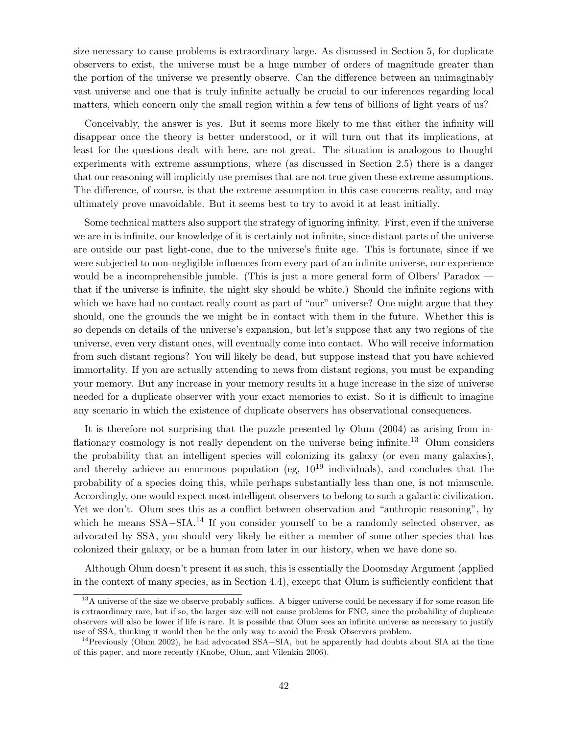size necessary to cause problems is extraordinary large. As discussed in Section 5, for duplicate observers to exist, the universe must be a huge number of orders of magnitude greater than the portion of the universe we presently observe. Can the difference between an unimaginably vast universe and one that is truly infinite actually be crucial to our inferences regarding local matters, which concern only the small region within a few tens of billions of light years of us?

Conceivably, the answer is yes. But it seems more likely to me that either the infinity will disappear once the theory is better understood, or it will turn out that its implications, at least for the questions dealt with here, are not great. The situation is analogous to thought experiments with extreme assumptions, where (as discussed in Section 2.5) there is a danger that our reasoning will implicitly use premises that are not true given these extreme assumptions. The difference, of course, is that the extreme assumption in this case concerns reality, and may ultimately prove unavoidable. But it seems best to try to avoid it at least initially.

Some technical matters also support the strategy of ignoring infinity. First, even if the universe we are in is infinite, our knowledge of it is certainly not infinite, since distant parts of the universe are outside our past light-cone, due to the universe's finite age. This is fortunate, since if we were subjected to non-negligible influences from every part of an infinite universe, our experience would be a incomprehensible jumble. (This is just a more general form of Olbers' Paradox that if the universe is infinite, the night sky should be white.) Should the infinite regions with which we have had no contact really count as part of "our" universe? One might argue that they should, one the grounds the we might be in contact with them in the future. Whether this is so depends on details of the universe's expansion, but let's suppose that any two regions of the universe, even very distant ones, will eventually come into contact. Who will receive information from such distant regions? You will likely be dead, but suppose instead that you have achieved immortality. If you are actually attending to news from distant regions, you must be expanding your memory. But any increase in your memory results in a huge increase in the size of universe needed for a duplicate observer with your exact memories to exist. So it is difficult to imagine any scenario in which the existence of duplicate observers has observational consequences.

It is therefore not surprising that the puzzle presented by Olum (2004) as arising from inflationary cosmology is not really dependent on the universe being infinite.<sup>13</sup> Olum considers the probability that an intelligent species will colonizing its galaxy (or even many galaxies), and thereby achieve an enormous population (eg,  $10^{19}$  individuals), and concludes that the probability of a species doing this, while perhaps substantially less than one, is not minuscule. Accordingly, one would expect most intelligent observers to belong to such a galactic civilization. Yet we don't. Olum sees this as a conflict between observation and "anthropic reasoning", by which he means  $SSA-SIA.<sup>14</sup>$  If you consider yourself to be a randomly selected observer, as advocated by SSA, you should very likely be either a member of some other species that has colonized their galaxy, or be a human from later in our history, when we have done so.

Although Olum doesn't present it as such, this is essentially the Doomsday Argument (applied in the context of many species, as in Section 4.4), except that Olum is sufficiently confident that

<sup>&</sup>lt;sup>13</sup>A universe of the size we observe probably suffices. A bigger universe could be necessary if for some reason life is extraordinary rare, but if so, the larger size will not cause problems for FNC, since the probability of duplicate observers will also be lower if life is rare. It is possible that Olum sees an infinite universe as necessary to justify use of SSA, thinking it would then be the only way to avoid the Freak Observers problem.

<sup>&</sup>lt;sup>14</sup>Previously (Olum 2002), he had advocated SSA+SIA, but he apparently had doubts about SIA at the time of this paper, and more recently (Knobe, Olum, and Vilenkin 2006).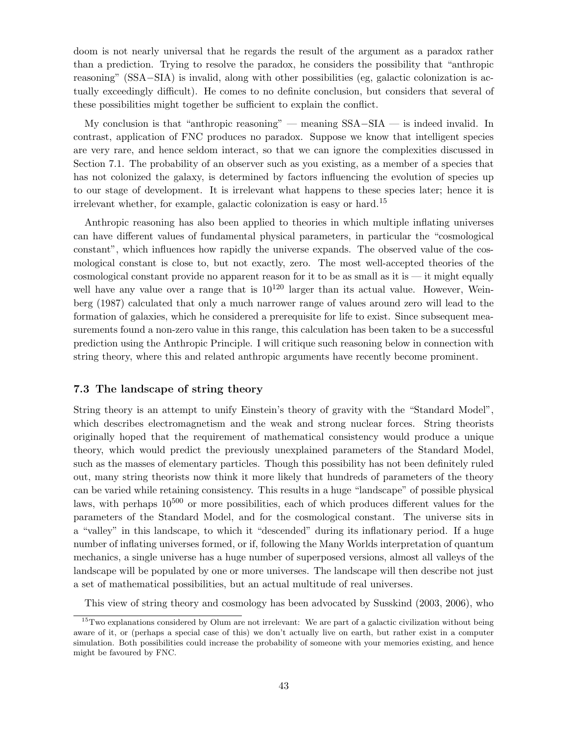doom is not nearly universal that he regards the result of the argument as a paradox rather than a prediction. Trying to resolve the paradox, he considers the possibility that "anthropic reasoning" (SSA−SIA) is invalid, along with other possibilities (eg, galactic colonization is actually exceedingly difficult). He comes to no definite conclusion, but considers that several of these possibilities might together be sufficient to explain the conflict.

My conclusion is that "anthropic reasoning" — meaning SSA−SIA — is indeed invalid. In contrast, application of FNC produces no paradox. Suppose we know that intelligent species are very rare, and hence seldom interact, so that we can ignore the complexities discussed in Section 7.1. The probability of an observer such as you existing, as a member of a species that has not colonized the galaxy, is determined by factors influencing the evolution of species up to our stage of development. It is irrelevant what happens to these species later; hence it is irrelevant whether, for example, galactic colonization is easy or hard.<sup>15</sup>

Anthropic reasoning has also been applied to theories in which multiple inflating universes can have different values of fundamental physical parameters, in particular the "cosmological constant", which influences how rapidly the universe expands. The observed value of the cosmological constant is close to, but not exactly, zero. The most well-accepted theories of the cosmological constant provide no apparent reason for it to be as small as it is  $-$  it might equally well have any value over a range that is  $10^{120}$  larger than its actual value. However, Weinberg (1987) calculated that only a much narrower range of values around zero will lead to the formation of galaxies, which he considered a prerequisite for life to exist. Since subsequent measurements found a non-zero value in this range, this calculation has been taken to be a successful prediction using the Anthropic Principle. I will critique such reasoning below in connection with string theory, where this and related anthropic arguments have recently become prominent.

## 7.3 The landscape of string theory

String theory is an attempt to unify Einstein's theory of gravity with the "Standard Model", which describes electromagnetism and the weak and strong nuclear forces. String theorists originally hoped that the requirement of mathematical consistency would produce a unique theory, which would predict the previously unexplained parameters of the Standard Model, such as the masses of elementary particles. Though this possibility has not been definitely ruled out, many string theorists now think it more likely that hundreds of parameters of the theory can be varied while retaining consistency. This results in a huge "landscape" of possible physical laws, with perhaps  $10^{500}$  or more possibilities, each of which produces different values for the parameters of the Standard Model, and for the cosmological constant. The universe sits in a "valley" in this landscape, to which it "descended" during its inflationary period. If a huge number of inflating universes formed, or if, following the Many Worlds interpretation of quantum mechanics, a single universe has a huge number of superposed versions, almost all valleys of the landscape will be populated by one or more universes. The landscape will then describe not just a set of mathematical possibilities, but an actual multitude of real universes.

This view of string theory and cosmology has been advocated by Susskind (2003, 2006), who

<sup>&</sup>lt;sup>15</sup>Two explanations considered by Olum are not irrelevant: We are part of a galactic civilization without being aware of it, or (perhaps a special case of this) we don't actually live on earth, but rather exist in a computer simulation. Both possibilities could increase the probability of someone with your memories existing, and hence might be favoured by FNC.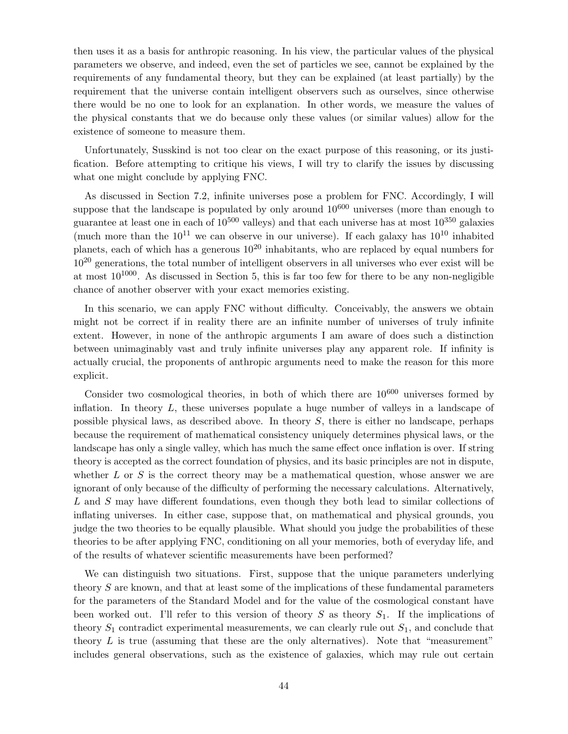then uses it as a basis for anthropic reasoning. In his view, the particular values of the physical parameters we observe, and indeed, even the set of particles we see, cannot be explained by the requirements of any fundamental theory, but they can be explained (at least partially) by the requirement that the universe contain intelligent observers such as ourselves, since otherwise there would be no one to look for an explanation. In other words, we measure the values of the physical constants that we do because only these values (or similar values) allow for the existence of someone to measure them.

Unfortunately, Susskind is not too clear on the exact purpose of this reasoning, or its justification. Before attempting to critique his views, I will try to clarify the issues by discussing what one might conclude by applying FNC.

As discussed in Section 7.2, infinite universes pose a problem for FNC. Accordingly, I will suppose that the landscape is populated by only around  $10^{600}$  universes (more than enough to guarantee at least one in each of  $10^{500}$  valleys) and that each universe has at most  $10^{350}$  galaxies (much more than the  $10^{11}$  we can observe in our universe). If each galaxy has  $10^{10}$  inhabited planets, each of which has a generous  $10^{20}$  inhabitants, who are replaced by equal numbers for  $10^{20}$  generations, the total number of intelligent observers in all universes who ever exist will be at most  $10^{1000}$ . As discussed in Section 5, this is far too few for there to be any non-negligible chance of another observer with your exact memories existing.

In this scenario, we can apply FNC without difficulty. Conceivably, the answers we obtain might not be correct if in reality there are an infinite number of universes of truly infinite extent. However, in none of the anthropic arguments I am aware of does such a distinction between unimaginably vast and truly infinite universes play any apparent role. If infinity is actually crucial, the proponents of anthropic arguments need to make the reason for this more explicit.

Consider two cosmological theories, in both of which there are  $10^{600}$  universes formed by inflation. In theory L, these universes populate a huge number of valleys in a landscape of possible physical laws, as described above. In theory S, there is either no landscape, perhaps because the requirement of mathematical consistency uniquely determines physical laws, or the landscape has only a single valley, which has much the same effect once inflation is over. If string theory is accepted as the correct foundation of physics, and its basic principles are not in dispute, whether  $L$  or  $S$  is the correct theory may be a mathematical question, whose answer we are ignorant of only because of the difficulty of performing the necessary calculations. Alternatively, L and S may have different foundations, even though they both lead to similar collections of inflating universes. In either case, suppose that, on mathematical and physical grounds, you judge the two theories to be equally plausible. What should you judge the probabilities of these theories to be after applying FNC, conditioning on all your memories, both of everyday life, and of the results of whatever scientific measurements have been performed?

We can distinguish two situations. First, suppose that the unique parameters underlying theory S are known, and that at least some of the implications of these fundamental parameters for the parameters of the Standard Model and for the value of the cosmological constant have been worked out. I'll refer to this version of theory  $S$  as theory  $S_1$ . If the implications of theory  $S_1$  contradict experimental measurements, we can clearly rule out  $S_1$ , and conclude that theory  $L$  is true (assuming that these are the only alternatives). Note that "measurement" includes general observations, such as the existence of galaxies, which may rule out certain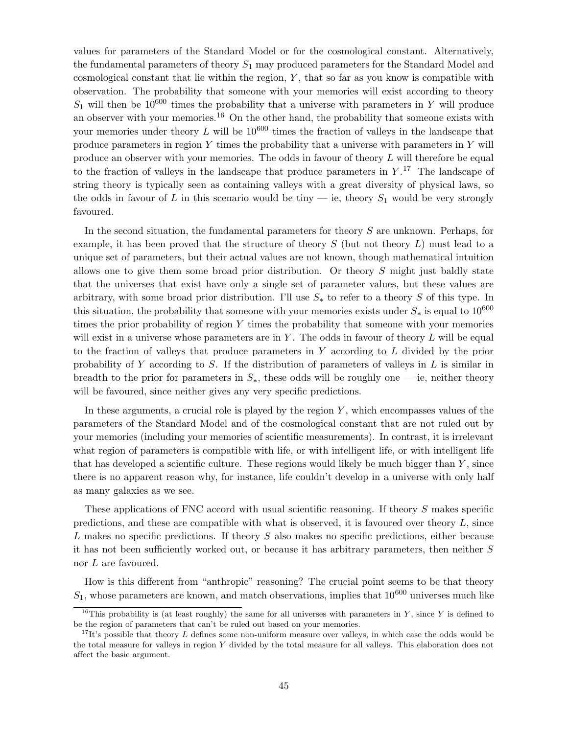values for parameters of the Standard Model or for the cosmological constant. Alternatively, the fundamental parameters of theory  $S_1$  may produced parameters for the Standard Model and cosmological constant that lie within the region,  $Y$ , that so far as you know is compatible with observation. The probability that someone with your memories will exist according to theory  $S_1$  will then be 10<sup>600</sup> times the probability that a universe with parameters in Y will produce an observer with your memories.<sup>16</sup> On the other hand, the probability that someone exists with your memories under theory  $L$  will be  $10^{600}$  times the fraction of valleys in the landscape that produce parameters in region  $Y$  times the probability that a universe with parameters in  $Y$  will produce an observer with your memories. The odds in favour of theory  $L$  will therefore be equal to the fraction of valleys in the landscape that produce parameters in  $Y$ .<sup>17</sup> The landscape of string theory is typically seen as containing valleys with a great diversity of physical laws, so the odds in favour of L in this scenario would be tiny  $-$  ie, theory  $S_1$  would be very strongly favoured.

In the second situation, the fundamental parameters for theory S are unknown. Perhaps, for example, it has been proved that the structure of theory  $S$  (but not theory  $L$ ) must lead to a unique set of parameters, but their actual values are not known, though mathematical intuition allows one to give them some broad prior distribution. Or theory  $S$  might just baldly state that the universes that exist have only a single set of parameter values, but these values are arbitrary, with some broad prior distribution. I'll use  $S_*$  to refer to a theory S of this type. In this situation, the probability that someone with your memories exists under  $S_*$  is equal to  $10^{600}$ times the prior probability of region Y times the probability that someone with your memories will exist in a universe whose parameters are in Y. The odds in favour of theory  $L$  will be equal to the fraction of valleys that produce parameters in Y according to L divided by the prior probability of Y according to S. If the distribution of parameters of valleys in  $L$  is similar in breadth to the prior for parameters in  $S_{*}$ , these odds will be roughly one — ie, neither theory will be favoured, since neither gives any very specific predictions.

In these arguments, a crucial role is played by the region  $Y$ , which encompasses values of the parameters of the Standard Model and of the cosmological constant that are not ruled out by your memories (including your memories of scientific measurements). In contrast, it is irrelevant what region of parameters is compatible with life, or with intelligent life, or with intelligent life that has developed a scientific culture. These regions would likely be much bigger than  $Y$ , since there is no apparent reason why, for instance, life couldn't develop in a universe with only half as many galaxies as we see.

These applications of FNC accord with usual scientific reasoning. If theory S makes specific predictions, and these are compatible with what is observed, it is favoured over theory  $L$ , since L makes no specific predictions. If theory  $S$  also makes no specific predictions, either because it has not been sufficiently worked out, or because it has arbitrary parameters, then neither S nor L are favoured.

How is this different from "anthropic" reasoning? The crucial point seems to be that theory  $S_1$ , whose parameters are known, and match observations, implies that  $10^{600}$  universes much like

<sup>&</sup>lt;sup>16</sup>This probability is (at least roughly) the same for all universes with parameters in Y, since Y is defined to be the region of parameters that can't be ruled out based on your memories.

<sup>&</sup>lt;sup>17</sup>It's possible that theory L defines some non-uniform measure over valleys, in which case the odds would be the total measure for valleys in region Y divided by the total measure for all valleys. This elaboration does not affect the basic argument.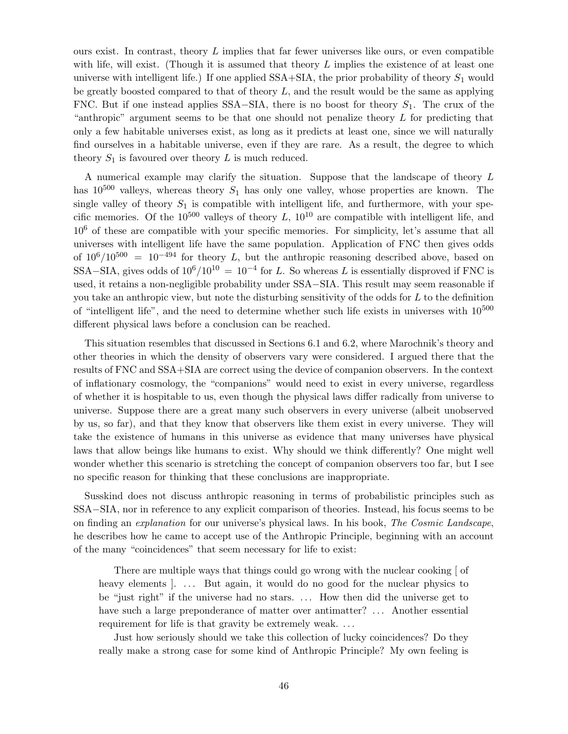ours exist. In contrast, theory  $L$  implies that far fewer universes like ours, or even compatible with life, will exist. (Though it is assumed that theory  $L$  implies the existence of at least one universe with intelligent life.) If one applied  $SSA+STA$ , the prior probability of theory  $S_1$  would be greatly boosted compared to that of theory  $L$ , and the result would be the same as applying FNC. But if one instead applies SSA–SIA, there is no boost for theory  $S_1$ . The crux of the "anthropic" argument seems to be that one should not penalize theory  $L$  for predicting that only a few habitable universes exist, as long as it predicts at least one, since we will naturally find ourselves in a habitable universe, even if they are rare. As a result, the degree to which theory  $S_1$  is favoured over theory L is much reduced.

A numerical example may clarify the situation. Suppose that the landscape of theory L has  $10^{500}$  valleys, whereas theory  $S_1$  has only one valley, whose properties are known. The single valley of theory  $S_1$  is compatible with intelligent life, and furthermore, with your specific memories. Of the  $10^{500}$  valleys of theory L,  $10^{10}$  are compatible with intelligent life, and  $10<sup>6</sup>$  of these are compatible with your specific memories. For simplicity, let's assume that all universes with intelligent life have the same population. Application of FNC then gives odds of  $10^6/10^{500}$  =  $10^{-494}$  for theory L, but the anthropic reasoning described above, based on SSA–SIA, gives odds of  $10^6/10^{10} = 10^{-4}$  for L. So whereas L is essentially disproved if FNC is used, it retains a non-negligible probability under SSA−SIA. This result may seem reasonable if you take an anthropic view, but note the disturbing sensitivity of the odds for L to the definition of "intelligent life", and the need to determine whether such life exists in universes with  $10^{500}$ different physical laws before a conclusion can be reached.

This situation resembles that discussed in Sections 6.1 and 6.2, where Marochnik's theory and other theories in which the density of observers vary were considered. I argued there that the results of FNC and SSA+SIA are correct using the device of companion observers. In the context of inflationary cosmology, the "companions" would need to exist in every universe, regardless of whether it is hospitable to us, even though the physical laws differ radically from universe to universe. Suppose there are a great many such observers in every universe (albeit unobserved by us, so far), and that they know that observers like them exist in every universe. They will take the existence of humans in this universe as evidence that many universes have physical laws that allow beings like humans to exist. Why should we think differently? One might well wonder whether this scenario is stretching the concept of companion observers too far, but I see no specific reason for thinking that these conclusions are inappropriate.

Susskind does not discuss anthropic reasoning in terms of probabilistic principles such as SSA−SIA, nor in reference to any explicit comparison of theories. Instead, his focus seems to be on finding an explanation for our universe's physical laws. In his book, The Cosmic Landscape, he describes how he came to accept use of the Anthropic Principle, beginning with an account of the many "coincidences" that seem necessary for life to exist:

There are multiple ways that things could go wrong with the nuclear cooking [ of heavy elements ... But again, it would do no good for the nuclear physics to be "just right" if the universe had no stars. ... How then did the universe get to have such a large preponderance of matter over antimatter? ... Another essential requirement for life is that gravity be extremely weak. ...

Just how seriously should we take this collection of lucky coincidences? Do they really make a strong case for some kind of Anthropic Principle? My own feeling is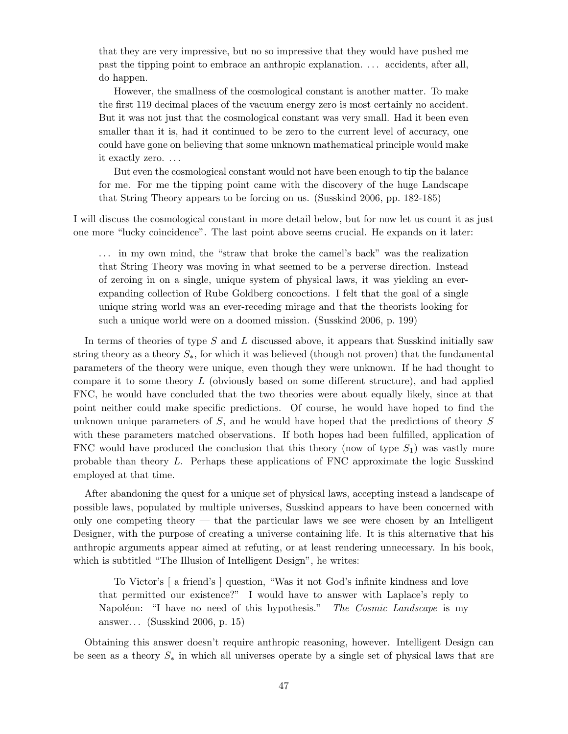that they are very impressive, but no so impressive that they would have pushed me past the tipping point to embrace an anthropic explanation. . . . accidents, after all, do happen.

However, the smallness of the cosmological constant is another matter. To make the first 119 decimal places of the vacuum energy zero is most certainly no accident. But it was not just that the cosmological constant was very small. Had it been even smaller than it is, had it continued to be zero to the current level of accuracy, one could have gone on believing that some unknown mathematical principle would make it exactly zero. . . .

But even the cosmological constant would not have been enough to tip the balance for me. For me the tipping point came with the discovery of the huge Landscape that String Theory appears to be forcing on us. (Susskind 2006, pp. 182-185)

I will discuss the cosmological constant in more detail below, but for now let us count it as just one more "lucky coincidence". The last point above seems crucial. He expands on it later:

. . . in my own mind, the "straw that broke the camel's back" was the realization that String Theory was moving in what seemed to be a perverse direction. Instead of zeroing in on a single, unique system of physical laws, it was yielding an everexpanding collection of Rube Goldberg concoctions. I felt that the goal of a single unique string world was an ever-receding mirage and that the theorists looking for such a unique world were on a doomed mission. (Susskind 2006, p. 199)

In terms of theories of type S and L discussed above, it appears that Susskind initially saw string theory as a theory  $S_{\ast}$ , for which it was believed (though not proven) that the fundamental parameters of the theory were unique, even though they were unknown. If he had thought to compare it to some theory  $L$  (obviously based on some different structure), and had applied FNC, he would have concluded that the two theories were about equally likely, since at that point neither could make specific predictions. Of course, he would have hoped to find the unknown unique parameters of  $S$ , and he would have hoped that the predictions of theory  $S$ with these parameters matched observations. If both hopes had been fulfilled, application of FNC would have produced the conclusion that this theory (now of type  $S_1$ ) was vastly more probable than theory L. Perhaps these applications of FNC approximate the logic Susskind employed at that time.

After abandoning the quest for a unique set of physical laws, accepting instead a landscape of possible laws, populated by multiple universes, Susskind appears to have been concerned with only one competing theory — that the particular laws we see were chosen by an Intelligent Designer, with the purpose of creating a universe containing life. It is this alternative that his anthropic arguments appear aimed at refuting, or at least rendering unnecessary. In his book, which is subtitled "The Illusion of Intelligent Design", he writes:

To Victor's [ a friend's ] question, "Was it not God's infinite kindness and love that permitted our existence?" I would have to answer with Laplace's reply to Napoléon: "I have no need of this hypothesis." The Cosmic Landscape is my answer. . . (Susskind 2006, p. 15)

Obtaining this answer doesn't require anthropic reasoning, however. Intelligent Design can be seen as a theory  $S_*$  in which all universes operate by a single set of physical laws that are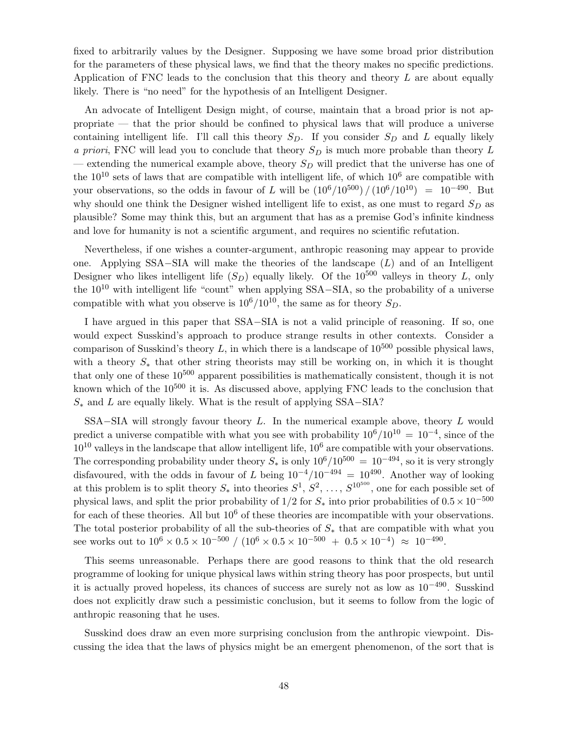fixed to arbitrarily values by the Designer. Supposing we have some broad prior distribution for the parameters of these physical laws, we find that the theory makes no specific predictions. Application of FNC leads to the conclusion that this theory and theory L are about equally likely. There is "no need" for the hypothesis of an Intelligent Designer.

An advocate of Intelligent Design might, of course, maintain that a broad prior is not appropriate — that the prior should be confined to physical laws that will produce a universe containing intelligent life. I'll call this theory  $S_D$ . If you consider  $S_D$  and L equally likely a priori, FNC will lead you to conclude that theory  $S_D$  is much more probable than theory L — extending the numerical example above, theory  $S_D$  will predict that the universe has one of the  $10^{10}$  sets of laws that are compatible with intelligent life, of which  $10^6$  are compatible with your observations, so the odds in favour of L will be  $(10^6/10^{500})/(10^6/10^{10}) = 10^{-490}$ . But why should one think the Designer wished intelligent life to exist, as one must to regard  $S_D$  as plausible? Some may think this, but an argument that has as a premise God's infinite kindness and love for humanity is not a scientific argument, and requires no scientific refutation.

Nevertheless, if one wishes a counter-argument, anthropic reasoning may appear to provide one. Applying SSA–SIA will make the theories of the landscape  $(L)$  and of an Intelligent Designer who likes intelligent life  $(S_D)$  equally likely. Of the 10<sup>500</sup> valleys in theory L, only the <sup>10</sup><sup>10</sup> with intelligent life "count" when applying SSA−SIA, so the probability of <sup>a</sup> universe compatible with what you observe is  $10^6/10^{10}$ , the same as for theory  $S_D$ .

I have argued in this paper that SSA−SIA is not a valid principle of reasoning. If so, one would expect Susskind's approach to produce strange results in other contexts. Consider a comparison of Susskind's theory L, in which there is a landscape of  $10^{500}$  possible physical laws, with a theory  $S_*$  that other string theorists may still be working on, in which it is thought that only one of these  $10^{500}$  apparent possibilities is mathematically consistent, though it is not known which of the  $10^{500}$  it is. As discussed above, applying FNC leads to the conclusion that  $S_*$  and L are equally likely. What is the result of applying SSA–SIA?

SSA $-$ SIA will strongly favour theory L. In the numerical example above, theory L would predict a universe compatible with what you see with probability  $10^6/10^{10} = 10^{-4}$ , since of the  $10^{10}$  valleys in the landscape that allow intelligent life,  $10^6$  are compatible with your observations. The corresponding probability under theory  $S_*$  is only  $10^6/10^{500} = 10^{-494}$ , so it is very strongly disfavoured, with the odds in favour of L being  $10^{-4}/10^{-494} = 10^{490}$ . Another way of looking at this problem is to split theory  $S_*$  into theories  $S^1, S^2, \ldots, S^{10^{500}}$ , one for each possible set of physical laws, and split the prior probability of 1/2 for  $S_*$  into prior probabilities of  $0.5 \times 10^{-500}$ for each of these theories. All but  $10<sup>6</sup>$  of these theories are incompatible with your observations. The total posterior probability of all the sub-theories of  $S_*$  that are compatible with what you see works out to  $10^6 \times 0.5 \times 10^{-500} / (10^6 \times 0.5 \times 10^{-500} + 0.5 \times 10^{-4}) \approx 10^{-490}$ .

This seems unreasonable. Perhaps there are good reasons to think that the old research programme of looking for unique physical laws within string theory has poor prospects, but until it is actually proved hopeless, its chances of success are surely not as low as 10−<sup>490</sup> . Susskind does not explicitly draw such a pessimistic conclusion, but it seems to follow from the logic of anthropic reasoning that he uses.

Susskind does draw an even more surprising conclusion from the anthropic viewpoint. Discussing the idea that the laws of physics might be an emergent phenomenon, of the sort that is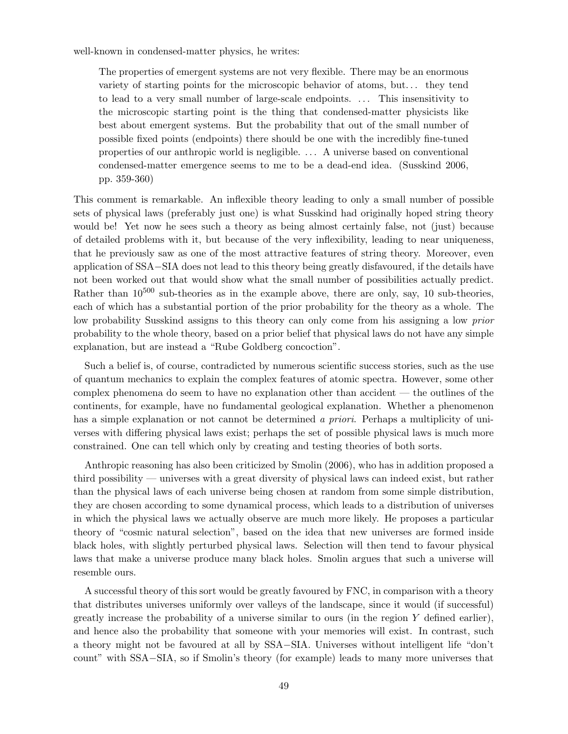well-known in condensed-matter physics, he writes:

The properties of emergent systems are not very flexible. There may be an enormous variety of starting points for the microscopic behavior of atoms, but. . . they tend to lead to a very small number of large-scale endpoints. ... This insensitivity to the microscopic starting point is the thing that condensed-matter physicists like best about emergent systems. But the probability that out of the small number of possible fixed points (endpoints) there should be one with the incredibly fine-tuned properties of our anthropic world is negligible. . . . A universe based on conventional condensed-matter emergence seems to me to be a dead-end idea. (Susskind 2006, pp. 359-360)

This comment is remarkable. An inflexible theory leading to only a small number of possible sets of physical laws (preferably just one) is what Susskind had originally hoped string theory would be! Yet now he sees such a theory as being almost certainly false, not (just) because of detailed problems with it, but because of the very inflexibility, leading to near uniqueness, that he previously saw as one of the most attractive features of string theory. Moreover, even application of SSA−SIA does not lead to this theory being greatly disfavoured, if the details have not been worked out that would show what the small number of possibilities actually predict. Rather than  $10^{500}$  sub-theories as in the example above, there are only, say, 10 sub-theories, each of which has a substantial portion of the prior probability for the theory as a whole. The low probability Susskind assigns to this theory can only come from his assigning a low *prior* probability to the whole theory, based on a prior belief that physical laws do not have any simple explanation, but are instead a "Rube Goldberg concoction".

Such a belief is, of course, contradicted by numerous scientific success stories, such as the use of quantum mechanics to explain the complex features of atomic spectra. However, some other complex phenomena do seem to have no explanation other than accident — the outlines of the continents, for example, have no fundamental geological explanation. Whether a phenomenon has a simple explanation or not cannot be determined a priori. Perhaps a multiplicity of universes with differing physical laws exist; perhaps the set of possible physical laws is much more constrained. One can tell which only by creating and testing theories of both sorts.

Anthropic reasoning has also been criticized by Smolin (2006), who has in addition proposed a third possibility — universes with a great diversity of physical laws can indeed exist, but rather than the physical laws of each universe being chosen at random from some simple distribution, they are chosen according to some dynamical process, which leads to a distribution of universes in which the physical laws we actually observe are much more likely. He proposes a particular theory of "cosmic natural selection", based on the idea that new universes are formed inside black holes, with slightly perturbed physical laws. Selection will then tend to favour physical laws that make a universe produce many black holes. Smolin argues that such a universe will resemble ours.

A successful theory of this sort would be greatly favoured by FNC, in comparison with a theory that distributes universes uniformly over valleys of the landscape, since it would (if successful) greatly increase the probability of a universe similar to ours (in the region Y defined earlier), and hence also the probability that someone with your memories will exist. In contrast, such a theory might not be favoured at all by SSA−SIA. Universes without intelligent life "don't count" with SSA−SIA, so if Smolin's theory (for example) leads to many more universes that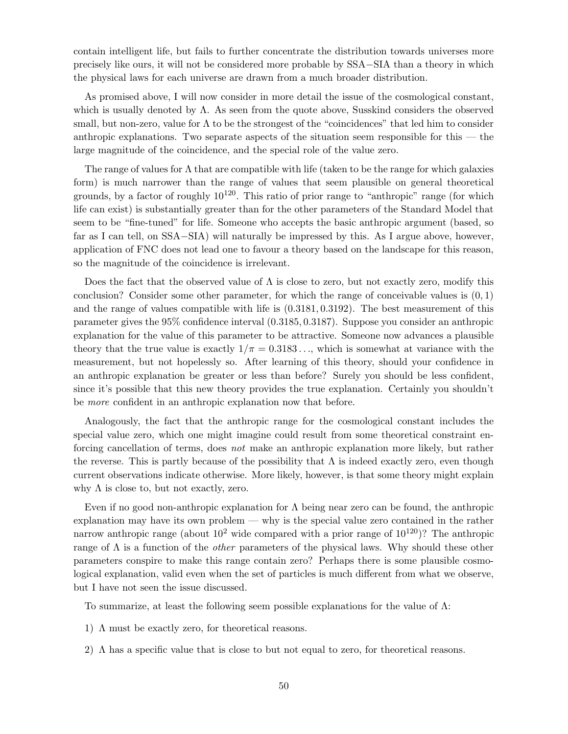contain intelligent life, but fails to further concentrate the distribution towards universes more precisely like ours, it will not be considered more probable by SSA−SIA than a theory in which the physical laws for each universe are drawn from a much broader distribution.

As promised above, I will now consider in more detail the issue of the cosmological constant, which is usually denoted by  $\Lambda$ . As seen from the quote above, Susskind considers the observed small, but non-zero, value for  $\Lambda$  to be the strongest of the "coincidences" that led him to consider anthropic explanations. Two separate aspects of the situation seem responsible for this — the large magnitude of the coincidence, and the special role of the value zero.

The range of values for  $\Lambda$  that are compatible with life (taken to be the range for which galaxies form) is much narrower than the range of values that seem plausible on general theoretical grounds, by a factor of roughly  $10^{120}$ . This ratio of prior range to "anthropic" range (for which life can exist) is substantially greater than for the other parameters of the Standard Model that seem to be "fine-tuned" for life. Someone who accepts the basic anthropic argument (based, so far as I can tell, on SSA−SIA) will naturally be impressed by this. As I argue above, however, application of FNC does not lead one to favour a theory based on the landscape for this reason, so the magnitude of the coincidence is irrelevant.

Does the fact that the observed value of  $\Lambda$  is close to zero, but not exactly zero, modify this conclusion? Consider some other parameter, for which the range of conceivable values is  $(0, 1)$ and the range of values compatible with life is (0.3181, 0.3192). The best measurement of this parameter gives the 95% confidence interval (0.3185, 0.3187). Suppose you consider an anthropic explanation for the value of this parameter to be attractive. Someone now advances a plausible theory that the true value is exactly  $1/\pi = 0.3183...$ , which is somewhat at variance with the measurement, but not hopelessly so. After learning of this theory, should your confidence in an anthropic explanation be greater or less than before? Surely you should be less confident, since it's possible that this new theory provides the true explanation. Certainly you shouldn't be more confident in an anthropic explanation now that before.

Analogously, the fact that the anthropic range for the cosmological constant includes the special value zero, which one might imagine could result from some theoretical constraint enforcing cancellation of terms, does not make an anthropic explanation more likely, but rather the reverse. This is partly because of the possibility that  $\Lambda$  is indeed exactly zero, even though current observations indicate otherwise. More likely, however, is that some theory might explain why  $\Lambda$  is close to, but not exactly, zero.

Even if no good non-anthropic explanation for  $\Lambda$  being near zero can be found, the anthropic explanation may have its own problem — why is the special value zero contained in the rather narrow anthropic range (about  $10^2$  wide compared with a prior range of  $10^{120}$ )? The anthropic range of  $\Lambda$  is a function of the *other* parameters of the physical laws. Why should these other parameters conspire to make this range contain zero? Perhaps there is some plausible cosmological explanation, valid even when the set of particles is much different from what we observe, but I have not seen the issue discussed.

To summarize, at least the following seem possible explanations for the value of  $\Lambda$ :

- 1) Λ must be exactly zero, for theoretical reasons.
- 2) Λ has a specific value that is close to but not equal to zero, for theoretical reasons.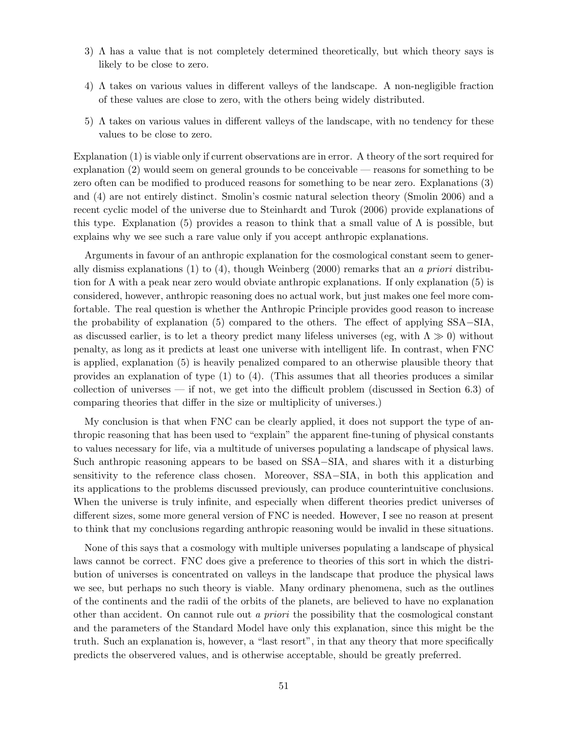- 3) Λ has a value that is not completely determined theoretically, but which theory says is likely to be close to zero.
- 4) Λ takes on various values in different valleys of the landscape. A non-negligible fraction of these values are close to zero, with the others being widely distributed.
- 5) Λ takes on various values in different valleys of the landscape, with no tendency for these values to be close to zero.

Explanation (1) is viable only if current observations are in error. A theory of the sort required for explanation (2) would seem on general grounds to be conceivable — reasons for something to be zero often can be modified to produced reasons for something to be near zero. Explanations (3) and (4) are not entirely distinct. Smolin's cosmic natural selection theory (Smolin 2006) and a recent cyclic model of the universe due to Steinhardt and Turok (2006) provide explanations of this type. Explanation (5) provides a reason to think that a small value of  $\Lambda$  is possible, but explains why we see such a rare value only if you accept anthropic explanations.

Arguments in favour of an anthropic explanation for the cosmological constant seem to generally dismiss explanations  $(1)$  to  $(4)$ , though Weinberg  $(2000)$  remarks that an a priori distribution for  $\Lambda$  with a peak near zero would obviate anthropic explanations. If only explanation (5) is considered, however, anthropic reasoning does no actual work, but just makes one feel more comfortable. The real question is whether the Anthropic Principle provides good reason to increase the probability of explanation (5) compared to the others. The effect of applying SSA−SIA, as discussed earlier, is to let a theory predict many lifeless universes (eg, with  $\Lambda \gg 0$ ) without penalty, as long as it predicts at least one universe with intelligent life. In contrast, when FNC is applied, explanation (5) is heavily penalized compared to an otherwise plausible theory that provides an explanation of type (1) to (4). (This assumes that all theories produces a similar collection of universes — if not, we get into the difficult problem (discussed in Section 6.3) of comparing theories that differ in the size or multiplicity of universes.)

My conclusion is that when FNC can be clearly applied, it does not support the type of anthropic reasoning that has been used to "explain" the apparent fine-tuning of physical constants to values necessary for life, via a multitude of universes populating a landscape of physical laws. Such anthropic reasoning appears to be based on SSA−SIA, and shares with it a disturbing sensitivity to the reference class chosen. Moreover, SSA–SIA, in both this application and its applications to the problems discussed previously, can produce counterintuitive conclusions. When the universe is truly infinite, and especially when different theories predict universes of different sizes, some more general version of FNC is needed. However, I see no reason at present to think that my conclusions regarding anthropic reasoning would be invalid in these situations.

None of this says that a cosmology with multiple universes populating a landscape of physical laws cannot be correct. FNC does give a preference to theories of this sort in which the distribution of universes is concentrated on valleys in the landscape that produce the physical laws we see, but perhaps no such theory is viable. Many ordinary phenomena, such as the outlines of the continents and the radii of the orbits of the planets, are believed to have no explanation other than accident. On cannot rule out a priori the possibility that the cosmological constant and the parameters of the Standard Model have only this explanation, since this might be the truth. Such an explanation is, however, a "last resort", in that any theory that more specifically predicts the observered values, and is otherwise acceptable, should be greatly preferred.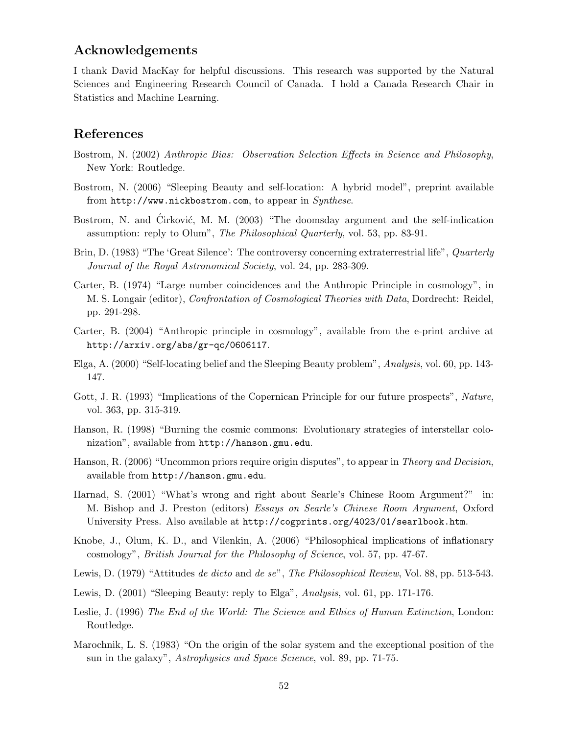# Acknowledgements

I thank David MacKay for helpful discussions. This research was supported by the Natural Sciences and Engineering Research Council of Canada. I hold a Canada Research Chair in Statistics and Machine Learning.

# References

- Bostrom, N. (2002) Anthropic Bias: Observation Selection Effects in Science and Philosophy, New York: Routledge.
- Bostrom, N. (2006) "Sleeping Beauty and self-location: A hybrid model", preprint available from http://www.nickbostrom.com, to appear in  $Synthese$ .
- Bostrom, N. and Cirković, M. M. (2003) "The doomsday argument and the self-indication assumption: reply to Olum", The Philosophical Quarterly, vol. 53, pp. 83-91.
- Brin, D. (1983) "The 'Great Silence': The controversy concerning extraterrestrial life", *Quarterly* Journal of the Royal Astronomical Society, vol. 24, pp. 283-309.
- Carter, B. (1974) "Large number coincidences and the Anthropic Principle in cosmology", in M. S. Longair (editor), Confrontation of Cosmological Theories with Data, Dordrecht: Reidel, pp. 291-298.
- Carter, B. (2004) "Anthropic principle in cosmology", available from the e-print archive at http://arxiv.org/abs/gr-qc/0606117.
- Elga, A. (2000) "Self-locating belief and the Sleeping Beauty problem", Analysis, vol. 60, pp. 143- 147.
- Gott, J. R. (1993) "Implications of the Copernican Principle for our future prospects", Nature, vol. 363, pp. 315-319.
- Hanson, R. (1998) "Burning the cosmic commons: Evolutionary strategies of interstellar colonization", available from http://hanson.gmu.edu.
- Hanson, R. (2006) "Uncommon priors require origin disputes", to appear in *Theory and Decision*, available from http://hanson.gmu.edu.
- Harnad, S. (2001) "What's wrong and right about Searle's Chinese Room Argument?" in: M. Bishop and J. Preston (editors) Essays on Searle's Chinese Room Argument, Oxford University Press. Also available at http://cogprints.org/4023/01/searlbook.htm.
- Knobe, J., Olum, K. D., and Vilenkin, A. (2006) "Philosophical implications of inflationary cosmology", British Journal for the Philosophy of Science, vol. 57, pp. 47-67.
- Lewis, D. (1979) "Attitudes de dicto and de se", The Philosophical Review, Vol. 88, pp. 513-543.
- Lewis, D. (2001) "Sleeping Beauty: reply to Elga", Analysis, vol. 61, pp. 171-176.
- Leslie, J. (1996) The End of the World: The Science and Ethics of Human Extinction, London: Routledge.
- Marochnik, L. S. (1983) "On the origin of the solar system and the exceptional position of the sun in the galaxy", Astrophysics and Space Science, vol. 89, pp. 71-75.